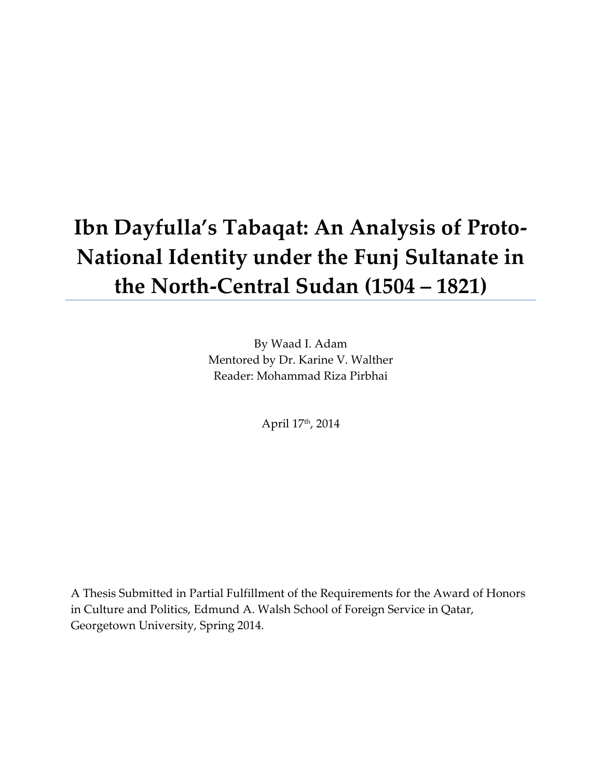# **Ibn Dayfulla's Tabaqat: An Analysis of Proto-National Identity under the Funj Sultanate in the North-Central Sudan (1504 – 1821)**

By Waad I. Adam Mentored by Dr. Karine V. Walther Reader: Mohammad Riza Pirbhai

April 17th, 2014

A Thesis Submitted in Partial Fulfillment of the Requirements for the Award of Honors in Culture and Politics, Edmund A. Walsh School of Foreign Service in Qatar, Georgetown University, Spring 2014.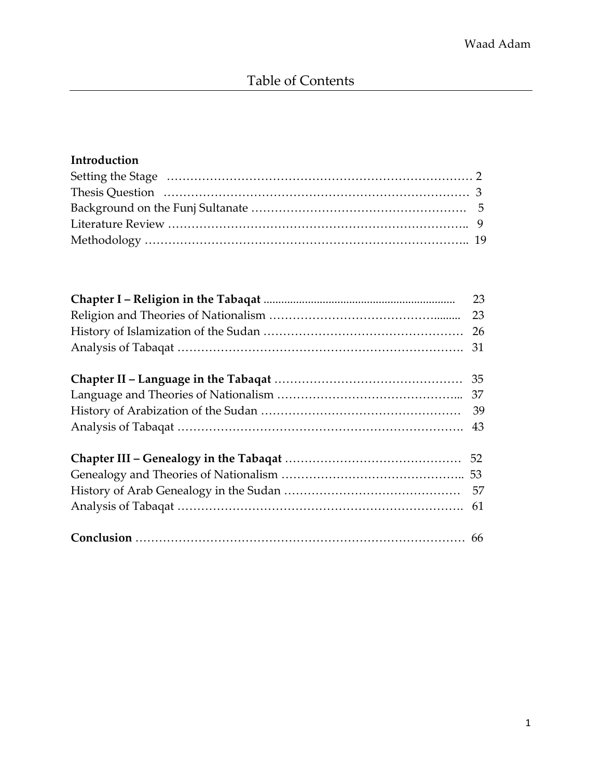# **Introduction**

| 31 |
|----|
|    |
|    |
|    |
|    |
|    |
|    |
|    |
|    |
|    |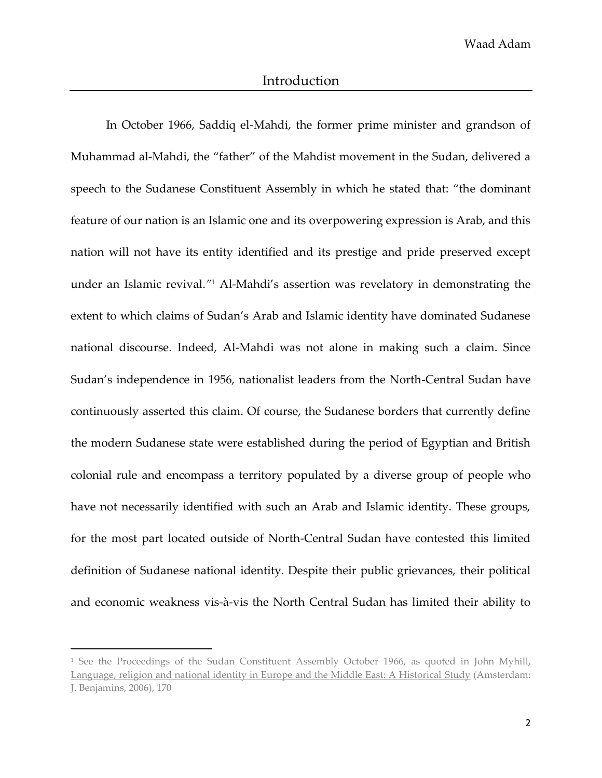In October 1966, Saddiq el-Mahdi, the former prime minister and grandson of Muhammad al-Mahdi, the "father" of the Mahdist movement in the Sudan, delivered a speech to the Sudanese Constituent Assembly in which he stated that: "the dominant feature of our nation is an Islamic one and its overpowering expression is Arab, and this nation will not have its entity identified and its prestige and pride preserved except under an Islamic revival.*"* <sup>1</sup> Al-Mahdi's assertion was revelatory in demonstrating the extent to which claims of Sudan's Arab and Islamic identity have dominated Sudanese national discourse. Indeed, Al-Mahdi was not alone in making such a claim. Since Sudan's independence in 1956, nationalist leaders from the North-Central Sudan have continuously asserted this claim. Of course, the Sudanese borders that currently define the modern Sudanese state were established during the period of Egyptian and British colonial rule and encompass a territory populated by a diverse group of people who have not necessarily identified with such an Arab and Islamic identity. These groups, for the most part located outside of North-Central Sudan have contested this limited definition of Sudanese national identity. Despite their public grievances, their political and economic weakness vis-à-vis the North Central Sudan has limited their ability to

<sup>&</sup>lt;sup>1</sup> See the Proceedings of the Sudan Constituent Assembly October 1966, as quoted in John Myhill, Language, religion and national identity in Europe and the Middle East: A Historical Study (Amsterdam: J. Benjamins, 2006), 170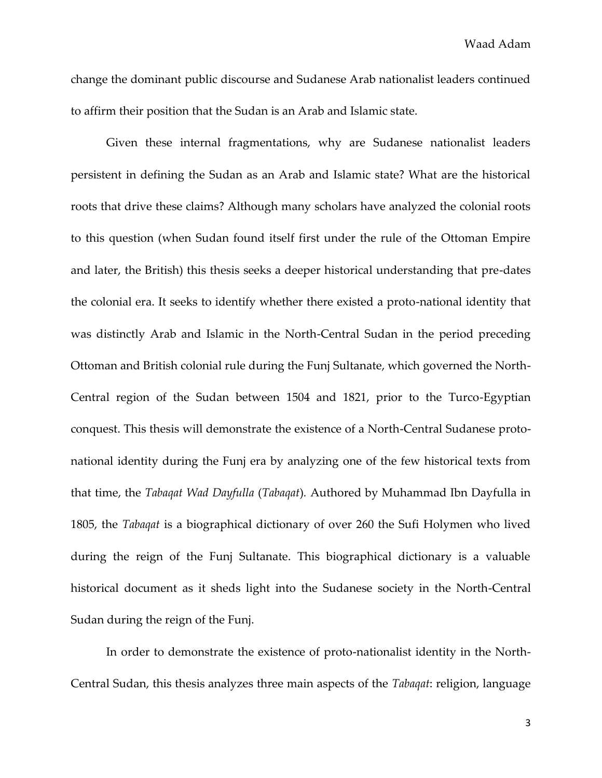change the dominant public discourse and Sudanese Arab nationalist leaders continued to affirm their position that the Sudan is an Arab and Islamic state.

Given these internal fragmentations, why are Sudanese nationalist leaders persistent in defining the Sudan as an Arab and Islamic state? What are the historical roots that drive these claims? Although many scholars have analyzed the colonial roots to this question (when Sudan found itself first under the rule of the Ottoman Empire and later, the British) this thesis seeks a deeper historical understanding that pre-dates the colonial era. It seeks to identify whether there existed a proto-national identity that was distinctly Arab and Islamic in the North-Central Sudan in the period preceding Ottoman and British colonial rule during the Funj Sultanate, which governed the North-Central region of the Sudan between 1504 and 1821, prior to the Turco-Egyptian conquest. This thesis will demonstrate the existence of a North-Central Sudanese protonational identity during the Funj era by analyzing one of the few historical texts from that time, the *Tabaqat Wad Dayfulla* (*Tabaqat*)*.* Authored by Muhammad Ibn Dayfulla in 1805, the *Tabaqat* is a biographical dictionary of over 260 the Sufi Holymen who lived during the reign of the Funj Sultanate. This biographical dictionary is a valuable historical document as it sheds light into the Sudanese society in the North-Central Sudan during the reign of the Funj.

In order to demonstrate the existence of proto-nationalist identity in the North-Central Sudan, this thesis analyzes three main aspects of the *Tabaqat*: religion, language

3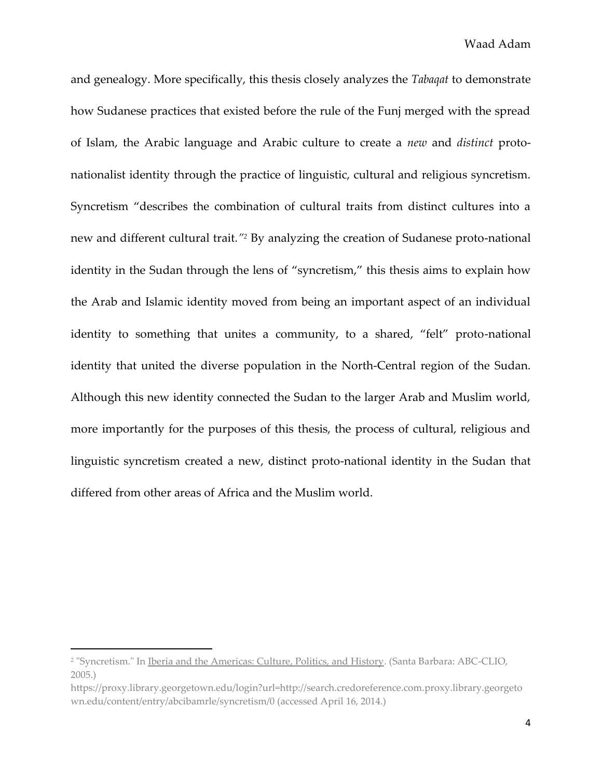and genealogy. More specifically, this thesis closely analyzes the *Tabaqat* to demonstrate how Sudanese practices that existed before the rule of the Funj merged with the spread of Islam, the Arabic language and Arabic culture to create a *new* and *distinct* protonationalist identity through the practice of linguistic, cultural and religious syncretism. Syncretism "describes the combination of cultural traits from distinct cultures into a new and different cultural trait*."<sup>2</sup>* By analyzing the creation of Sudanese proto-national identity in the Sudan through the lens of "syncretism," this thesis aims to explain how the Arab and Islamic identity moved from being an important aspect of an individual identity to something that unites a community, to a shared, "felt" proto-national identity that united the diverse population in the North-Central region of the Sudan. Although this new identity connected the Sudan to the larger Arab and Muslim world, more importantly for the purposes of this thesis, the process of cultural, religious and linguistic syncretism created a new, distinct proto-national identity in the Sudan that differed from other areas of Africa and the Muslim world.

<sup>2</sup> "Syncretism." In Iberia and the Americas: Culture, Politics, and History. (Santa Barbara: ABC-CLIO, 2005.)

https://proxy.library.georgetown.edu/login?url=http://search.credoreference.com.proxy.library.georgeto wn.edu/content/entry/abcibamrle/syncretism/0 (accessed April 16, 2014.)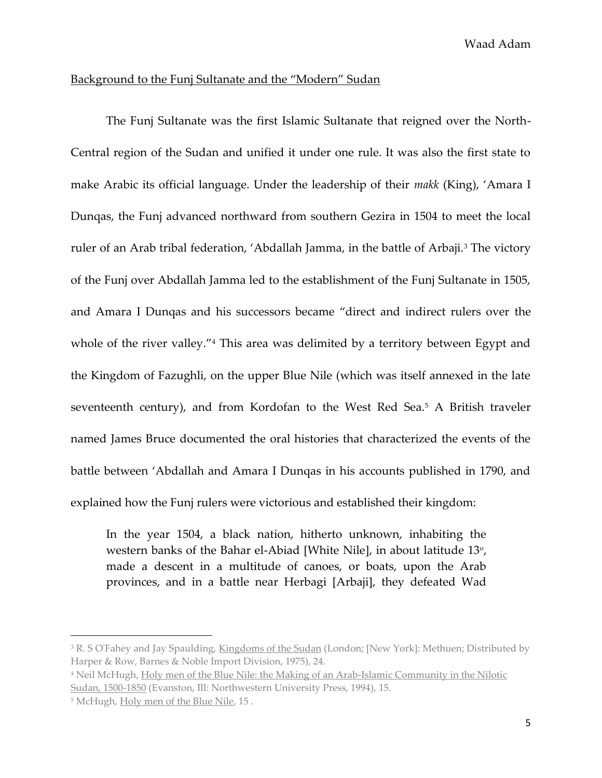# Background to the Funj Sultanate and the "Modern" Sudan

The Funj Sultanate was the first Islamic Sultanate that reigned over the North-Central region of the Sudan and unified it under one rule. It was also the first state to make Arabic its official language. Under the leadership of their *makk* (King), 'Amara I Dunqas, the Funj advanced northward from southern Gezira in 1504 to meet the local ruler of an Arab tribal federation, 'Abdallah Jamma, in the battle of Arbaji.<sup>3</sup> The victory of the Funj over Abdallah Jamma led to the establishment of the Funj Sultanate in 1505, and Amara I Dunqas and his successors became "direct and indirect rulers over the whole of the river valley."<sup>4</sup> This area was delimited by a territory between Egypt and the Kingdom of Fazughli, on the upper Blue Nile (which was itself annexed in the late seventeenth century), and from Kordofan to the West Red Sea.<sup>5</sup> A British traveler named James Bruce documented the oral histories that characterized the events of the battle between 'Abdallah and Amara I Dunqas in his accounts published in 1790, and explained how the Funj rulers were victorious and established their kingdom:

In the year 1504, a black nation, hitherto unknown, inhabiting the western banks of the Bahar el-Abiad [White Nile], in about latitude 13<sup>o</sup>, made a descent in a multitude of canoes, or boats, upon the Arab provinces, and in a battle near Herbagi [Arbaji], they defeated Wad

<sup>&</sup>lt;sup>3</sup> R. S O'Fahey and Jay Spaulding, Kingdoms of the Sudan (London; [New York]: Methuen; Distributed by Harper & Row, Barnes & Noble Import Division, 1975), 24.

<sup>4</sup> Neil McHugh, Holy men of the Blue Nile: the Making of an Arab-Islamic Community in the Nilotic Sudan, 1500-1850 (Evanston, Ill: Northwestern University Press, 1994), 15.

<sup>5</sup> McHugh, Holy men of the Blue Nile, 15 .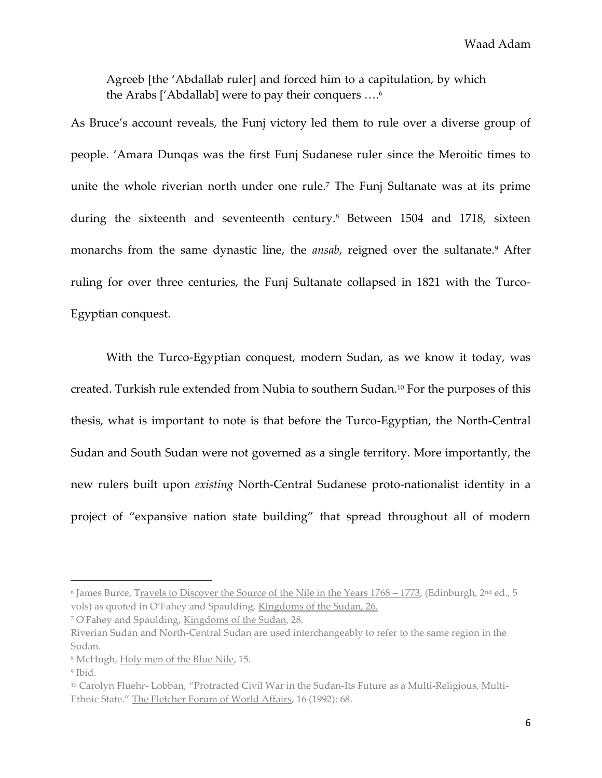Agreeb [the 'Abdallab ruler] and forced him to a capitulation, by which the Arabs ['Abdallab] were to pay their conquers ….<sup>6</sup>

As Bruce's account reveals, the Funj victory led them to rule over a diverse group of people. 'Amara Dunqas was the first Funj Sudanese ruler since the Meroitic times to unite the whole riverian north under one rule.<sup>7</sup> The Funj Sultanate was at its prime during the sixteenth and seventeenth century.<sup>8</sup> Between 1504 and 1718, sixteen monarchs from the same dynastic line, the *ansab*, reigned over the sultanate.<sup>9</sup> After ruling for over three centuries, the Funj Sultanate collapsed in 1821 with the Turco-Egyptian conquest.

With the Turco-Egyptian conquest, modern Sudan, as we know it today, was created. Turkish rule extended from Nubia to southern Sudan.<sup>10</sup> For the purposes of this thesis, what is important to note is that before the Turco-Egyptian, the North-Central Sudan and South Sudan were not governed as a single territory. More importantly, the new rulers built upon *existing* North-Central Sudanese proto-nationalist identity in a project of "expansive nation state building" that spread throughout all of modern

<sup>&</sup>lt;sup>6</sup> James Burce, T<u>ravels to Discover the Source of the Nile in the Years 1768 – 1773,</u> (Edinburgh, 2<sup>nd</sup> ed., 5 vols) as quoted in O'Fahey and Spaulding, Kingdoms of the Sudan, 26.

<sup>7</sup> O'Fahey and Spaulding, Kingdoms of the Sudan, 28.

Riverian Sudan and North-Central Sudan are used interchangeably to refer to the same region in the Sudan.

<sup>8</sup> McHugh, Holy men of the Blue Nile, 15.

<sup>9</sup> Ibid.

<sup>10</sup> Carolyn Fluehr- Lobban, "Protracted Civil War in the Sudan-Its Future as a Multi-Religious, Multi-Ethnic State." The Fletcher Forum of World Affairs, 16 (1992): 68.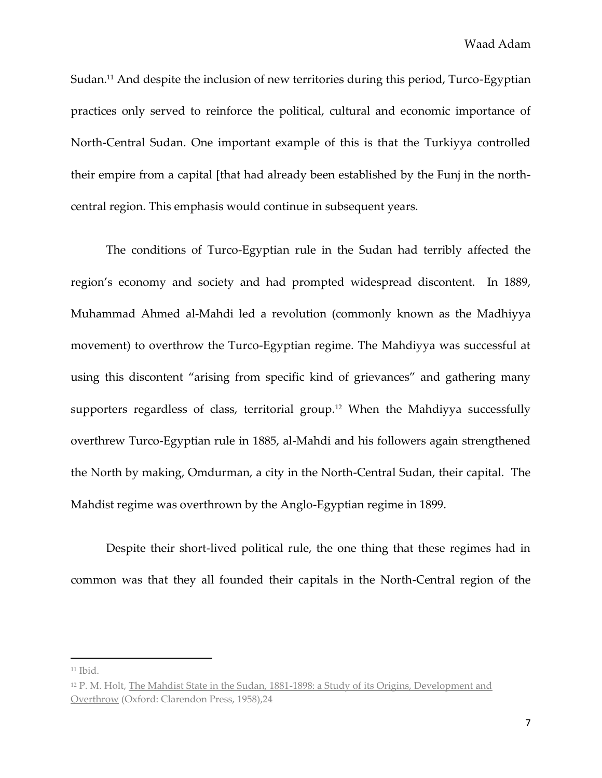Sudan.<sup>11</sup> And despite the inclusion of new territories during this period, Turco-Egyptian practices only served to reinforce the political, cultural and economic importance of North-Central Sudan. One important example of this is that the Turkiyya controlled their empire from a capital [that had already been established by the Funj in the northcentral region. This emphasis would continue in subsequent years.

The conditions of Turco-Egyptian rule in the Sudan had terribly affected the region's economy and society and had prompted widespread discontent. In 1889, Muhammad Ahmed al-Mahdi led a revolution (commonly known as the Madhiyya movement) to overthrow the Turco-Egyptian regime. The Mahdiyya was successful at using this discontent "arising from specific kind of grievances" and gathering many supporters regardless of class, territorial group.<sup>12</sup> When the Mahdiyya successfully overthrew Turco-Egyptian rule in 1885, al-Mahdi and his followers again strengthened the North by making, Omdurman, a city in the North-Central Sudan, their capital. The Mahdist regime was overthrown by the Anglo-Egyptian regime in 1899.

Despite their short-lived political rule, the one thing that these regimes had in common was that they all founded their capitals in the North-Central region of the

<sup>11</sup> Ibid.

<sup>12</sup> P. M. Holt, The Mahdist State in the Sudan, 1881-1898: a Study of its Origins, Development and Overthrow (Oxford: Clarendon Press, 1958),24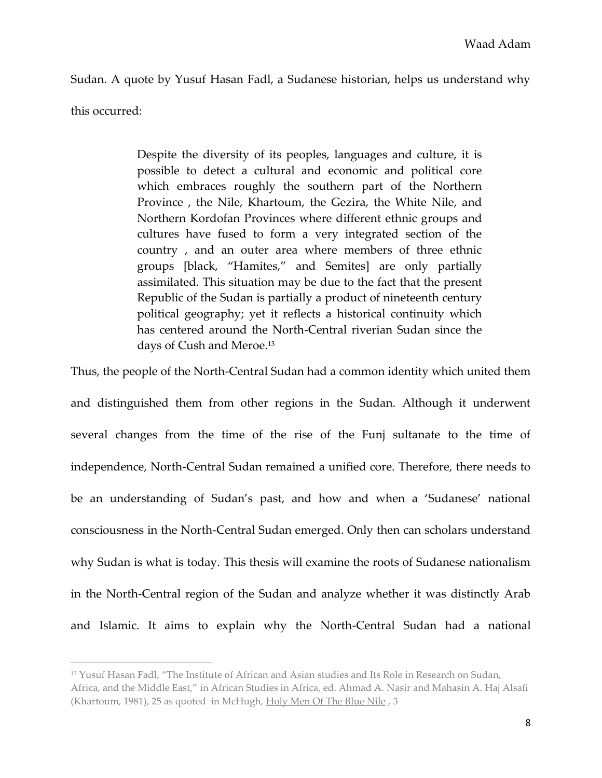Sudan. A quote by Yusuf Hasan Fadl, a Sudanese historian, helps us understand why this occurred:

> Despite the diversity of its peoples, languages and culture, it is possible to detect a cultural and economic and political core which embraces roughly the southern part of the Northern Province , the Nile, Khartoum, the Gezira, the White Nile, and Northern Kordofan Provinces where different ethnic groups and cultures have fused to form a very integrated section of the country , and an outer area where members of three ethnic groups [black, "Hamites," and Semites] are only partially assimilated. This situation may be due to the fact that the present Republic of the Sudan is partially a product of nineteenth century political geography; yet it reflects a historical continuity which has centered around the North-Central riverian Sudan since the days of Cush and Meroe.<sup>13</sup>

Thus, the people of the North-Central Sudan had a common identity which united them and distinguished them from other regions in the Sudan. Although it underwent several changes from the time of the rise of the Funj sultanate to the time of independence, North-Central Sudan remained a unified core. Therefore, there needs to be an understanding of Sudan's past, and how and when a 'Sudanese' national consciousness in the North-Central Sudan emerged. Only then can scholars understand why Sudan is what is today. This thesis will examine the roots of Sudanese nationalism in the North-Central region of the Sudan and analyze whether it was distinctly Arab and Islamic. It aims to explain why the North-Central Sudan had a national

<sup>&</sup>lt;sup>13</sup> Yusuf Hasan Fadl, "The Institute of African and Asian studies and Its Role in Research on Sudan,

Africa, and the Middle East," in African Studies in Africa, ed. Ahmad A. Nasir and Mahasin A. Haj Alsafi (Khartoum, 1981), 25 as quoted in McHugh, Holy Men Of The Blue Nile, 3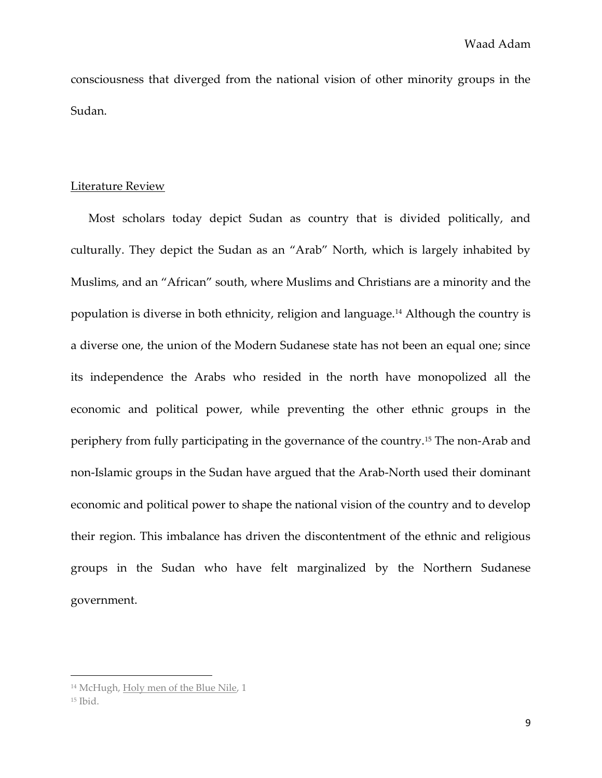consciousness that diverged from the national vision of other minority groups in the Sudan.

# Literature Review

Most scholars today depict Sudan as country that is divided politically, and culturally. They depict the Sudan as an "Arab" North, which is largely inhabited by Muslims, and an "African" south, where Muslims and Christians are a minority and the population is diverse in both ethnicity, religion and language.<sup>14</sup> Although the country is a diverse one, the union of the Modern Sudanese state has not been an equal one; since its independence the Arabs who resided in the north have monopolized all the economic and political power, while preventing the other ethnic groups in the periphery from fully participating in the governance of the country.<sup>15</sup> The non-Arab and non-Islamic groups in the Sudan have argued that the Arab-North used their dominant economic and political power to shape the national vision of the country and to develop their region. This imbalance has driven the discontentment of the ethnic and religious groups in the Sudan who have felt marginalized by the Northern Sudanese government.

<sup>14</sup> McHugh, Holy men of the Blue Nile, 1  $15$  Ibid.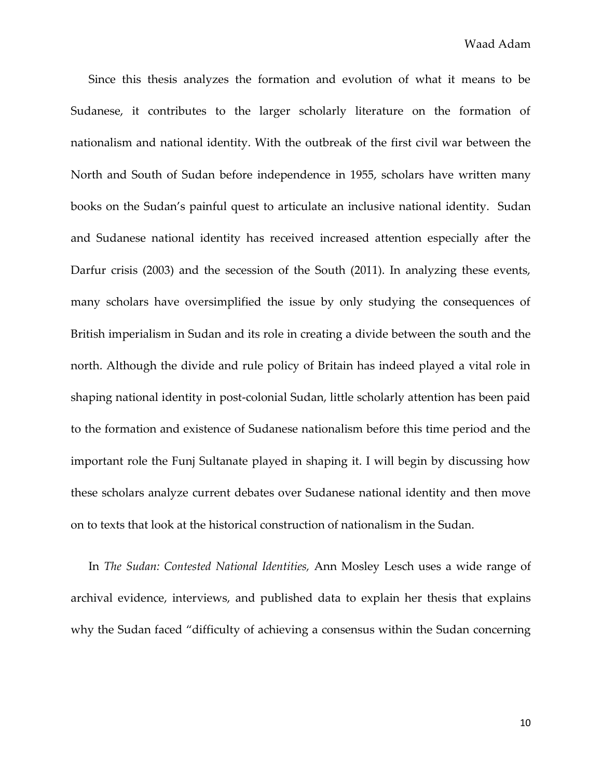Since this thesis analyzes the formation and evolution of what it means to be Sudanese, it contributes to the larger scholarly literature on the formation of nationalism and national identity. With the outbreak of the first civil war between the North and South of Sudan before independence in 1955, scholars have written many books on the Sudan's painful quest to articulate an inclusive national identity. Sudan and Sudanese national identity has received increased attention especially after the Darfur crisis (2003) and the secession of the South (2011). In analyzing these events, many scholars have oversimplified the issue by only studying the consequences of British imperialism in Sudan and its role in creating a divide between the south and the north. Although the divide and rule policy of Britain has indeed played a vital role in shaping national identity in post-colonial Sudan, little scholarly attention has been paid to the formation and existence of Sudanese nationalism before this time period and the important role the Funj Sultanate played in shaping it. I will begin by discussing how these scholars analyze current debates over Sudanese national identity and then move on to texts that look at the historical construction of nationalism in the Sudan.

In *The Sudan: Contested National Identities,* Ann Mosley Lesch uses a wide range of archival evidence, interviews, and published data to explain her thesis that explains why the Sudan faced "difficulty of achieving a consensus within the Sudan concerning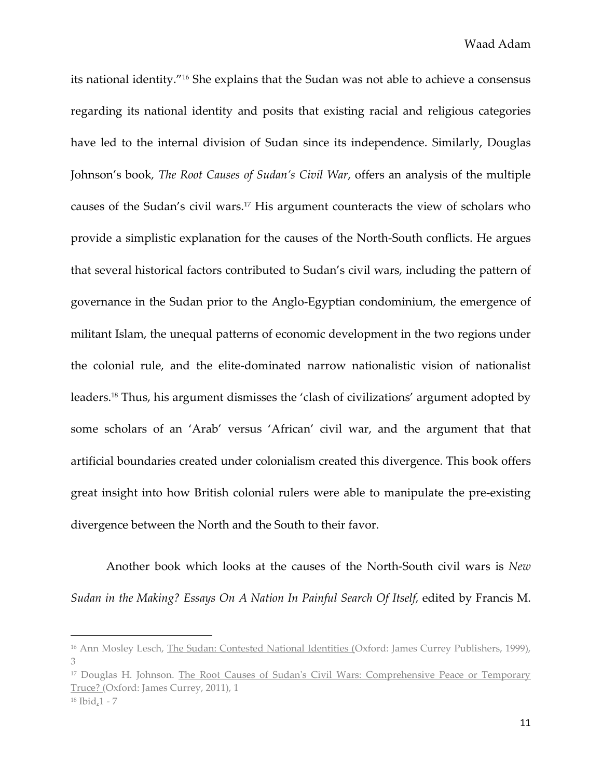its national identity."<sup>16</sup> She explains that the Sudan was not able to achieve a consensus regarding its national identity and posits that existing racial and religious categories have led to the internal division of Sudan since its independence. Similarly, Douglas Johnson's book*, The Root Causes of Sudan's Civil War*, offers an analysis of the multiple causes of the Sudan's civil wars.<sup>17</sup> His argument counteracts the view of scholars who provide a simplistic explanation for the causes of the North-South conflicts. He argues that several historical factors contributed to Sudan's civil wars, including the pattern of governance in the Sudan prior to the Anglo-Egyptian condominium, the emergence of militant Islam, the unequal patterns of economic development in the two regions under the colonial rule, and the elite-dominated narrow nationalistic vision of nationalist leaders.<sup>18</sup> Thus, his argument dismisses the 'clash of civilizations' argument adopted by some scholars of an 'Arab' versus 'African' civil war, and the argument that that artificial boundaries created under colonialism created this divergence. This book offers great insight into how British colonial rulers were able to manipulate the pre-existing divergence between the North and the South to their favor.

Another book which looks at the causes of the North-South civil wars is *New Sudan in the Making? Essays On A Nation In Painful Search Of Itself,* edited by Francis M.

<sup>17</sup> Douglas H. Johnson. The Root Causes of Sudan's Civil Wars: Comprehensive Peace or Temporary Truce? (Oxford: James Currey, 2011), 1

<sup>&</sup>lt;sup>16</sup> Ann Mosley Lesch, The Sudan: Contested National Identities (Oxford: James Currey Publishers, 1999), 3

<sup>18</sup> Ibid,1 - 7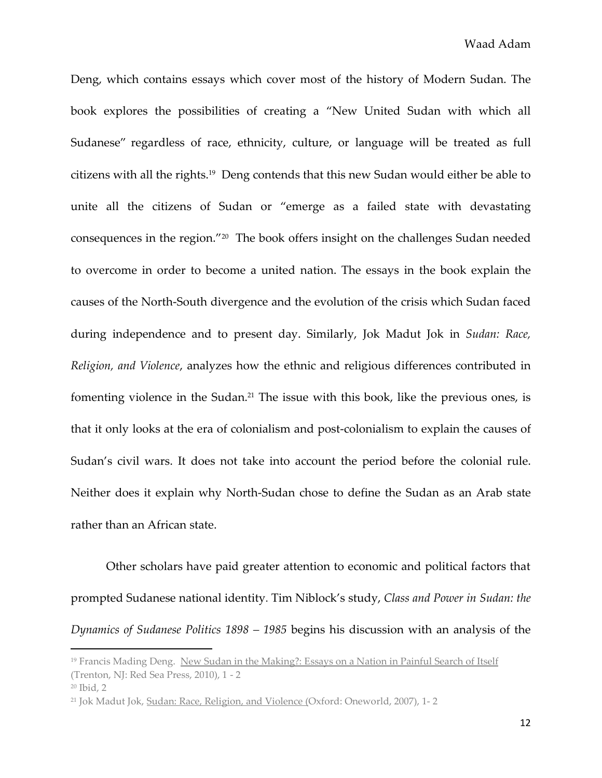Deng, which contains essays which cover most of the history of Modern Sudan. The book explores the possibilities of creating a "New United Sudan with which all Sudanese" regardless of race, ethnicity, culture, or language will be treated as full citizens with all the rights.<sup>19</sup> Deng contends that this new Sudan would either be able to unite all the citizens of Sudan or "emerge as a failed state with devastating consequences in the region."<sup>20</sup> The book offers insight on the challenges Sudan needed to overcome in order to become a united nation. The essays in the book explain the causes of the North-South divergence and the evolution of the crisis which Sudan faced during independence and to present day. Similarly, Jok Madut Jok in *Sudan: Race, Religion, and Violence*, analyzes how the ethnic and religious differences contributed in fomenting violence in the Sudan.<sup>21</sup> The issue with this book, like the previous ones, is that it only looks at the era of colonialism and post-colonialism to explain the causes of Sudan's civil wars. It does not take into account the period before the colonial rule. Neither does it explain why North-Sudan chose to define the Sudan as an Arab state rather than an African state.

Other scholars have paid greater attention to economic and political factors that prompted Sudanese national identity. Tim Niblock's study, *Class and Power in Sudan: the Dynamics of Sudanese Politics 1898 – 1985* begins his discussion with an analysis of the

<sup>&</sup>lt;sup>19</sup> Francis Mading Deng. New Sudan in the Making?: Essays on a Nation in Painful Search of Itself (Trenton, NJ: Red Sea Press, 2010), 1 - 2

<sup>20</sup> Ibid, 2

<sup>21</sup> Jok Madut Jok, Sudan: Race, Religion, and Violence (Oxford: Oneworld, 2007), 1- 2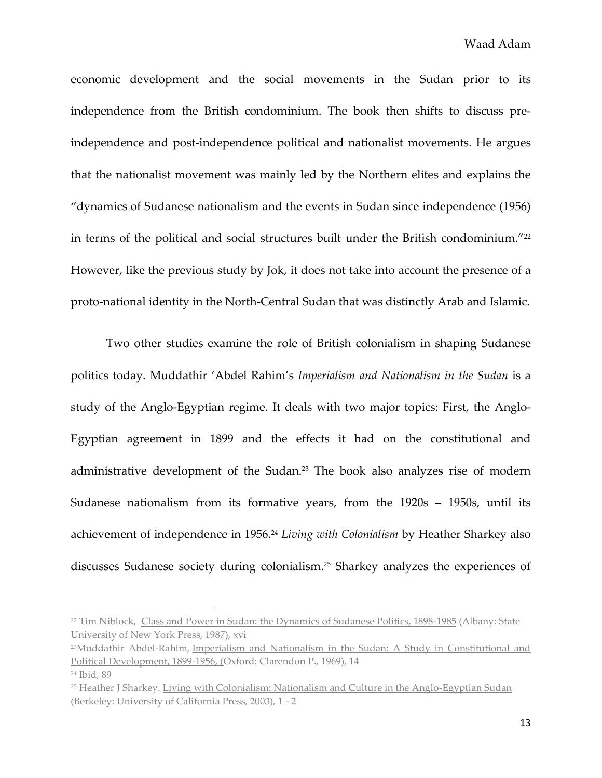economic development and the social movements in the Sudan prior to its independence from the British condominium. The book then shifts to discuss preindependence and post-independence political and nationalist movements. He argues that the nationalist movement was mainly led by the Northern elites and explains the "dynamics of Sudanese nationalism and the events in Sudan since independence (1956) in terms of the political and social structures built under the British condominium."<sup>22</sup> However, like the previous study by Jok, it does not take into account the presence of a proto-national identity in the North-Central Sudan that was distinctly Arab and Islamic.

Two other studies examine the role of British colonialism in shaping Sudanese politics today. Muddathir 'Abdel Rahim's *Imperialism and Nationalism in the Sudan* is a study of the Anglo-Egyptian regime. It deals with two major topics: First, the Anglo-Egyptian agreement in 1899 and the effects it had on the constitutional and administrative development of the Sudan.<sup>23</sup> The book also analyzes rise of modern Sudanese nationalism from its formative years, from the 1920s – 1950s, until its achievement of independence in 1956.<sup>24</sup> *Living with Colonialism* by Heather Sharkey also discusses Sudanese society during colonialism.<sup>25</sup> Sharkey analyzes the experiences of

<sup>&</sup>lt;sup>22</sup> Tim Niblock, Class and Power in Sudan: the Dynamics of Sudanese Politics, 1898-1985 (Albany: State University of New York Press, 1987), xvi

<sup>23</sup>Muddathir Abdel-Rahim, Imperialism and Nationalism in the Sudan: A Study in Constitutional and Political Development, 1899-1956, (Oxford: Clarendon P., 1969), 14

<sup>24</sup> Ibid, 89

<sup>25</sup> Heather J Sharkey. Living with Colonialism: Nationalism and Culture in the Anglo-Egyptian Sudan (Berkeley: University of California Press, 2003), 1 - 2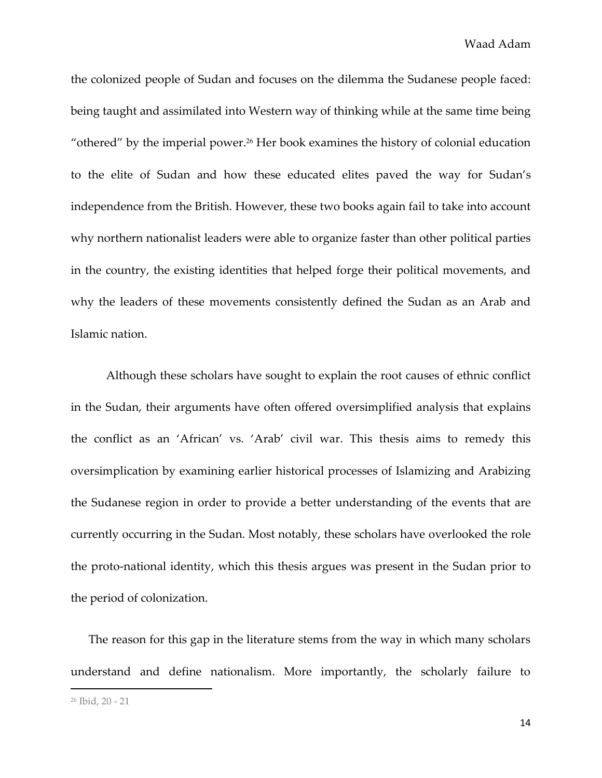the colonized people of Sudan and focuses on the dilemma the Sudanese people faced: being taught and assimilated into Western way of thinking while at the same time being "othered" by the imperial power.<sup>26</sup> Her book examines the history of colonial education to the elite of Sudan and how these educated elites paved the way for Sudan's independence from the British. However, these two books again fail to take into account why northern nationalist leaders were able to organize faster than other political parties in the country, the existing identities that helped forge their political movements, and why the leaders of these movements consistently defined the Sudan as an Arab and Islamic nation.

Although these scholars have sought to explain the root causes of ethnic conflict in the Sudan, their arguments have often offered oversimplified analysis that explains the conflict as an 'African' vs. 'Arab' civil war. This thesis aims to remedy this oversimplication by examining earlier historical processes of Islamizing and Arabizing the Sudanese region in order to provide a better understanding of the events that are currently occurring in the Sudan. Most notably, these scholars have overlooked the role the proto-national identity, which this thesis argues was present in the Sudan prior to the period of colonization.

The reason for this gap in the literature stems from the way in which many scholars understand and define nationalism. More importantly, the scholarly failure to

<sup>26</sup> Ibid, 20 - 21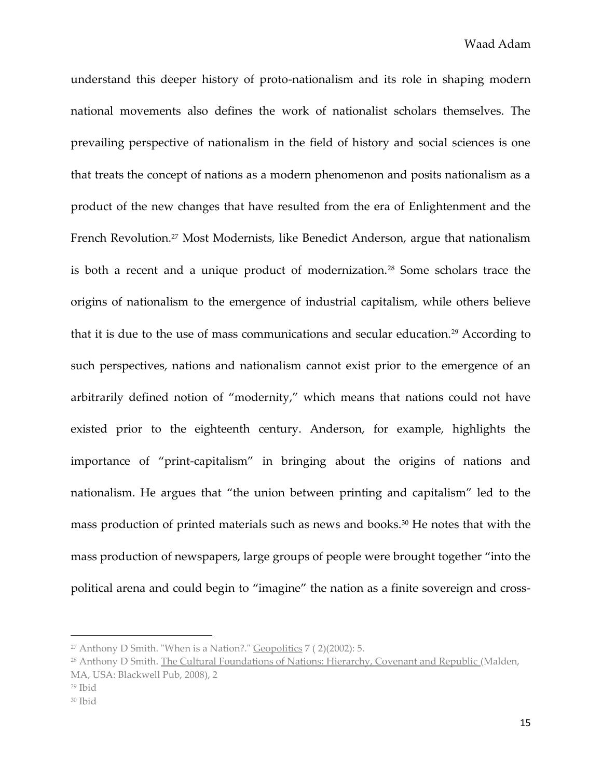understand this deeper history of proto-nationalism and its role in shaping modern national movements also defines the work of nationalist scholars themselves. The prevailing perspective of nationalism in the field of history and social sciences is one that treats the concept of nations as a modern phenomenon and posits nationalism as a product of the new changes that have resulted from the era of Enlightenment and the French Revolution.<sup>27</sup> Most Modernists, like Benedict Anderson, argue that nationalism is both a recent and a unique product of modernization.<sup>28</sup> Some scholars trace the origins of nationalism to the emergence of industrial capitalism, while others believe that it is due to the use of mass communications and secular education.<sup>29</sup> According to such perspectives, nations and nationalism cannot exist prior to the emergence of an arbitrarily defined notion of "modernity," which means that nations could not have existed prior to the eighteenth century. Anderson, for example, highlights the importance of "print-capitalism" in bringing about the origins of nations and nationalism. He argues that "the union between printing and capitalism" led to the mass production of printed materials such as news and books.<sup>30</sup> He notes that with the mass production of newspapers, large groups of people were brought together "into the political arena and could begin to "imagine" the nation as a finite sovereign and cross-

<sup>&</sup>lt;sup>27</sup> Anthony D Smith. "When is a Nation?." Geopolitics  $7(2)(2002)$ : 5.

<sup>&</sup>lt;sup>28</sup> Anthony D Smith. The Cultural Foundations of Nations: Hierarchy, Covenant and Republic (Malden, MA, USA: Blackwell Pub, 2008), 2

<sup>29</sup> Ibid

<sup>30</sup> Ibid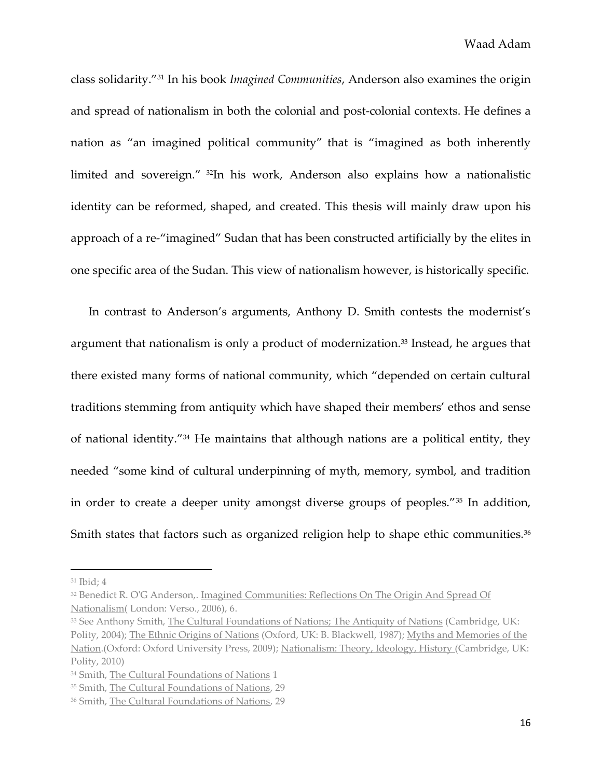class solidarity."<sup>31</sup> In his book *Imagined Communities*, Anderson also examines the origin and spread of nationalism in both the colonial and post-colonial contexts. He defines a nation as "an imagined political community" that is "imagined as both inherently limited and sovereign." <sup>32</sup>In his work, Anderson also explains how a nationalistic identity can be reformed, shaped, and created. This thesis will mainly draw upon his approach of a re-"imagined" Sudan that has been constructed artificially by the elites in one specific area of the Sudan. This view of nationalism however, is historically specific.

In contrast to Anderson's arguments, Anthony D. Smith contests the modernist's argument that nationalism is only a product of modernization.<sup>33</sup> Instead, he argues that there existed many forms of national community, which "depended on certain cultural traditions stemming from antiquity which have shaped their members' ethos and sense of national identity."<sup>34</sup> He maintains that although nations are a political entity, they needed "some kind of cultural underpinning of myth, memory, symbol, and tradition in order to create a deeper unity amongst diverse groups of peoples."<sup>35</sup> In addition, Smith states that factors such as organized religion help to shape ethic communities.<sup>36</sup>

<sup>31</sup> Ibid; 4

<sup>32</sup> Benedict R. O'G Anderson,. Imagined Communities: Reflections On The Origin And Spread Of Nationalism( London: Verso., 2006), 6.

<sup>33</sup> See Anthony Smith, The Cultural Foundations of Nations; The Antiquity of Nations (Cambridge, UK: Polity, 2004); The Ethnic Origins of Nations (Oxford, UK: B. Blackwell, 1987); Myths and Memories of the Nation.(Oxford: Oxford University Press, 2009); Nationalism: Theory, Ideology, History (Cambridge, UK: Polity, 2010)

<sup>34</sup> Smith, The Cultural Foundations of Nations 1

<sup>35</sup> Smith, The Cultural Foundations of Nations, 29

<sup>36</sup> Smith, The Cultural Foundations of Nations, 29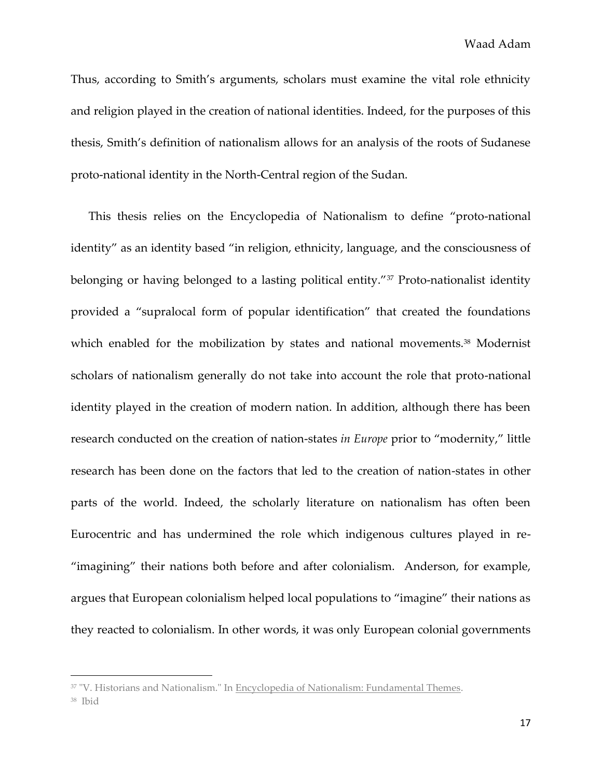Thus, according to Smith's arguments, scholars must examine the vital role ethnicity and religion played in the creation of national identities. Indeed, for the purposes of this thesis, Smith's definition of nationalism allows for an analysis of the roots of Sudanese proto-national identity in the North-Central region of the Sudan.

This thesis relies on the Encyclopedia of Nationalism to define "proto-national identity" as an identity based "in religion, ethnicity, language, and the consciousness of belonging or having belonged to a lasting political entity."<sup>37</sup> Proto-nationalist identity provided a "supralocal form of popular identification" that created the foundations which enabled for the mobilization by states and national movements.<sup>38</sup> Modernist scholars of nationalism generally do not take into account the role that proto-national identity played in the creation of modern nation. In addition, although there has been research conducted on the creation of nation-states *in Europe* prior to "modernity," little research has been done on the factors that led to the creation of nation-states in other parts of the world. Indeed, the scholarly literature on nationalism has often been Eurocentric and has undermined the role which indigenous cultures played in re- "imagining" their nations both before and after colonialism. Anderson, for example, argues that European colonialism helped local populations to "imagine" their nations as they reacted to colonialism. In other words, it was only European colonial governments

<sup>&</sup>lt;sup>37</sup> "V. Historians and Nationalism." In Encyclopedia of Nationalism: Fundamental Themes.

<sup>38</sup> Ibid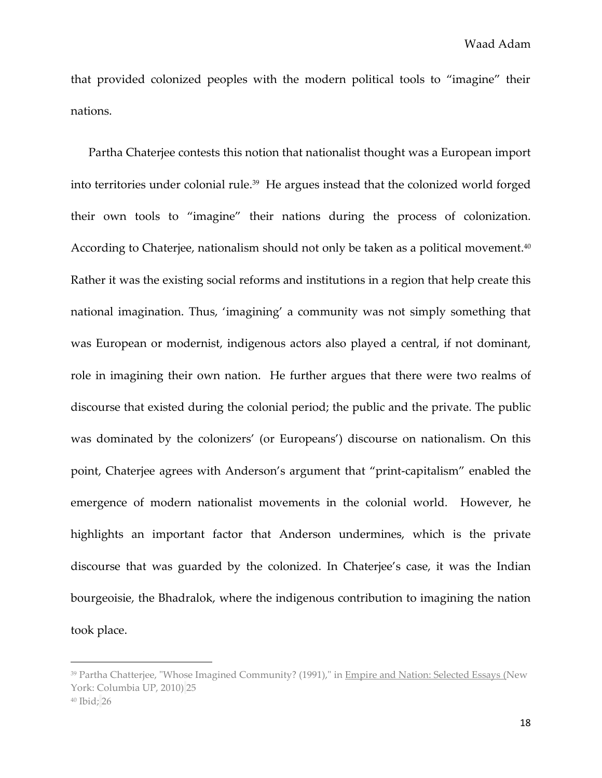that provided colonized peoples with the modern political tools to "imagine" their nations.

Partha Chaterjee contests this notion that nationalist thought was a European import into territories under colonial rule.<sup>39</sup> He argues instead that the colonized world forged their own tools to "imagine" their nations during the process of colonization. According to Chaterjee, nationalism should not only be taken as a political movement.<sup>40</sup> Rather it was the existing social reforms and institutions in a region that help create this national imagination. Thus, 'imagining' a community was not simply something that was European or modernist, indigenous actors also played a central, if not dominant, role in imagining their own nation. He further argues that there were two realms of discourse that existed during the colonial period; the public and the private. The public was dominated by the colonizers' (or Europeans') discourse on nationalism. On this point, Chaterjee agrees with Anderson's argument that "print-capitalism" enabled the emergence of modern nationalist movements in the colonial world. However, he highlights an important factor that Anderson undermines, which is the private discourse that was guarded by the colonized. In Chaterjee's case, it was the Indian bourgeoisie, the Bhadralok, where the indigenous contribution to imagining the nation took place.

<sup>39</sup> Partha Chatterjee, "Whose Imagined Community? (1991)," in Empire and Nation: Selected Essays (New York: Columbia UP, 2010) 25

<sup>40</sup> Ibid; 26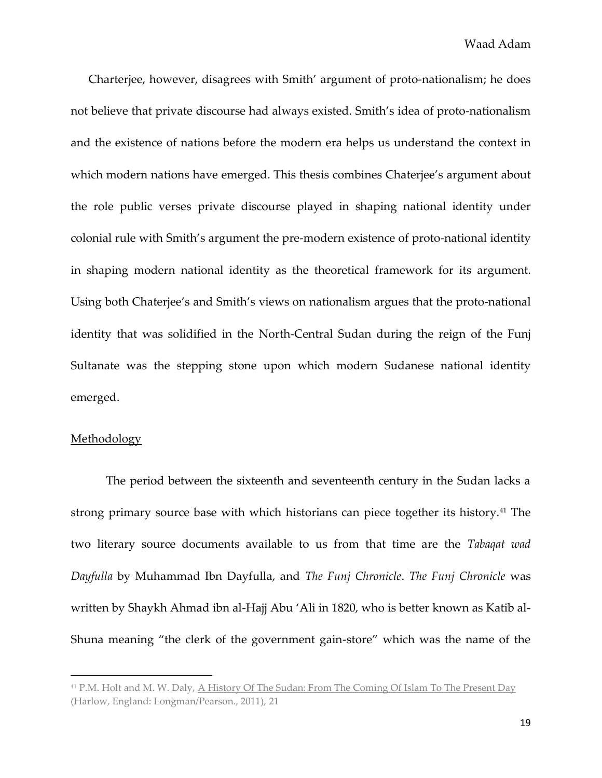Charterjee, however, disagrees with Smith' argument of proto-nationalism; he does not believe that private discourse had always existed. Smith's idea of proto-nationalism and the existence of nations before the modern era helps us understand the context in which modern nations have emerged. This thesis combines Chaterjee's argument about the role public verses private discourse played in shaping national identity under colonial rule with Smith's argument the pre-modern existence of proto-national identity in shaping modern national identity as the theoretical framework for its argument. Using both Chaterjee's and Smith's views on nationalism argues that the proto-national identity that was solidified in the North-Central Sudan during the reign of the Funj Sultanate was the stepping stone upon which modern Sudanese national identity emerged.

#### Methodology

l

The period between the sixteenth and seventeenth century in the Sudan lacks a strong primary source base with which historians can piece together its history.<sup>41</sup> The two literary source documents available to us from that time are the *Tabaqat wad Dayfulla* by Muhammad Ibn Dayfulla, and *The Funj Chronicle*. *The Funj Chronicle* was written by Shaykh Ahmad ibn al-Hajj Abu 'Ali in 1820, who is better known as Katib al-Shuna meaning "the clerk of the government gain-store" which was the name of the

<sup>41</sup> P.M. Holt and M. W. Daly, A History Of The Sudan: From The Coming Of Islam To The Present Day (Harlow, England: Longman/Pearson., 2011), 21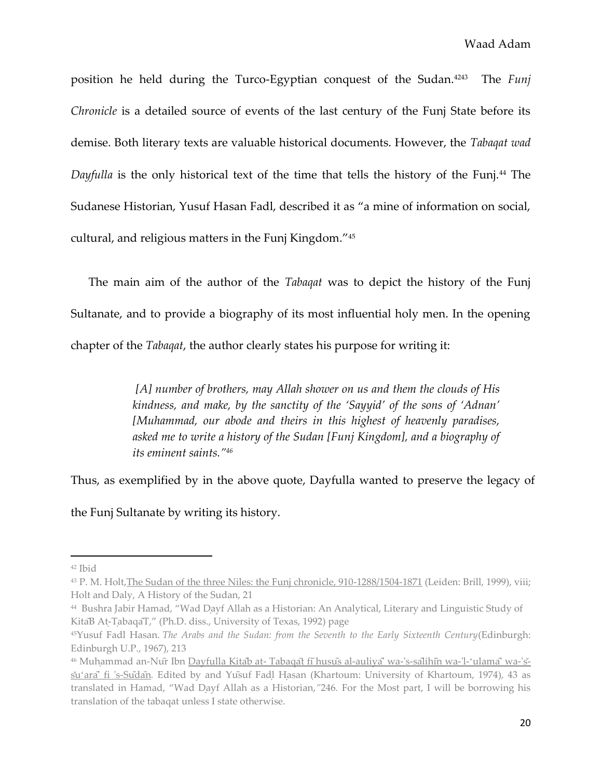position he held during the Turco-Egyptian conquest of the Sudan.<sup>4243</sup> The *Funj Chronicle* is a detailed source of events of the last century of the Funj State before its demise. Both literary texts are valuable historical documents. However, the *Tabaqat wad Dayfulla* is the only historical text of the time that tells the history of the Funj.<sup>44</sup> The Sudanese Historian, Yusuf Hasan Fadl, described it as "a mine of information on social, cultural, and religious matters in the Funj Kingdom."<sup>45</sup>

The main aim of the author of the *Tabaqat* was to depict the history of the Funj Sultanate, and to provide a biography of its most influential holy men. In the opening chapter of the *Tabaqat*, the author clearly states his purpose for writing it:

> *[A] number of brothers, may Allah shower on us and them the clouds of His kindness, and make, by the sanctity of the 'Sayyid' of the sons of 'Adnan' [Muhammad, our abode and theirs in this highest of heavenly paradises, asked me to write a history of the Sudan [Funj Kingdom], and a biography of its eminent saints."<sup>46</sup>*

Thus, as exemplified by in the above quote, Dayfulla wanted to preserve the legacy of

the Funj Sultanate by writing its history.

<sup>42</sup> Ibid

<sup>&</sup>lt;sup>43</sup> P. M. Holt, The Sudan of the three Niles: the Funj chronicle, 910-1288/1504-1871 (Leiden: Brill, 1999), viii; Holt and Daly, A History of the Sudan, 21

 $^{44}$  Bushra Jabir Hamad, "Wad Dayf Allah as a Historian: An Analytical, Literary and Linguistic Study of Kita B At-TabaqaT," (Ph.D. diss., University of Texas, 1992) page

<sup>45</sup>Yusuf Fadl Hasan. *The Arabs and the Sudan: from the Seventh to the Early Sixteenth Century*(Edinburgh: Edinburgh U.P., 1967), 213

<sup>&</sup>lt;sup>46</sup> Muhammad an-Nur Ibn Dayfulla Kitab at- Tabaqat fi husus al-auliya' wa-'s-salihin wa-'l-ʻulama' wa-'ssu'ara fi 's-Sudan<sup>,</sup> Edited by and Yusuf Fadl Hasan (Khartoum: University of Khartoum, 1974), 43 as translated in Hamad, "Wad Dayf Allah as a Historian,"246. For the Most part, I will be borrowing his translation of the tabaqat unless I state otherwise.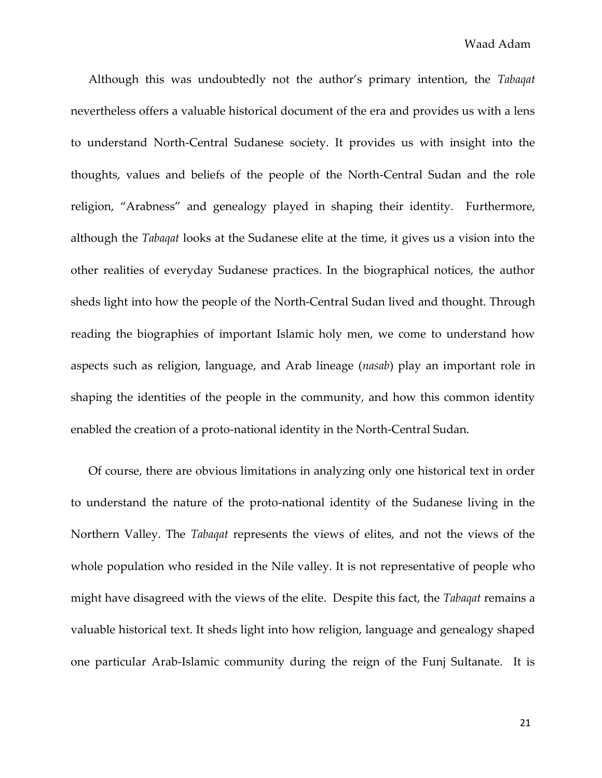Although this was undoubtedly not the author's primary intention, the *Tabaqat* nevertheless offers a valuable historical document of the era and provides us with a lens to understand North-Central Sudanese society. It provides us with insight into the thoughts, values and beliefs of the people of the North-Central Sudan and the role religion, "Arabness" and genealogy played in shaping their identity. Furthermore, although the *Tabaqat* looks at the Sudanese elite at the time, it gives us a vision into the other realities of everyday Sudanese practices. In the biographical notices, the author sheds light into how the people of the North-Central Sudan lived and thought. Through reading the biographies of important Islamic holy men, we come to understand how aspects such as religion, language, and Arab lineage (*nasab*) play an important role in shaping the identities of the people in the community, and how this common identity enabled the creation of a proto-national identity in the North-Central Sudan.

Of course, there are obvious limitations in analyzing only one historical text in order to understand the nature of the proto-national identity of the Sudanese living in the Northern Valley. The *Tabaqat* represents the views of elites, and not the views of the whole population who resided in the Nile valley. It is not representative of people who might have disagreed with the views of the elite. Despite this fact, the *Tabaqat* remains a valuable historical text. It sheds light into how religion, language and genealogy shaped one particular Arab-Islamic community during the reign of the Funj Sultanate. It is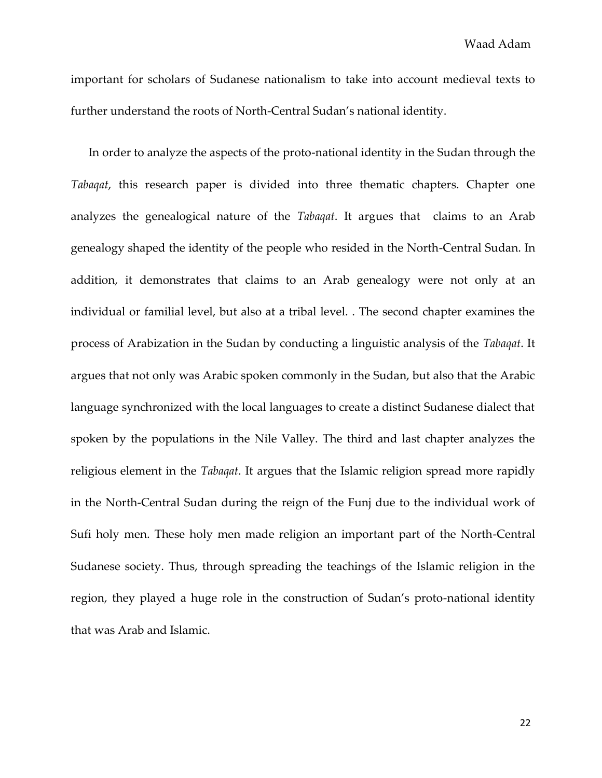Waad Adam

important for scholars of Sudanese nationalism to take into account medieval texts to further understand the roots of North-Central Sudan's national identity.

In order to analyze the aspects of the proto-national identity in the Sudan through the *Tabaqat*, this research paper is divided into three thematic chapters. Chapter one analyzes the genealogical nature of the *Tabaqat*. It argues that claims to an Arab genealogy shaped the identity of the people who resided in the North-Central Sudan. In addition, it demonstrates that claims to an Arab genealogy were not only at an individual or familial level, but also at a tribal level. . The second chapter examines the process of Arabization in the Sudan by conducting a linguistic analysis of the *Tabaqat*. It argues that not only was Arabic spoken commonly in the Sudan, but also that the Arabic language synchronized with the local languages to create a distinct Sudanese dialect that spoken by the populations in the Nile Valley. The third and last chapter analyzes the religious element in the *Tabaqat*. It argues that the Islamic religion spread more rapidly in the North-Central Sudan during the reign of the Funj due to the individual work of Sufi holy men. These holy men made religion an important part of the North-Central Sudanese society. Thus, through spreading the teachings of the Islamic religion in the region, they played a huge role in the construction of Sudan's proto-national identity that was Arab and Islamic.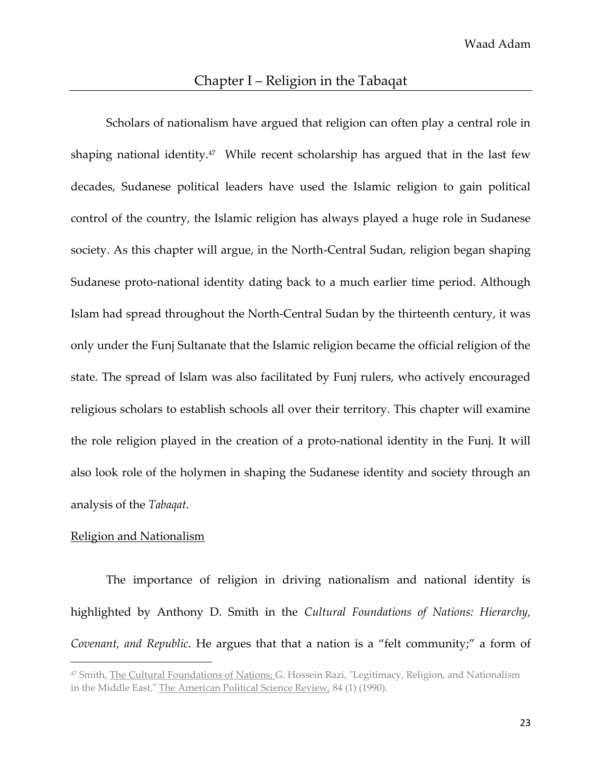Scholars of nationalism have argued that religion can often play a central role in shaping national identity.<sup>47</sup> While recent scholarship has argued that in the last few decades, Sudanese political leaders have used the Islamic religion to gain political control of the country, the Islamic religion has always played a huge role in Sudanese society. As this chapter will argue, in the North-Central Sudan, religion began shaping Sudanese proto-national identity dating back to a much earlier time period. Although Islam had spread throughout the North-Central Sudan by the thirteenth century, it was only under the Funj Sultanate that the Islamic religion became the official religion of the state. The spread of Islam was also facilitated by Funj rulers, who actively encouraged religious scholars to establish schools all over their territory. This chapter will examine the role religion played in the creation of a proto-national identity in the Funj. It will also look role of the holymen in shaping the Sudanese identity and society through an analysis of the *Tabaqat*.

#### Religion and Nationalism

 $\overline{\phantom{a}}$ 

The importance of religion in driving nationalism and national identity is highlighted by Anthony D. Smith in the *Cultural Foundations of Nations: Hierarchy, Covenant, and Republic*. He argues that that a nation is a "felt community;" a form of

<sup>47</sup> Smith, The Cultural Foundations of Nations; G. Hossein Razi, "Legitimacy, Religion, and Nationalism in the Middle East," The American Political Science Review, 84 (1) (1990).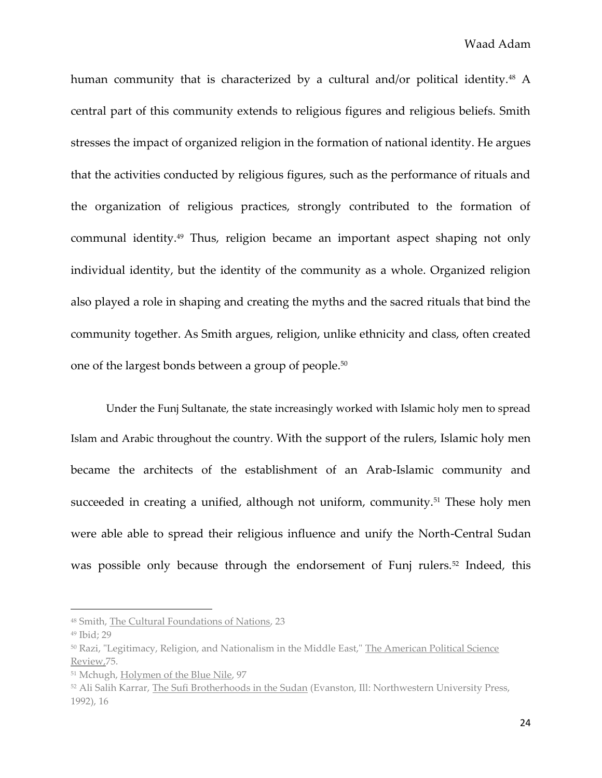human community that is characterized by a cultural and/or political identity.<sup>48</sup> A central part of this community extends to religious figures and religious beliefs. Smith stresses the impact of organized religion in the formation of national identity. He argues that the activities conducted by religious figures, such as the performance of rituals and the organization of religious practices, strongly contributed to the formation of communal identity.<sup>49</sup> Thus, religion became an important aspect shaping not only individual identity, but the identity of the community as a whole. Organized religion also played a role in shaping and creating the myths and the sacred rituals that bind the community together. As Smith argues, religion, unlike ethnicity and class, often created one of the largest bonds between a group of people.<sup>50</sup>

Under the Funj Sultanate, the state increasingly worked with Islamic holy men to spread Islam and Arabic throughout the country. With the support of the rulers, Islamic holy men became the architects of the establishment of an Arab-Islamic community and succeeded in creating a unified, although not uniform, community.<sup>51</sup> These holy men were able able to spread their religious influence and unify the North-Central Sudan was possible only because through the endorsement of Funj rulers.<sup>52</sup> Indeed, this

<sup>48</sup> Smith, The Cultural Foundations of Nations, 23

<sup>49</sup> Ibid; 29

<sup>50</sup> Razi, "Legitimacy, Religion, and Nationalism in the Middle East," The American Political Science Review,75.

<sup>51</sup> Mchugh, Holymen of the Blue Nile, 97

<sup>52</sup> Ali Salih Karrar, The Sufi Brotherhoods in the Sudan (Evanston, Ill: Northwestern University Press, 1992), 16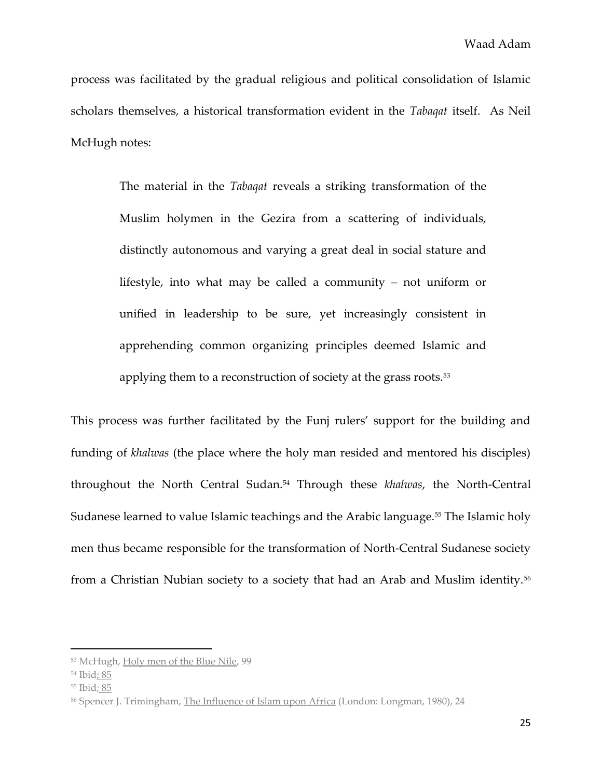process was facilitated by the gradual religious and political consolidation of Islamic scholars themselves, a historical transformation evident in the *Tabaqat* itself. As Neil McHugh notes:

> The material in the *Tabaqat* reveals a striking transformation of the Muslim holymen in the Gezira from a scattering of individuals, distinctly autonomous and varying a great deal in social stature and lifestyle, into what may be called a community – not uniform or unified in leadership to be sure, yet increasingly consistent in apprehending common organizing principles deemed Islamic and applying them to a reconstruction of society at the grass roots.<sup>53</sup>

This process was further facilitated by the Funj rulers' support for the building and funding of *khalwas* (the place where the holy man resided and mentored his disciples) throughout the North Central Sudan.<sup>54</sup> Through these *khalwas*, the North-Central Sudanese learned to value Islamic teachings and the Arabic language.<sup>55</sup> The Islamic holy men thus became responsible for the transformation of North-Central Sudanese society from a Christian Nubian society to a society that had an Arab and Muslim identity.<sup>56</sup>

<sup>53</sup> McHugh, Holy men of the Blue Nile, 99

<sup>54</sup> Ibid; 85

<sup>55</sup> Ibid; 85

<sup>&</sup>lt;sup>56</sup> Spencer J. Trimingham, The Influence of Islam upon Africa (London: Longman, 1980), 24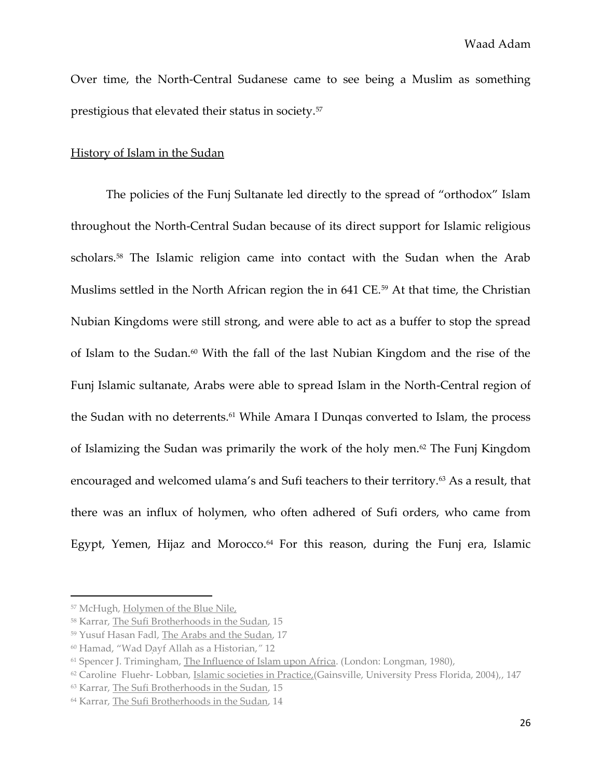Over time, the North-Central Sudanese came to see being a Muslim as something prestigious that elevated their status in society.<sup>57</sup>

#### History of Islam in the Sudan

The policies of the Funj Sultanate led directly to the spread of "orthodox" Islam throughout the North-Central Sudan because of its direct support for Islamic religious scholars.<sup>58</sup> The Islamic religion came into contact with the Sudan when the Arab Muslims settled in the North African region the in 641 CE.<sup>59</sup> At that time, the Christian Nubian Kingdoms were still strong, and were able to act as a buffer to stop the spread of Islam to the Sudan.<sup>60</sup> With the fall of the last Nubian Kingdom and the rise of the Funj Islamic sultanate, Arabs were able to spread Islam in the North-Central region of the Sudan with no deterrents.<sup>61</sup> While Amara I Dungas converted to Islam, the process of Islamizing the Sudan was primarily the work of the holy men.<sup>62</sup> The Funj Kingdom encouraged and welcomed ulama's and Sufi teachers to their territory.<sup>63</sup> As a result, that there was an influx of holymen, who often adhered of Sufi orders, who came from Egypt, Yemen, Hijaz and Morocco.<sup>64</sup> For this reason, during the Funj era, Islamic

<sup>57</sup> McHugh, Holymen of the Blue Nile,

<sup>58</sup> Karrar, The Sufi Brotherhoods in the Sudan, 15

<sup>59</sup> Yusuf Hasan Fadl, The Arabs and the Sudan, 17

<sup>&</sup>lt;sup>60</sup> Hamad, "Wad Dayf Allah as a Historian," 12

<sup>61</sup> Spencer J. Trimingham, The Influence of Islam upon Africa. (London: Longman, 1980),

<sup>62</sup> Caroline Fluehr- Lobban, Islamic societies in Practice,(Gainsville, University Press Florida, 2004),, 147

<sup>63</sup> Karrar, The Sufi Brotherhoods in the Sudan, 15

<sup>64</sup> Karrar, The Sufi Brotherhoods in the Sudan, 14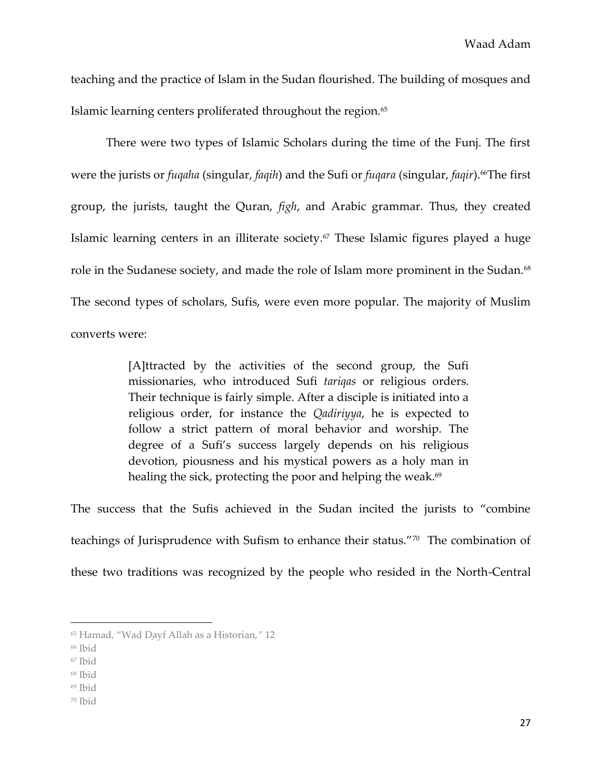teaching and the practice of Islam in the Sudan flourished. The building of mosques and Islamic learning centers proliferated throughout the region.<sup>65</sup>

There were two types of Islamic Scholars during the time of the Funj. The first were the jurists or *fuqaha* (singular, *faqih*) and the Sufi or *fuqara* (singular, *faqir*).66The first group, the jurists, taught the Quran, *figh*, and Arabic grammar. Thus, they created Islamic learning centers in an illiterate society.<sup> $\sigma$ </sup> These Islamic figures played a huge role in the Sudanese society, and made the role of Islam more prominent in the Sudan.<sup>68</sup> The second types of scholars, Sufis, were even more popular. The majority of Muslim converts were:

> [A]ttracted by the activities of the second group, the Sufi missionaries, who introduced Sufi *tariqas* or religious orders. Their technique is fairly simple. After a disciple is initiated into a religious order, for instance the *Qadiriyya*, he is expected to follow a strict pattern of moral behavior and worship. The degree of a Sufi's success largely depends on his religious devotion, piousness and his mystical powers as a holy man in healing the sick, protecting the poor and helping the weak. $69$

The success that the Sufis achieved in the Sudan incited the jurists to "combine teachings of Jurisprudence with Sufism to enhance their status."<sup>70</sup> The combination of these two traditions was recognized by the people who resided in the North-Central

- <sup>67</sup> Ibid
- <sup>68</sup> Ibid
- <sup>69</sup> Ibid
- <sup>70</sup> Ibid

<sup>&</sup>lt;sup>65</sup> Hamad, "Wad Dayf Allah as a Historian," 12

<sup>66</sup> Ibid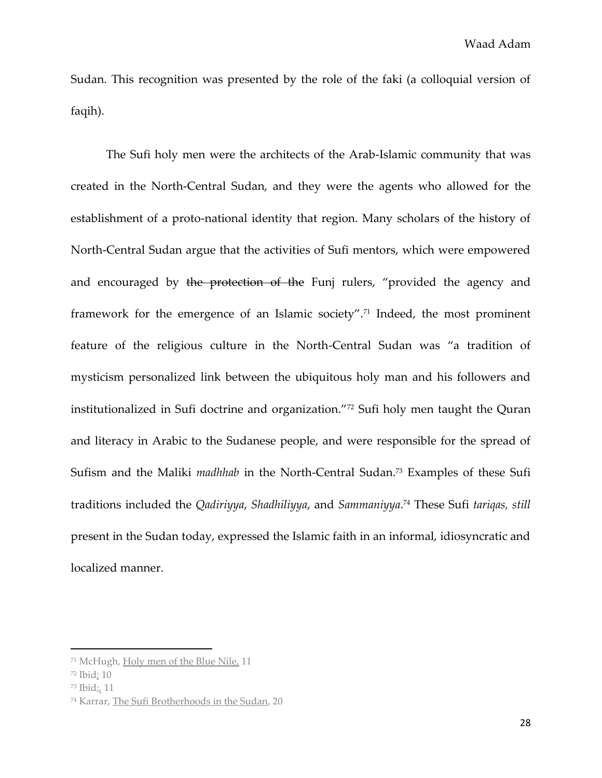Sudan. This recognition was presented by the role of the faki (a colloquial version of faqih).

The Sufi holy men were the architects of the Arab-Islamic community that was created in the North-Central Sudan, and they were the agents who allowed for the establishment of a proto-national identity that region. Many scholars of the history of North-Central Sudan argue that the activities of Sufi mentors, which were empowered and encouraged by the protection of the Funj rulers, "provided the agency and framework for the emergence of an Islamic society".<sup>71</sup> Indeed, the most prominent feature of the religious culture in the North-Central Sudan was "a tradition of mysticism personalized link between the ubiquitous holy man and his followers and institutionalized in Sufi doctrine and organization."<sup>72</sup> Sufi holy men taught the Quran and literacy in Arabic to the Sudanese people, and were responsible for the spread of Sufism and the Maliki *madhhab* in the North-Central Sudan.<sup>73</sup> Examples of these Sufi traditions included the *Qadiriyya*, *Shadhiliyya*, and *Sammaniyya*. <sup>74</sup> These Sufi *tariqas, still* present in the Sudan today, expressed the Islamic faith in an informal, idiosyncratic and localized manner.

<sup>71</sup> McHugh, Holy men of the Blue Nile, 11

<sup>72</sup> Ibid; 10

<sup>73</sup> Ibid;, 11

<sup>74</sup> Karrar, The Sufi Brotherhoods in the Sudan, 20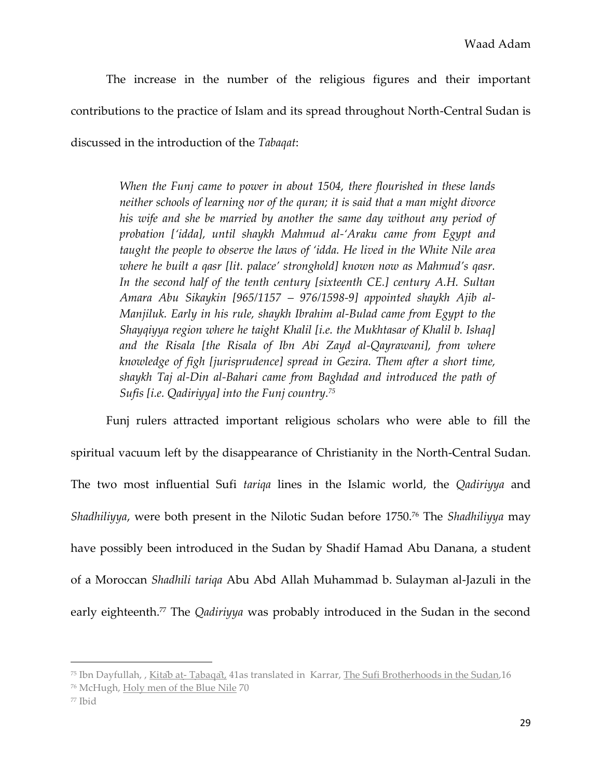The increase in the number of the religious figures and their important contributions to the practice of Islam and its spread throughout North-Central Sudan is discussed in the introduction of the *Tabaqat*:

> *When the Funj came to power in about 1504, there flourished in these lands neither schools of learning nor of the quran; it is said that a man might divorce his wife and she be married by another the same day without any period of probation ['idda], until shaykh Mahmud al-'Araku came from Egypt and taught the people to observe the laws of 'idda. He lived in the White Nile area where he built a qasr [lit. palace' stronghold] known now as Mahmud's qasr.*  In the second half of the tenth century [sixteenth CE.] century A.H. Sultan *Amara Abu Sikaykin [965/1157 – 976/1598-9] appointed shaykh Ajib al-Manjiluk. Early in his rule, shaykh Ibrahim al-Bulad came from Egypt to the Shayqiyya region where he taight Khalil [i.e. the Mukhtasar of Khalil b. Ishaq] and the Risala [the Risala of Ibn Abi Zayd al-Qayrawani], from where knowledge of figh [jurisprudence] spread in Gezira. Them after a short time, shaykh Taj al-Din al-Bahari came from Baghdad and introduced the path of Sufis [i.e. Qadiriyya] into the Funj country.<sup>75</sup>*

Funj rulers attracted important religious scholars who were able to fill the spiritual vacuum left by the disappearance of Christianity in the North-Central Sudan. The two most influential Sufi *tariqa* lines in the Islamic world, the *Qadiriyya* and *Shadhiliyya*, were both present in the Nilotic Sudan before 1750.<sup>76</sup> The *Shadhiliyya* may have possibly been introduced in the Sudan by Shadif Hamad Abu Danana, a student of a Moroccan *Shadhili tariqa* Abu Abd Allah Muhammad b. Sulayman al-Jazuli in the early eighteenth. <sup>77</sup> The *Qadiriyya* was probably introduced in the Sudan in the second

<sup>&</sup>lt;sup>75</sup> Ibn Dayfullah, , Kitab at-Tabagat, 41as translated in Karrar, The Sufi Brotherhoods in the Sudan, 16

<sup>76</sup> McHugh, Holy men of the Blue Nile 70

<sup>77</sup> Ibid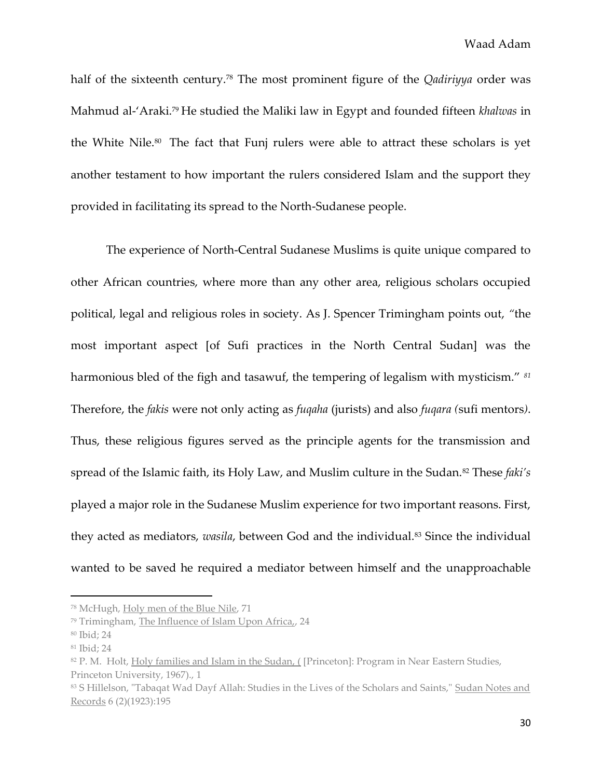half of the sixteenth century.<sup>78</sup> The most prominent figure of the *Qadiriyya* order was Mahmud al-'Araki.<sup>79</sup> He studied the Maliki law in Egypt and founded fifteen *khalwas* in the White Nile.80 The fact that Funj rulers were able to attract these scholars is yet another testament to how important the rulers considered Islam and the support they provided in facilitating its spread to the North-Sudanese people.

The experience of North-Central Sudanese Muslims is quite unique compared to other African countries, where more than any other area, religious scholars occupied political, legal and religious roles in society. As J. Spencer Trimingham points out, *"*the most important aspect [of Sufi practices in the North Central Sudan] was the harmonious bled of the figh and tasawuf, the tempering of legalism with mysticism." *<sup>81</sup>* Therefore, the *fakis* were not only acting as *fuqaha* (jurists) and also *fuqara (*sufi mentors*)*. Thus, these religious figures served as the principle agents for the transmission and spread of the Islamic faith, its Holy Law, and Muslim culture in the Sudan.<sup>82</sup> These *faki's* played a major role in the Sudanese Muslim experience for two important reasons. First, they acted as mediators, *wasila*, between God and the individual.<sup>83</sup> Since the individual wanted to be saved he required a mediator between himself and the unapproachable

<sup>78</sup> McHugh, Holy men of the Blue Nile, 71

<sup>79</sup> Trimingham, The Influence of Islam Upon Africa,, 24

<sup>80</sup> Ibid; 24

<sup>81</sup> Ibid; 24

<sup>82</sup> P. M. Holt, Holy families and Islam in the Sudan, ([Princeton]: Program in Near Eastern Studies, Princeton University, 1967)., 1

<sup>83</sup> S Hillelson, "Tabaqat Wad Dayf Allah: Studies in the Lives of the Scholars and Saints," Sudan Notes and Records 6 (2)(1923):195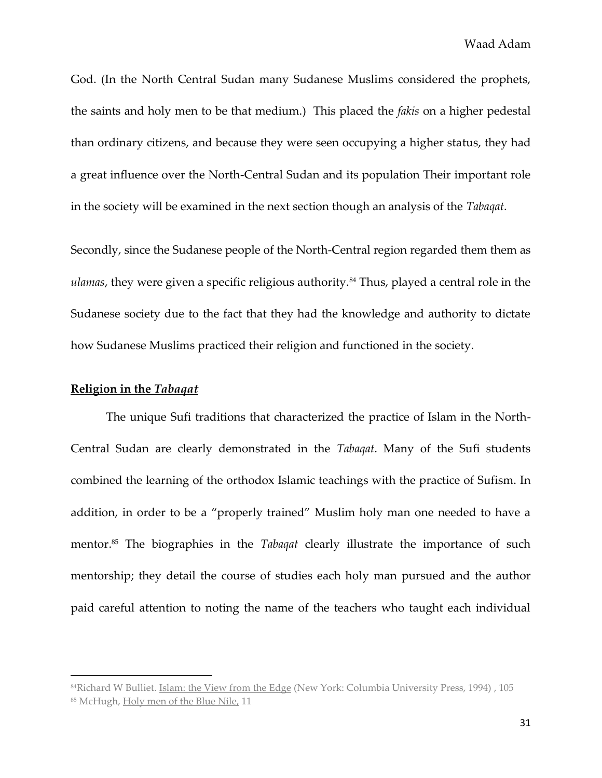God. (In the North Central Sudan many Sudanese Muslims considered the prophets, the saints and holy men to be that medium.) This placed the *fakis* on a higher pedestal than ordinary citizens, and because they were seen occupying a higher status, they had a great influence over the North-Central Sudan and its population Their important role in the society will be examined in the next section though an analysis of the *Tabaqat*.

Secondly, since the Sudanese people of the North-Central region regarded them them as *ulamas*, they were given a specific religious authority.<sup>84</sup> Thus, played a central role in the Sudanese society due to the fact that they had the knowledge and authority to dictate how Sudanese Muslims practiced their religion and functioned in the society.

# **Religion in the** *Tabaqat*

l

The unique Sufi traditions that characterized the practice of Islam in the North-Central Sudan are clearly demonstrated in the *Tabaqat*. Many of the Sufi students combined the learning of the orthodox Islamic teachings with the practice of Sufism. In addition, in order to be a "properly trained" Muslim holy man one needed to have a mentor.<sup>85</sup> The biographies in the *Tabaqat* clearly illustrate the importance of such mentorship; they detail the course of studies each holy man pursued and the author paid careful attention to noting the name of the teachers who taught each individual

<sup>84</sup>Richard W Bulliet. Islam: the View from the Edge (New York: Columbia University Press, 1994) , 105 <sup>85</sup> McHugh, Holy men of the Blue Nile, 11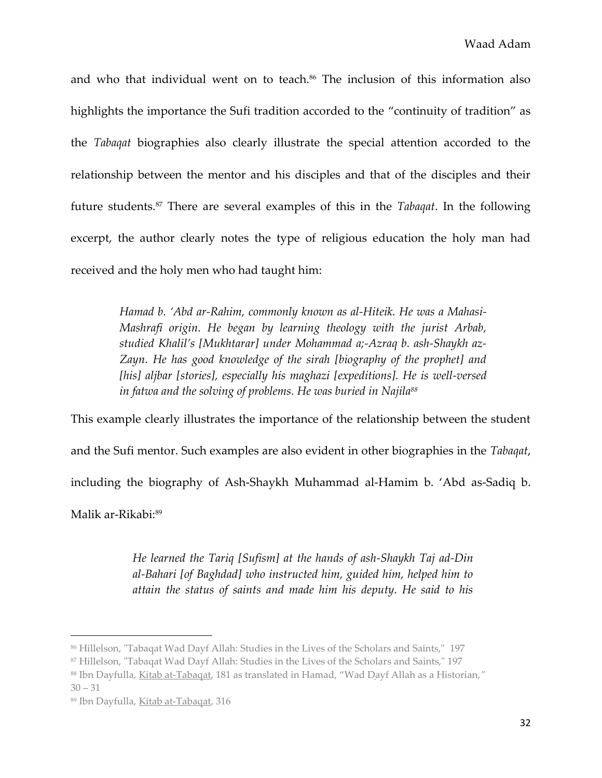and who that individual went on to teach.<sup>86</sup> The inclusion of this information also highlights the importance the Sufi tradition accorded to the "continuity of tradition" as the *Tabaqat* biographies also clearly illustrate the special attention accorded to the relationship between the mentor and his disciples and that of the disciples and their future students.<sup>87</sup> There are several examples of this in the *Tabaqat*. In the following excerpt, the author clearly notes the type of religious education the holy man had received and the holy men who had taught him:

> *Hamad b. 'Abd ar-Rahim, commonly known as al-Hiteik. He was a Mahasi-Mashrafi origin. He began by learning theology with the jurist Arbab, studied Khalil's [Mukhtarar] under Mohammad a;-Azraq b. ash-Shaykh az-Zayn. He has good knowledge of the sirah [biography of the prophet] and [his] aljbar [stories], especially his maghazi [expeditions]. He is well-versed in fatwa and the solving of problems. He was buried in Najila<sup>88</sup>*

This example clearly illustrates the importance of the relationship between the student and the Sufi mentor. Such examples are also evident in other biographies in the *Tabaqat*, including the biography of Ash-Shaykh Muhammad al-Hamim b. 'Abd as-Sadiq b. Malik ar-Rikabi:<sup>89</sup>

> *He learned the Tariq [Sufism] at the hands of ash-Shaykh Taj ad-Din al-Bahari [of Baghdad] who instructed him, guided him, helped him to attain the status of saints and made him his deputy. He said to his*

<sup>86</sup> Hillelson, "Tabaqat Wad Dayf Allah: Studies in the Lives of the Scholars and Saints," 197

<sup>87</sup> Hillelson, "Tabaqat Wad Dayf Allah: Studies in the Lives of the Scholars and Saints," 197

<sup>88</sup> Ibn Dayfulla, Kitab at-Tabaqat, 181 as translated in Hamad, "Wad Dayf Allah as a Historian,"

 $30 - 31$ 

<sup>89</sup> Ibn Dayfulla, Kitab at-Tabaqat, 316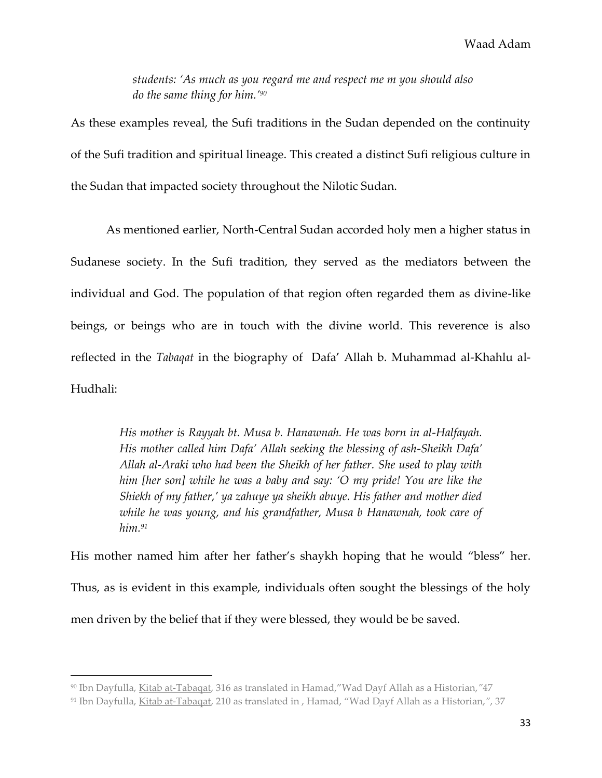*students: 'As much as you regard me and respect me m you should also do the same thing for him.'<sup>90</sup>*

As these examples reveal, the Sufi traditions in the Sudan depended on the continuity of the Sufi tradition and spiritual lineage. This created a distinct Sufi religious culture in the Sudan that impacted society throughout the Nilotic Sudan.

As mentioned earlier, North-Central Sudan accorded holy men a higher status in Sudanese society. In the Sufi tradition, they served as the mediators between the individual and God. The population of that region often regarded them as divine-like beings, or beings who are in touch with the divine world. This reverence is also reflected in the *Tabaqat* in the biography of Dafa' Allah b. Muhammad al-Khahlu al-Hudhali:

> *His mother is Rayyah bt. Musa b. Hanawnah. He was born in al-Halfayah. His mother called him Dafa' Allah seeking the blessing of ash-Sheikh Dafa' Allah al-Araki who had been the Sheikh of her father. She used to play with him [her son] while he was a baby and say: 'O my pride! You are like the Shiekh of my father,' ya zahuye ya sheikh abuye. His father and mother died while he was young, and his grandfather, Musa b Hanawnah, took care of him.<sup>91</sup>*

His mother named him after her father's shaykh hoping that he would "bless" her. Thus, as is evident in this example, individuals often sought the blessings of the holy men driven by the belief that if they were blessed, they would be be saved.

<sup>90</sup> Ibn Dayfulla, Kitab at-Tabaqat, 316 as translated in Hamad," Wad Dayf Allah as a Historian, "47

<sup>&</sup>lt;sup>91</sup> Ibn Dayfulla, Kitab at-Tabaqat, 210 as translated in, Hamad, "Wad Dayf Allah as a Historian,", 37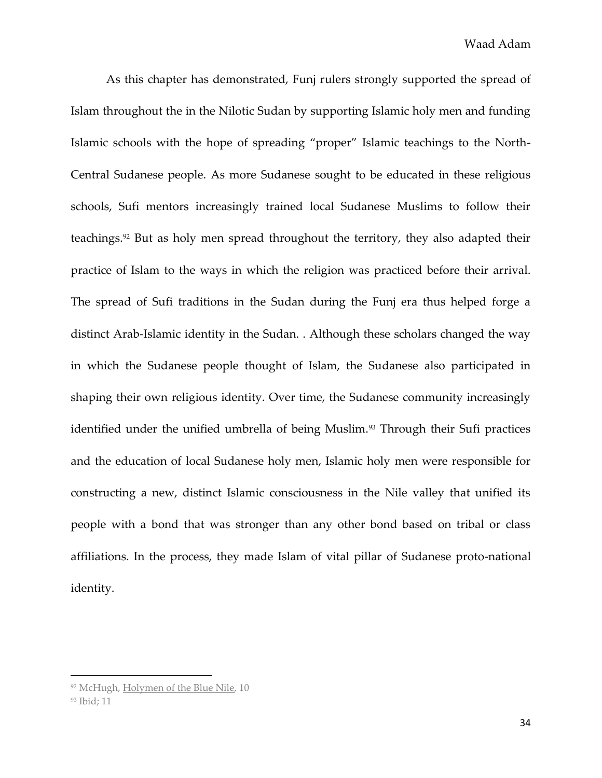As this chapter has demonstrated, Funj rulers strongly supported the spread of Islam throughout the in the Nilotic Sudan by supporting Islamic holy men and funding Islamic schools with the hope of spreading "proper" Islamic teachings to the North-Central Sudanese people. As more Sudanese sought to be educated in these religious schools, Sufi mentors increasingly trained local Sudanese Muslims to follow their teachings.<sup>92</sup> But as holy men spread throughout the territory, they also adapted their practice of Islam to the ways in which the religion was practiced before their arrival. The spread of Sufi traditions in the Sudan during the Funj era thus helped forge a distinct Arab-Islamic identity in the Sudan. . Although these scholars changed the way in which the Sudanese people thought of Islam, the Sudanese also participated in shaping their own religious identity. Over time, the Sudanese community increasingly identified under the unified umbrella of being Muslim.<sup>93</sup> Through their Sufi practices and the education of local Sudanese holy men, Islamic holy men were responsible for constructing a new, distinct Islamic consciousness in the Nile valley that unified its people with a bond that was stronger than any other bond based on tribal or class affiliations. In the process, they made Islam of vital pillar of Sudanese proto-national identity.

<sup>92</sup> McHugh, Holymen of the Blue Nile, 10

<sup>93</sup> Ibid; 11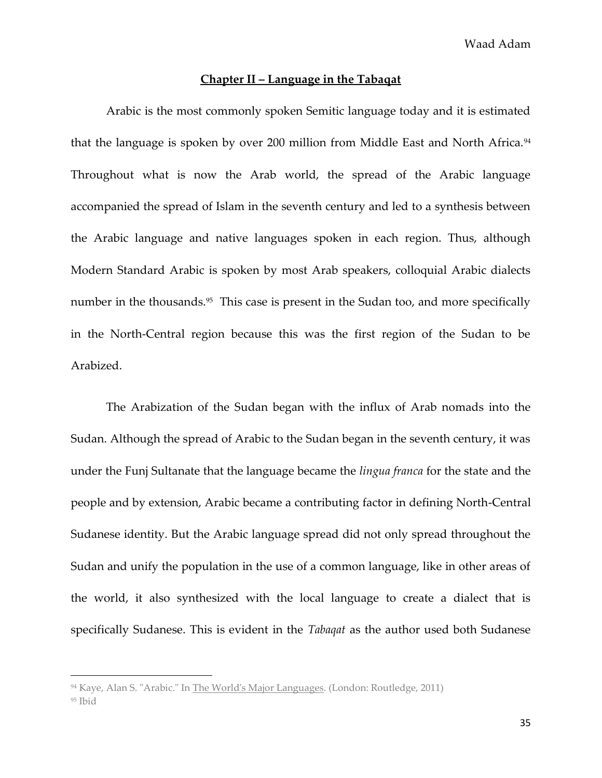# **Chapter II – Language in the Tabaqat**

Arabic is the most commonly spoken Semitic language today and it is estimated that the language is spoken by over 200 million from Middle East and North Africa.<sup>94</sup> Throughout what is now the Arab world, the spread of the Arabic language accompanied the spread of Islam in the seventh century and led to a synthesis between the Arabic language and native languages spoken in each region. Thus, although Modern Standard Arabic is spoken by most Arab speakers, colloquial Arabic dialects number in the thousands.<sup>95</sup> This case is present in the Sudan too, and more specifically in the North-Central region because this was the first region of the Sudan to be Arabized.

The Arabization of the Sudan began with the influx of Arab nomads into the Sudan. Although the spread of Arabic to the Sudan began in the seventh century, it was under the Funj Sultanate that the language became the *lingua franca* for the state and the people and by extension, Arabic became a contributing factor in defining North-Central Sudanese identity. But the Arabic language spread did not only spread throughout the Sudan and unify the population in the use of a common language, like in other areas of the world, it also synthesized with the local language to create a dialect that is specifically Sudanese. This is evident in the *Tabaqat* as the author used both Sudanese

<sup>94</sup> Kaye, Alan S. "Arabic." In The World's Major Languages. (London: Routledge, 2011)

<sup>95</sup> Ibid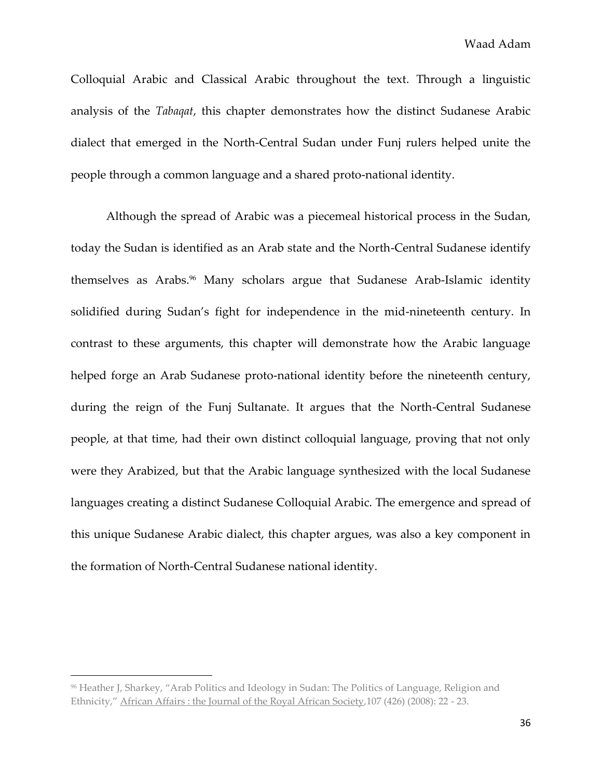Colloquial Arabic and Classical Arabic throughout the text. Through a linguistic analysis of the *Tabaqat*, this chapter demonstrates how the distinct Sudanese Arabic dialect that emerged in the North-Central Sudan under Funj rulers helped unite the people through a common language and a shared proto-national identity.

Although the spread of Arabic was a piecemeal historical process in the Sudan, today the Sudan is identified as an Arab state and the North-Central Sudanese identify themselves as Arabs.<sup>96</sup> Many scholars argue that Sudanese Arab-Islamic identity solidified during Sudan's fight for independence in the mid-nineteenth century. In contrast to these arguments, this chapter will demonstrate how the Arabic language helped forge an Arab Sudanese proto-national identity before the nineteenth century, during the reign of the Funj Sultanate. It argues that the North-Central Sudanese people, at that time, had their own distinct colloquial language, proving that not only were they Arabized, but that the Arabic language synthesized with the local Sudanese languages creating a distinct Sudanese Colloquial Arabic. The emergence and spread of this unique Sudanese Arabic dialect, this chapter argues, was also a key component in the formation of North-Central Sudanese national identity.

<sup>&</sup>lt;sup>96</sup> Heather J, Sharkey, "Arab Politics and Ideology in Sudan: The Politics of Language, Religion and Ethnicity," African Affairs : the Journal of the Royal African Society*,*107 (426) (2008): 22 - 23.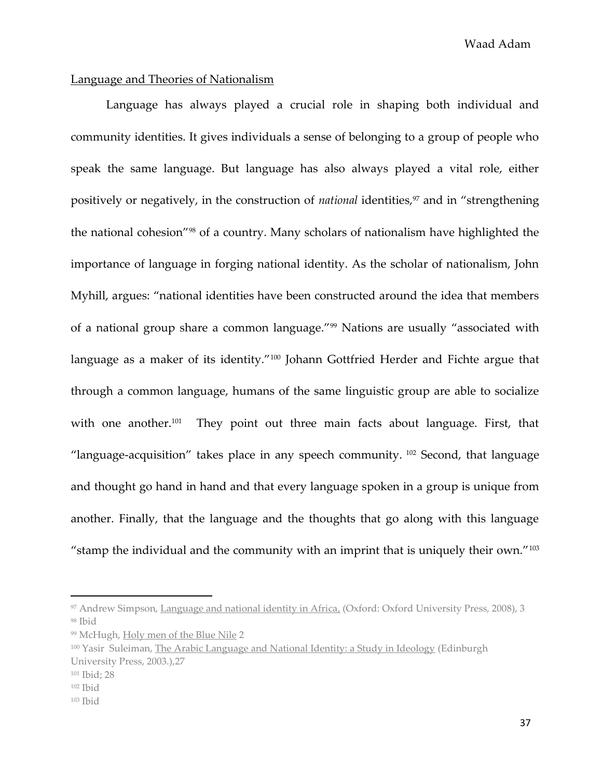Waad Adam

## Language and Theories of Nationalism

Language has always played a crucial role in shaping both individual and community identities. It gives individuals a sense of belonging to a group of people who speak the same language. But language has also always played a vital role, either positively or negatively, in the construction of *national* identities,<sup>97</sup> and in "strengthening the national cohesion"<sup>98</sup> of a country. Many scholars of nationalism have highlighted the importance of language in forging national identity. As the scholar of nationalism, John Myhill, argues: "national identities have been constructed around the idea that members of a national group share a common language."<sup>99</sup> Nations are usually "associated with language as a maker of its identity."<sup>100</sup> Johann Gottfried Herder and Fichte argue that through a common language, humans of the same linguistic group are able to socialize with one another.<sup>101</sup> They point out three main facts about language. First, that "language-acquisition" takes place in any speech community.  $102$  Second, that language and thought go hand in hand and that every language spoken in a group is unique from another. Finally, that the language and the thoughts that go along with this language "stamp the individual and the community with an imprint that is uniquely their own."<sup>103</sup>

<sup>97</sup> Andrew Simpson, Language and national identity in Africa, (Oxford: Oxford University Press, 2008), 3 <sup>98</sup> Ibid

<sup>99</sup> McHugh, Holy men of the Blue Nile 2

<sup>&</sup>lt;sup>100</sup> Yasir Suleiman, The Arabic Language and National Identity: a Study in Ideology (Edinburgh University Press, 2003.),27

<sup>101</sup> Ibid; 28

<sup>102</sup> Ibid

<sup>103</sup> Ibid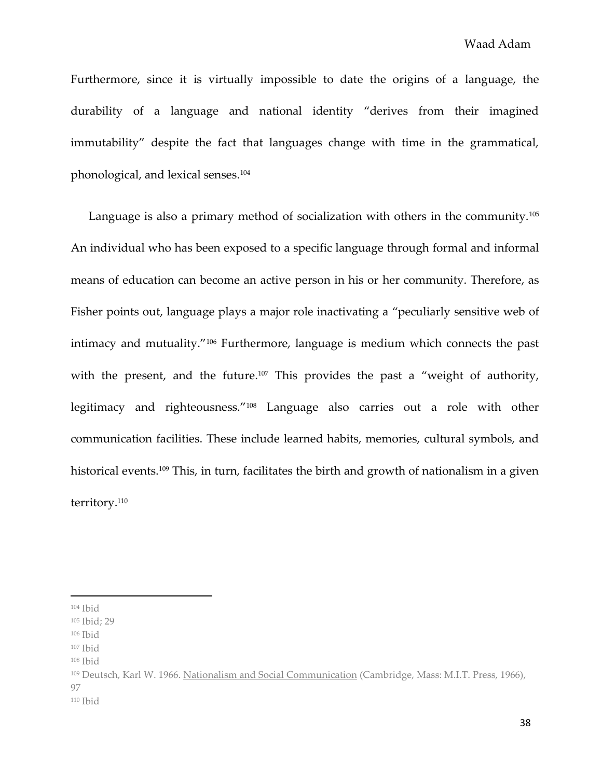Furthermore, since it is virtually impossible to date the origins of a language, the durability of a language and national identity "derives from their imagined immutability" despite the fact that languages change with time in the grammatical, phonological, and lexical senses.<sup>104</sup>

Language is also a primary method of socialization with others in the community.<sup>105</sup> An individual who has been exposed to a specific language through formal and informal means of education can become an active person in his or her community. Therefore, as Fisher points out, language plays a major role inactivating a "peculiarly sensitive web of intimacy and mutuality."<sup>106</sup> Furthermore, language is medium which connects the past with the present, and the future.<sup>107</sup> This provides the past a "weight of authority, legitimacy and righteousness."<sup>108</sup> Language also carries out a role with other communication facilities. These include learned habits, memories, cultural symbols, and historical events.<sup>109</sup> This, in turn, facilitates the birth and growth of nationalism in a given territory.<sup>110</sup>

 $104$  Ibid

<sup>105</sup> Ibid; 29

<sup>106</sup> Ibid

<sup>107</sup> Ibid

<sup>108</sup> Ibid

<sup>109</sup> Deutsch, Karl W. 1966. Nationalism and Social Communication (Cambridge, Mass: M.I.T. Press, 1966), 97  $110$  Ibid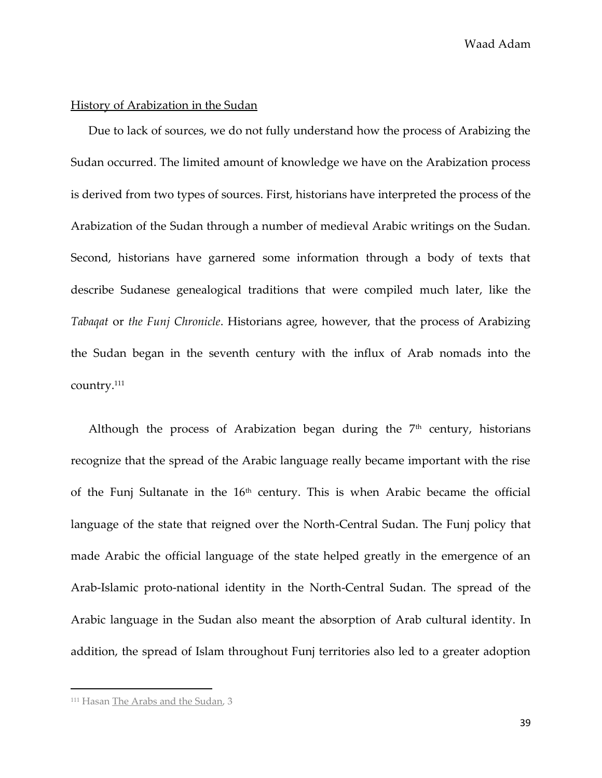Waad Adam

### History of Arabization in the Sudan

Due to lack of sources, we do not fully understand how the process of Arabizing the Sudan occurred. The limited amount of knowledge we have on the Arabization process is derived from two types of sources. First, historians have interpreted the process of the Arabization of the Sudan through a number of medieval Arabic writings on the Sudan. Second, historians have garnered some information through a body of texts that describe Sudanese genealogical traditions that were compiled much later, like the *Tabaqat* or *the Funj Chronicle*. Historians agree, however, that the process of Arabizing the Sudan began in the seventh century with the influx of Arab nomads into the country.<sup>111</sup>

Although the process of Arabization began during the  $7<sup>th</sup>$  century, historians recognize that the spread of the Arabic language really became important with the rise of the Funj Sultanate in the  $16<sup>th</sup>$  century. This is when Arabic became the official language of the state that reigned over the North-Central Sudan. The Funj policy that made Arabic the official language of the state helped greatly in the emergence of an Arab-Islamic proto-national identity in the North-Central Sudan. The spread of the Arabic language in the Sudan also meant the absorption of Arab cultural identity. In addition, the spread of Islam throughout Funj territories also led to a greater adoption

<sup>&</sup>lt;sup>111</sup> Hasan The Arabs and the Sudan, 3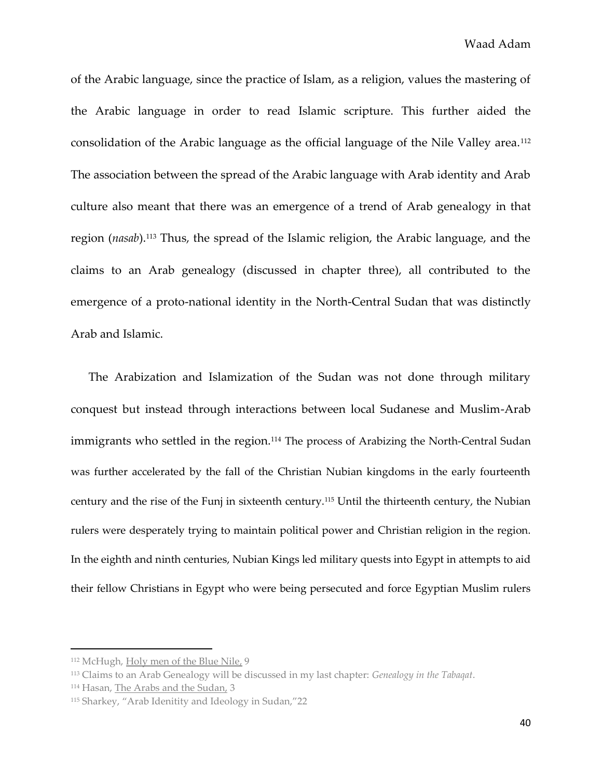of the Arabic language, since the practice of Islam, as a religion, values the mastering of the Arabic language in order to read Islamic scripture. This further aided the consolidation of the Arabic language as the official language of the Nile Valley area.<sup>112</sup> The association between the spread of the Arabic language with Arab identity and Arab culture also meant that there was an emergence of a trend of Arab genealogy in that region (*nasab*).<sup>113</sup> Thus, the spread of the Islamic religion, the Arabic language, and the claims to an Arab genealogy (discussed in chapter three), all contributed to the emergence of a proto-national identity in the North-Central Sudan that was distinctly Arab and Islamic.

The Arabization and Islamization of the Sudan was not done through military conquest but instead through interactions between local Sudanese and Muslim-Arab immigrants who settled in the region.<sup>114</sup> The process of Arabizing the North-Central Sudan was further accelerated by the fall of the Christian Nubian kingdoms in the early fourteenth century and the rise of the Funj in sixteenth century.<sup>115</sup> Until the thirteenth century, the Nubian rulers were desperately trying to maintain political power and Christian religion in the region. In the eighth and ninth centuries, Nubian Kings led military quests into Egypt in attempts to aid their fellow Christians in Egypt who were being persecuted and force Egyptian Muslim rulers

<sup>112</sup> McHugh, Holy men of the Blue Nile, 9

<sup>113</sup> Claims to an Arab Genealogy will be discussed in my last chapter: *Genealogy in the Tabaqat*.

<sup>114</sup> Hasan, The Arabs and the Sudan, 3

<sup>115</sup> Sharkey, "Arab Idenitity and Ideology in Sudan,"22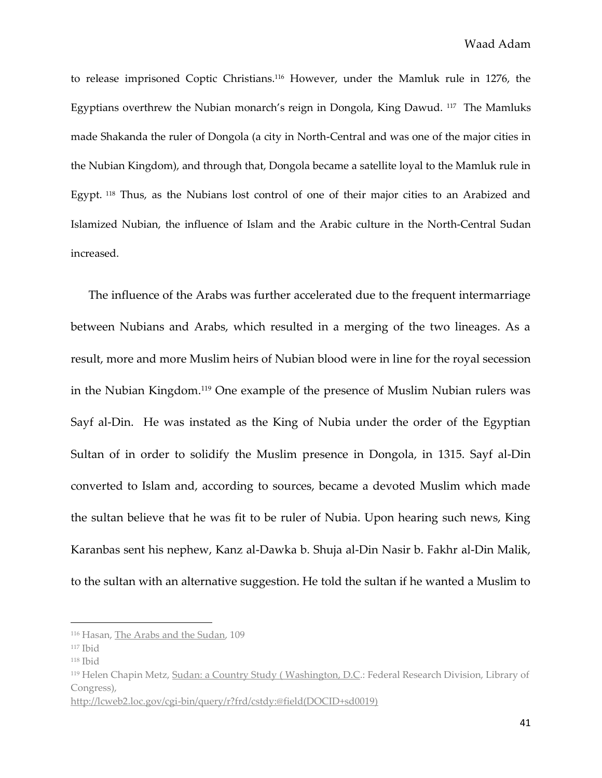to release imprisoned Coptic Christians.<sup>116</sup> However, under the Mamluk rule in 1276, the Egyptians overthrew the Nubian monarch's reign in Dongola, King Dawud. <sup>117</sup> The Mamluks made Shakanda the ruler of Dongola (a city in North-Central and was one of the major cities in the Nubian Kingdom), and through that, Dongola became a satellite loyal to the Mamluk rule in Egypt. <sup>118</sup> Thus, as the Nubians lost control of one of their major cities to an Arabized and Islamized Nubian, the influence of Islam and the Arabic culture in the North-Central Sudan increased.

The influence of the Arabs was further accelerated due to the frequent intermarriage between Nubians and Arabs, which resulted in a merging of the two lineages. As a result, more and more Muslim heirs of Nubian blood were in line for the royal secession in the Nubian Kingdom.<sup>119</sup> One example of the presence of Muslim Nubian rulers was Sayf al-Din. He was instated as the King of Nubia under the order of the Egyptian Sultan of in order to solidify the Muslim presence in Dongola, in 1315. Sayf al-Din converted to Islam and, according to sources, became a devoted Muslim which made the sultan believe that he was fit to be ruler of Nubia. Upon hearing such news, King Karanbas sent his nephew, Kanz al-Dawka b. Shuja al-Din Nasir b. Fakhr al-Din Malik, to the sultan with an alternative suggestion. He told the sultan if he wanted a Muslim to

<sup>116</sup> Hasan, The Arabs and the Sudan, 109

<sup>117</sup> Ibid

<sup>118</sup> Ibid

<sup>119</sup> Helen Chapin Metz, Sudan: a Country Study ( Washington, D.C.: Federal Research Division, Library of Congress),

[http://lcweb2.loc.gov/cgi-bin/query/r?frd/cstdy:@field\(DOCID+sd0019\)](http://lcweb2.loc.gov/cgi-bin/query/r?frd/cstdy:@field(DOCID+sd0019))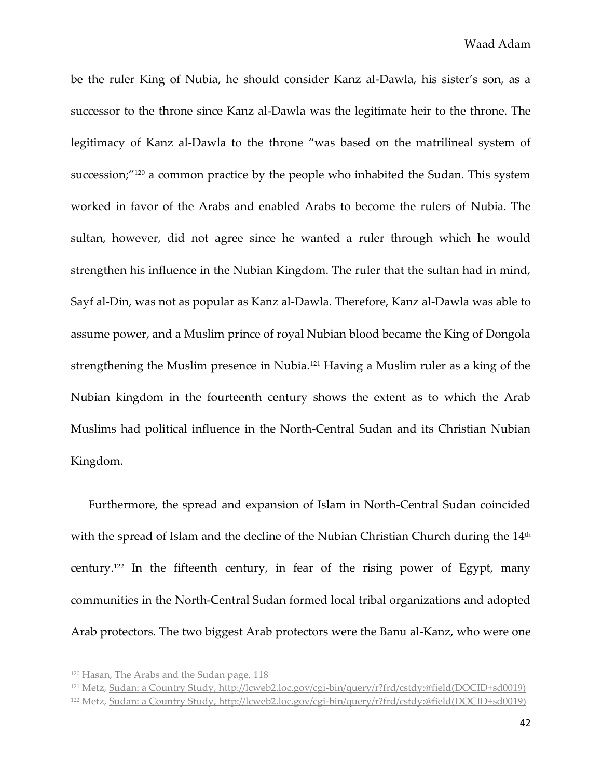be the ruler King of Nubia, he should consider Kanz al-Dawla, his sister's son, as a successor to the throne since Kanz al-Dawla was the legitimate heir to the throne. The legitimacy of Kanz al-Dawla to the throne "was based on the matrilineal system of succession;"<sup>120</sup> a common practice by the people who inhabited the Sudan. This system worked in favor of the Arabs and enabled Arabs to become the rulers of Nubia. The sultan, however, did not agree since he wanted a ruler through which he would strengthen his influence in the Nubian Kingdom. The ruler that the sultan had in mind, Sayf al-Din, was not as popular as Kanz al-Dawla. Therefore, Kanz al-Dawla was able to assume power, and a Muslim prince of royal Nubian blood became the King of Dongola strengthening the Muslim presence in Nubia.<sup>121</sup> Having a Muslim ruler as a king of the Nubian kingdom in the fourteenth century shows the extent as to which the Arab Muslims had political influence in the North-Central Sudan and its Christian Nubian Kingdom.

Furthermore, the spread and expansion of Islam in North-Central Sudan coincided with the spread of Islam and the decline of the Nubian Christian Church during the  $14^{\rm th}$ century.<sup>122</sup> In the fifteenth century, in fear of the rising power of Egypt, many communities in the North-Central Sudan formed local tribal organizations and adopted Arab protectors. The two biggest Arab protectors were the Banu al-Kanz, who were one

<sup>120</sup> Hasan, The Arabs and the Sudan page, 118

<sup>121</sup> Metz, Sudan: a Country Study[, http://lcweb2.loc.gov/cgi-bin/query/r?frd/cstdy:@field\(DOCID+sd0019\)](http://lcweb2.loc.gov/cgi-bin/query/r?frd/cstdy:@field(DOCID+sd0019))

<sup>122</sup> Metz, Sudan: a Country Study[, http://lcweb2.loc.gov/cgi-bin/query/r?frd/cstdy:@field\(DOCID+sd0019\)](http://lcweb2.loc.gov/cgi-bin/query/r?frd/cstdy:@field(DOCID+sd0019))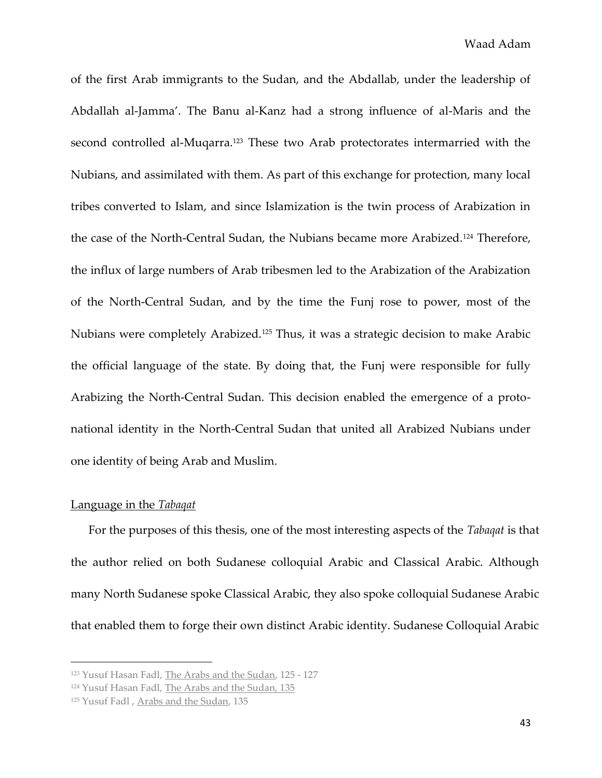of the first Arab immigrants to the Sudan, and the Abdallab, under the leadership of Abdallah al-Jamma'. The Banu al-Kanz had a strong influence of al-Maris and the second controlled al-Muqarra.<sup>123</sup> These two Arab protectorates intermarried with the Nubians, and assimilated with them. As part of this exchange for protection, many local tribes converted to Islam, and since Islamization is the twin process of Arabization in the case of the North-Central Sudan, the Nubians became more Arabized.<sup>124</sup> Therefore, the influx of large numbers of Arab tribesmen led to the Arabization of the Arabization of the North-Central Sudan, and by the time the Funj rose to power, most of the Nubians were completely Arabized.<sup>125</sup> Thus, it was a strategic decision to make Arabic the official language of the state. By doing that, the Funj were responsible for fully Arabizing the North-Central Sudan. This decision enabled the emergence of a protonational identity in the North-Central Sudan that united all Arabized Nubians under one identity of being Arab and Muslim.

#### Language in the *Tabaqat*

 $\overline{\phantom{a}}$ 

For the purposes of this thesis, one of the most interesting aspects of the *Tabaqat* is that the author relied on both Sudanese colloquial Arabic and Classical Arabic. Although many North Sudanese spoke Classical Arabic, they also spoke colloquial Sudanese Arabic that enabled them to forge their own distinct Arabic identity. Sudanese Colloquial Arabic

<sup>123</sup> Yusuf Hasan Fadl, The Arabs and the Sudan, 125 - 127

<sup>124</sup> Yusuf Hasan Fadl, The Arabs and the Sudan, 135

<sup>125</sup> Yusuf Fadl , Arabs and the Sudan, 135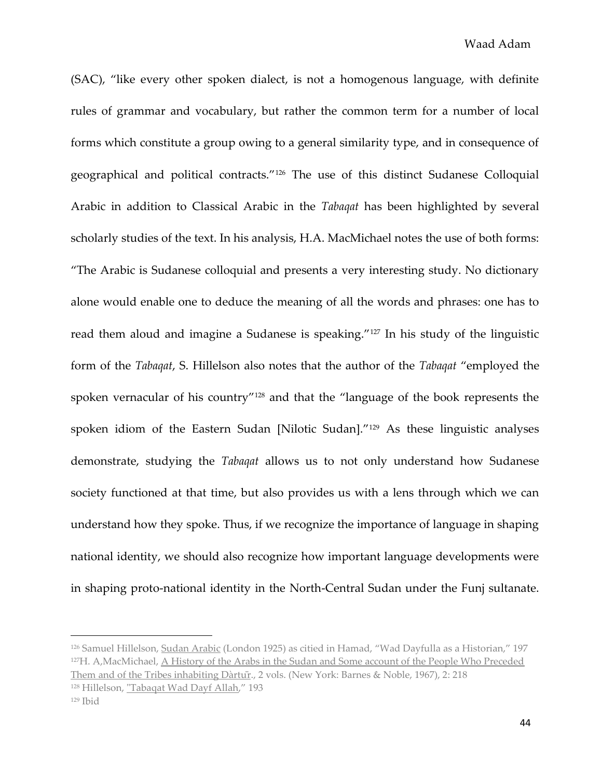(SAC), "like every other spoken dialect, is not a homogenous language, with definite rules of grammar and vocabulary, but rather the common term for a number of local forms which constitute a group owing to a general similarity type, and in consequence of geographical and political contracts."<sup>126</sup> The use of this distinct Sudanese Colloquial Arabic in addition to Classical Arabic in the *Tabaqat* has been highlighted by several scholarly studies of the text. In his analysis, H.A. MacMichael notes the use of both forms: "The Arabic is Sudanese colloquial and presents a very interesting study. No dictionary alone would enable one to deduce the meaning of all the words and phrases: one has to read them aloud and imagine a Sudanese is speaking."<sup>127</sup> In his study of the linguistic form of the *Tabaqat*, S. Hillelson also notes that the author of the *Tabaqat* "employed the spoken vernacular of his country"<sup>128</sup> and that the "language of the book represents the spoken idiom of the Eastern Sudan [Nilotic Sudan]."<sup>129</sup> As these linguistic analyses demonstrate, studying the *Tabaqat* allows us to not only understand how Sudanese society functioned at that time, but also provides us with a lens through which we can understand how they spoke. Thus, if we recognize the importance of language in shaping national identity, we should also recognize how important language developments were in shaping proto-national identity in the North-Central Sudan under the Funj sultanate.

<sup>126</sup> Samuel Hillelson, Sudan Arabic (London 1925) as citied in Hamad, "Wad Dayfulla as a Historian," 197 <sup>127</sup>H. A,MacMichael, A History of the Arabs in the Sudan and Some account of the People Who Preceded Them and of the Tribes inhabiting Dàrtur,, 2 vols. (New York: Barnes & Noble, 1967), 2: 218

<sup>128</sup> Hillelson, "Tabaqat Wad Dayf Allah," 193

 $129$  Ibid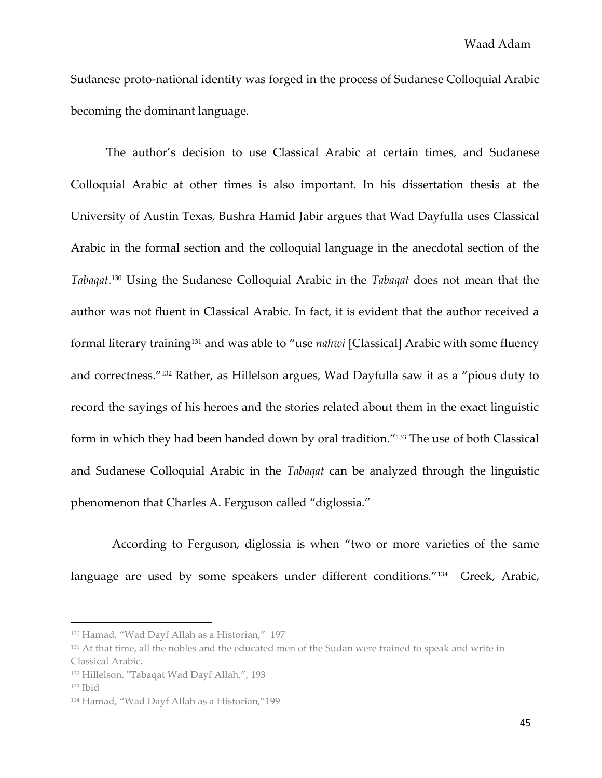Sudanese proto-national identity was forged in the process of Sudanese Colloquial Arabic becoming the dominant language.

The author's decision to use Classical Arabic at certain times, and Sudanese Colloquial Arabic at other times is also important. In his dissertation thesis at the University of Austin Texas, Bushra Hamid Jabir argues that Wad Dayfulla uses Classical Arabic in the formal section and the colloquial language in the anecdotal section of the *Tabaqat*. <sup>130</sup> Using the Sudanese Colloquial Arabic in the *Tabaqat* does not mean that the author was not fluent in Classical Arabic. In fact, it is evident that the author received a formal literary training<sup>131</sup> and was able to "use *nahwi* [Classical] Arabic with some fluency and correctness."<sup>132</sup> Rather, as Hillelson argues, Wad Dayfulla saw it as a "pious duty to record the sayings of his heroes and the stories related about them in the exact linguistic form in which they had been handed down by oral tradition."<sup>133</sup> The use of both Classical and Sudanese Colloquial Arabic in the *Tabaqat* can be analyzed through the linguistic phenomenon that Charles A. Ferguson called "diglossia."

 According to Ferguson, diglossia is when "two or more varieties of the same language are used by some speakers under different conditions."<sup>134</sup> Greek, Arabic,

<sup>&</sup>lt;sup>130</sup> Hamad, "Wad Dayf Allah as a Historian," 197

<sup>&</sup>lt;sup>131</sup> At that time, all the nobles and the educated men of the Sudan were trained to speak and write in Classical Arabic.

<sup>132</sup> Hillelson, "Tabaqat Wad Dayf Allah,", 193

<sup>133</sup> Ibid

<sup>134</sup> Hamad, "Wad Dayf Allah as a Historian,"199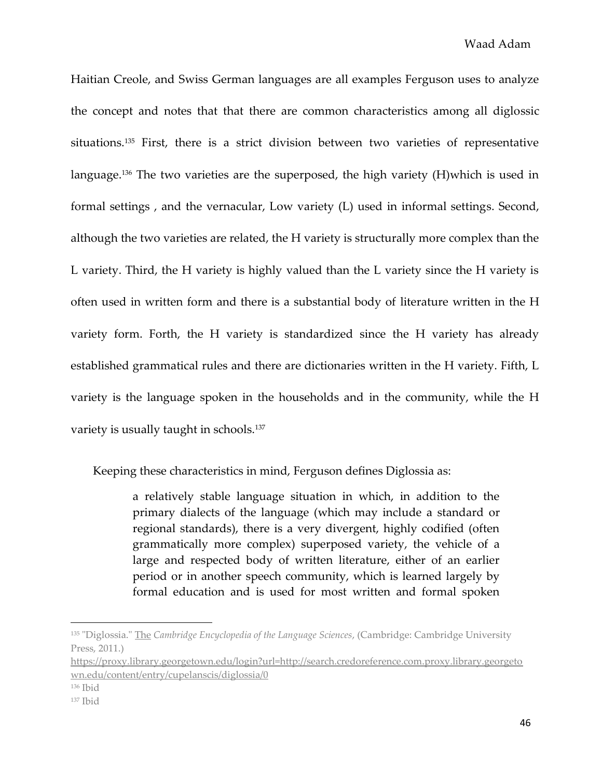Haitian Creole, and Swiss German languages are all examples Ferguson uses to analyze the concept and notes that that there are common characteristics among all diglossic situations.<sup>135</sup> First, there is a strict division between two varieties of representative language.<sup>136</sup> The two varieties are the superposed, the high variety (H)which is used in formal settings , and the vernacular, Low variety (L) used in informal settings. Second, although the two varieties are related, the H variety is structurally more complex than the L variety. Third, the H variety is highly valued than the L variety since the H variety is often used in written form and there is a substantial body of literature written in the H variety form. Forth, the H variety is standardized since the H variety has already established grammatical rules and there are dictionaries written in the H variety. Fifth, L variety is the language spoken in the households and in the community, while the H variety is usually taught in schools.<sup>137</sup>

Keeping these characteristics in mind, Ferguson defines Diglossia as:

a relatively stable language situation in which, in addition to the primary dialects of the language (which may include a standard or regional standards), there is a very divergent, highly codified (often grammatically more complex) superposed variety, the vehicle of a large and respected body of written literature, either of an earlier period or in another speech community, which is learned largely by formal education and is used for most written and formal spoken

<sup>135</sup> "Diglossia." The *Cambridge Encyclopedia of the Language Sciences*, (Cambridge: Cambridge University Press, 2011.)

[https://proxy.library.georgetown.edu/login?url=http://search.credoreference.com.proxy.library.georgeto](https://proxy.library.georgetown.edu/login?url=http://search.credoreference.com.proxy.library.georgetown.edu/content/entry/cupelanscis/diglossia/0) [wn.edu/content/entry/cupelanscis/diglossia/0](https://proxy.library.georgetown.edu/login?url=http://search.credoreference.com.proxy.library.georgetown.edu/content/entry/cupelanscis/diglossia/0)

<sup>136</sup> Ibid

 $137$  Ibid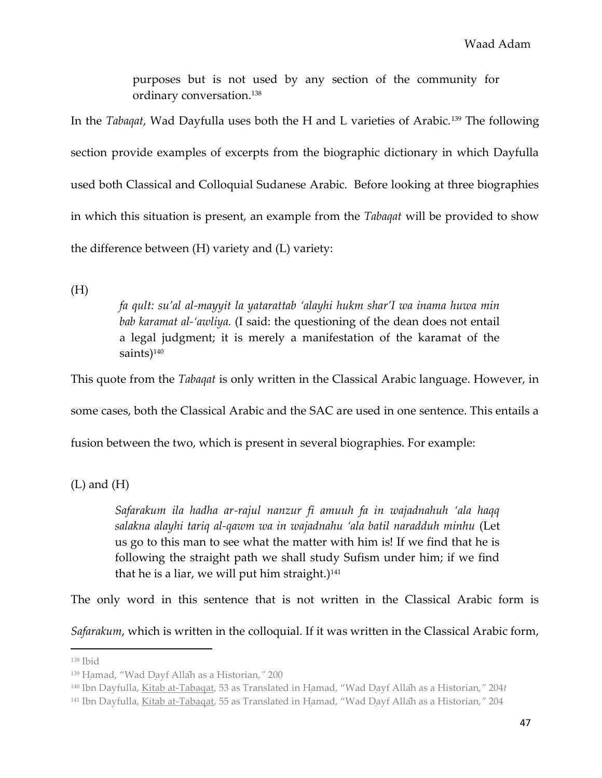purposes but is not used by any section of the community for ordinary conversation.<sup>138</sup>

In the *Tabaqat*, Wad Dayfulla uses both the H and L varieties of Arabic.<sup>139</sup> The following section provide examples of excerpts from the biographic dictionary in which Dayfulla used both Classical and Colloquial Sudanese Arabic. Before looking at three biographies in which this situation is present, an example from the *Tabaqat* will be provided to show the difference between (H) variety and (L) variety:

(H)

*fa qult: su'al al-mayyit la yatarattab 'alayhi hukm shar'I wa inama huwa min bab karamat al-'awliya.* (I said: the questioning of the dean does not entail a legal judgment; it is merely a manifestation of the karamat of the saints)<sup>140</sup>

This quote from the *Tabaqat* is only written in the Classical Arabic language. However, in

some cases, both the Classical Arabic and the SAC are used in one sentence. This entails a

fusion between the two, which is present in several biographies. For example:

 $(L)$  and  $(H)$ 

*Safarakum ila hadha ar-rajul nanzur fi amuuh fa in wajadnahuh 'ala haqq salakna alayhi tariq al-qawm wa in wajadnahu 'ala batil naradduh minhu* (Let us go to this man to see what the matter with him is! If we find that he is following the straight path we shall study Sufism under him; if we find that he is a liar, we will put him straight.) $141$ 

The only word in this sentence that is not written in the Classical Arabic form is

*Safarakum*, which is written in the colloquial. If it was written in the Classical Arabic form,

<sup>138</sup> Ibid

<sup>&</sup>lt;sup>139</sup> Hamad, "Wad Dayf Allah as a Historian," 200

<sup>&</sup>lt;sup>140</sup> Ibn Dayfulla, Kitab at-Tabaqat, 53 as Translated in Hamad, "Wad Dayf Allah as a Historian," 204*t* 

<sup>&</sup>lt;sup>141</sup> Ibn Dayfulla, Kitab at-Tabaqat, 55 as Translated in Hamad, "Wad Dayf Allah as a Historian," 204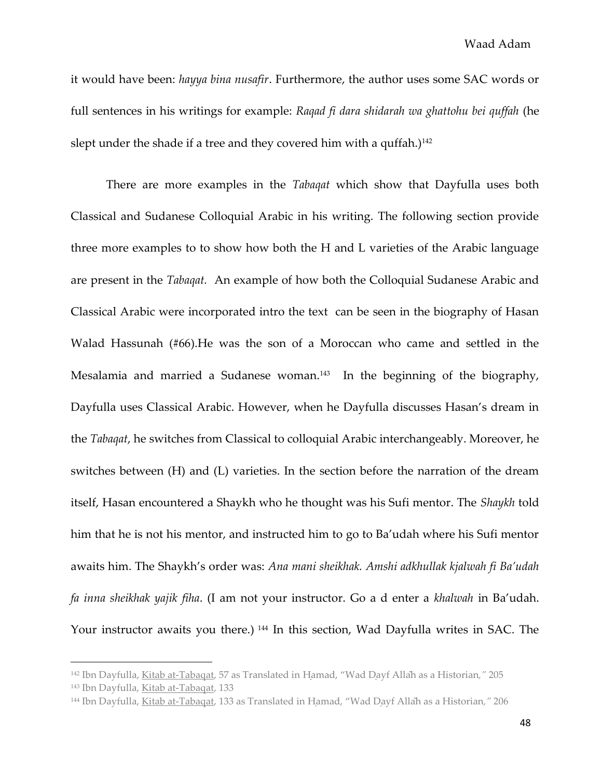it would have been: *hayya bina nusafir*. Furthermore, the author uses some SAC words or full sentences in his writings for example: *Raqad fi dara shidarah wa ghattohu bei quffah* (he slept under the shade if a tree and they covered him with a quffah.) $142$ 

There are more examples in the *Tabaqat* which show that Dayfulla uses both Classical and Sudanese Colloquial Arabic in his writing. The following section provide three more examples to to show how both the H and L varieties of the Arabic language are present in the *Tabaqat.* An example of how both the Colloquial Sudanese Arabic and Classical Arabic were incorporated intro the text can be seen in the biography of Hasan Walad Hassunah (#66).He was the son of a Moroccan who came and settled in the Mesalamia and married a Sudanese woman.<sup>143</sup> In the beginning of the biography, Dayfulla uses Classical Arabic. However, when he Dayfulla discusses Hasan's dream in the *Tabaqat*, he switches from Classical to colloquial Arabic interchangeably. Moreover, he switches between (H) and (L) varieties. In the section before the narration of the dream itself, Hasan encountered a Shaykh who he thought was his Sufi mentor. The *Shaykh* told him that he is not his mentor, and instructed him to go to Ba'udah where his Sufi mentor awaits him. The Shaykh's order was: *Ana mani sheikhak. Amshi adkhullak kjalwah fi Ba'udah fa inna sheikhak yajik fiha*. (I am not your instructor. Go a d enter a *khalwah* in Ba'udah. Your instructor awaits you there.) <sup>144</sup> In this section, Wad Dayfulla writes in SAC. The

<sup>&</sup>lt;sup>142</sup> Ibn Dayfulla, Kitab at-Tabagat, 57 as Translated in Hamad, "Wad Dayf Allah as a Historian," 205 <sup>143</sup> Ibn Dayfulla, Kitab at-Tabaqat, 133

<sup>&</sup>lt;sup>144</sup> Ibn Dayfulla, Kitab at-Tabagat, 133 as Translated in Hamad, "Wad Dayf Allah as a Historian," 206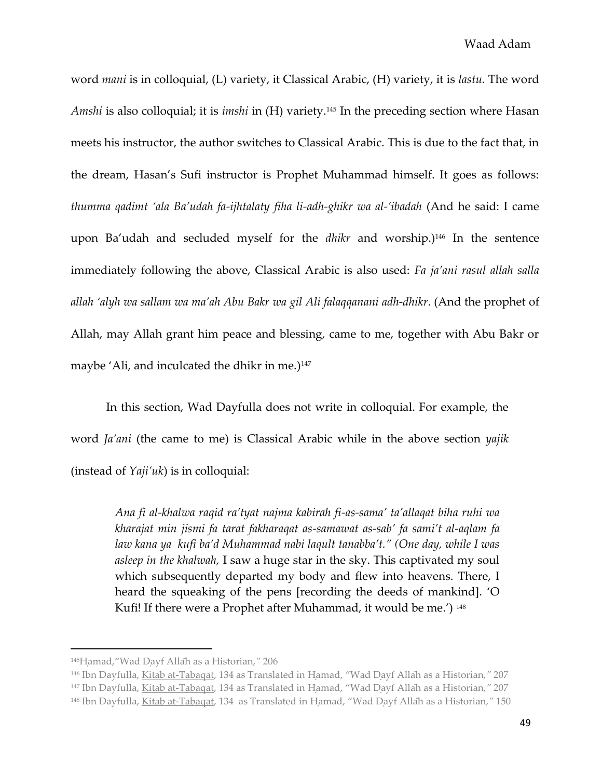word *mani* is in colloquial, (L) variety, it Classical Arabic, (H) variety, it is *lastu.* The word *Amshi* is also colloquial; it is *imshi* in (H) variety.<sup>145</sup> In the preceding section where Hasan meets his instructor, the author switches to Classical Arabic. This is due to the fact that, in the dream, Hasan's Sufi instructor is Prophet Muhammad himself. It goes as follows: *thumma qadimt 'ala Ba'udah fa-ijhtalaty fiha li-adh-ghikr wa al-'ibadah* (And he said: I came upon Ba'udah and secluded myself for the *dhikr* and worship.)<sup>146</sup> In the sentence immediately following the above, Classical Arabic is also used: *Fa ja'ani rasul allah salla allah 'alyh wa sallam wa ma'ah Abu Bakr wa gil Ali falaqqanani adh-dhikr*. (And the prophet of Allah, may Allah grant him peace and blessing, came to me, together with Abu Bakr or maybe 'Ali, and inculcated the dhikr in me.) $147$ 

In this section, Wad Dayfulla does not write in colloquial. For example, the word *Ja'ani* (the came to me) is Classical Arabic while in the above section *yajik* (instead of *Yaji'uk*) is in colloquial:

*Ana fi al-khalwa raqid ra'tyat najma kabirah fi-as-sama' ta'allaqat biha ruhi wa kharajat min jismi fa tarat fakharaqat as-samawat as-sab' fa sami't al-aqlam fa law kana ya kufi ba'd Muhammad nabi laqult tanabba't." (One day, while I was asleep in the khalwah,* I saw a huge star in the sky. This captivated my soul which subsequently departed my body and flew into heavens. There, I heard the squeaking of the pens [recording the deeds of mankind]. 'O Kufi! If there were a Prophet after Muhammad, it would be me.') 148

<sup>145</sup>Hamad, "Wad Dayf Allah as a Historian," 206

<sup>&</sup>lt;sup>146</sup> Ibn Dayfulla, Kitab at-Tabagat, 134 as Translated in Hamad, "Wad Dayf Allah as a Historian," 207

<sup>&</sup>lt;sup>147</sup> Ibn Dayfulla, Kitab at-Tabaqat, 134 as Translated in Hamad, "Wad Dayf Allah as a Historian," 207

<sup>&</sup>lt;sup>148</sup> Ibn Dayfulla, Kitab at-Tabagat, 134 as Translated in Hamad, "Wad Dayf Allah as a Historian," 150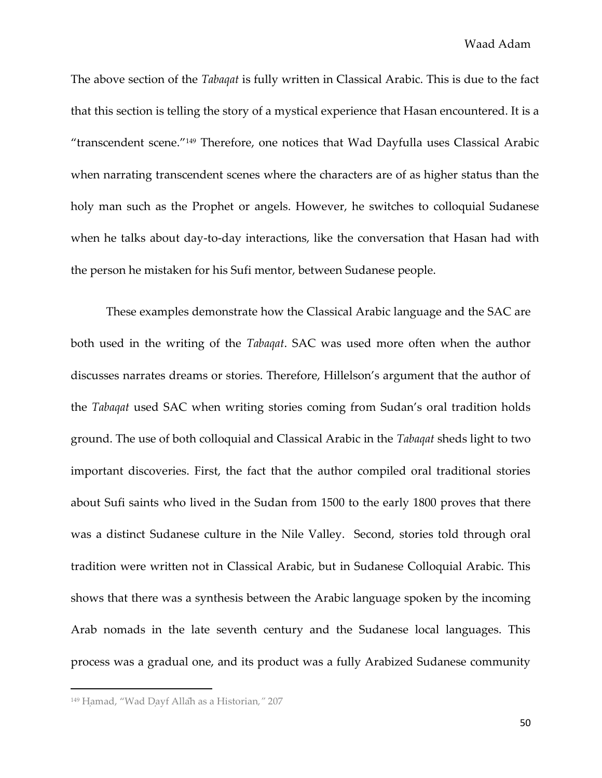The above section of the *Tabaqat* is fully written in Classical Arabic. This is due to the fact that this section is telling the story of a mystical experience that Hasan encountered. It is a "transcendent scene."<sup>149</sup> Therefore, one notices that Wad Dayfulla uses Classical Arabic when narrating transcendent scenes where the characters are of as higher status than the holy man such as the Prophet or angels. However, he switches to colloquial Sudanese when he talks about day-to-day interactions, like the conversation that Hasan had with the person he mistaken for his Sufi mentor, between Sudanese people.

These examples demonstrate how the Classical Arabic language and the SAC are both used in the writing of the *Tabaqat*. SAC was used more often when the author discusses narrates dreams or stories. Therefore, Hillelson's argument that the author of the *Tabaqat* used SAC when writing stories coming from Sudan's oral tradition holds ground. The use of both colloquial and Classical Arabic in the *Tabaqat* sheds light to two important discoveries. First, the fact that the author compiled oral traditional stories about Sufi saints who lived in the Sudan from 1500 to the early 1800 proves that there was a distinct Sudanese culture in the Nile Valley. Second, stories told through oral tradition were written not in Classical Arabic, but in Sudanese Colloquial Arabic. This shows that there was a synthesis between the Arabic language spoken by the incoming Arab nomads in the late seventh century and the Sudanese local languages. This process was a gradual one, and its product was a fully Arabized Sudanese community

<sup>&</sup>lt;sup>149</sup> Hamad, "Wad Dayf Allah as a Historian," 207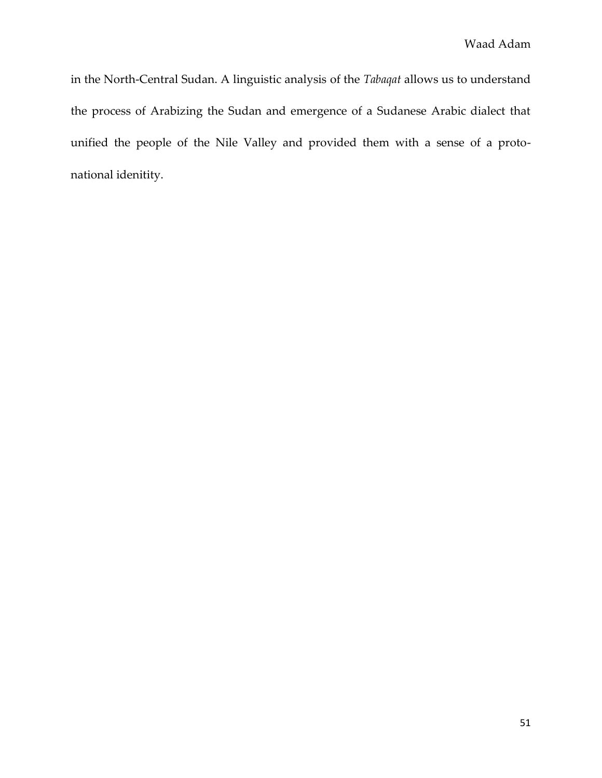in the North-Central Sudan. A linguistic analysis of the *Tabaqat* allows us to understand the process of Arabizing the Sudan and emergence of a Sudanese Arabic dialect that unified the people of the Nile Valley and provided them with a sense of a protonational idenitity.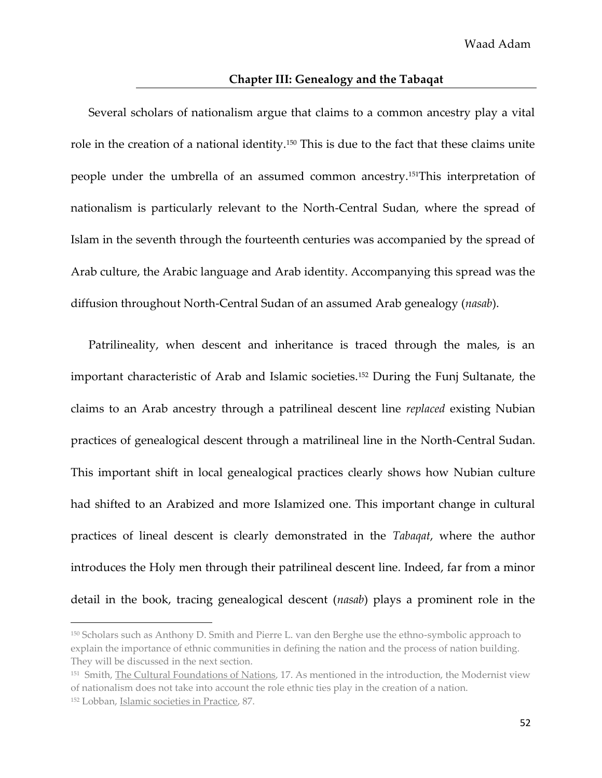### **Chapter III: Genealogy and the Tabaqat**

Several scholars of nationalism argue that claims to a common ancestry play a vital role in the creation of a national identity.<sup>150</sup> This is due to the fact that these claims unite people under the umbrella of an assumed common ancestry.151This interpretation of nationalism is particularly relevant to the North-Central Sudan, where the spread of Islam in the seventh through the fourteenth centuries was accompanied by the spread of Arab culture, the Arabic language and Arab identity. Accompanying this spread was the diffusion throughout North-Central Sudan of an assumed Arab genealogy (*nasab*).

Patrilineality, when descent and inheritance is traced through the males, is an important characteristic of Arab and Islamic societies.<sup>152</sup> During the Funj Sultanate, the claims to an Arab ancestry through a patrilineal descent line *replaced* existing Nubian practices of genealogical descent through a matrilineal line in the North-Central Sudan. This important shift in local genealogical practices clearly shows how Nubian culture had shifted to an Arabized and more Islamized one. This important change in cultural practices of lineal descent is clearly demonstrated in the *Tabaqat*, where the author introduces the Holy men through their patrilineal descent line. Indeed, far from a minor detail in the book, tracing genealogical descent (*nasab*) plays a prominent role in the

<sup>150</sup> Scholars such as Anthony D. Smith and Pierre L. van den Berghe use the ethno-symbolic approach to explain the importance of ethnic communities in defining the nation and the process of nation building. They will be discussed in the next section.

<sup>&</sup>lt;sup>151</sup> Smith, <u>The Cultural Foundations of Nations</u>, 17. As mentioned in the introduction, the Modernist view of nationalism does not take into account the role ethnic ties play in the creation of a nation. <sup>152</sup> Lobban, Islamic societies in Practice, 87.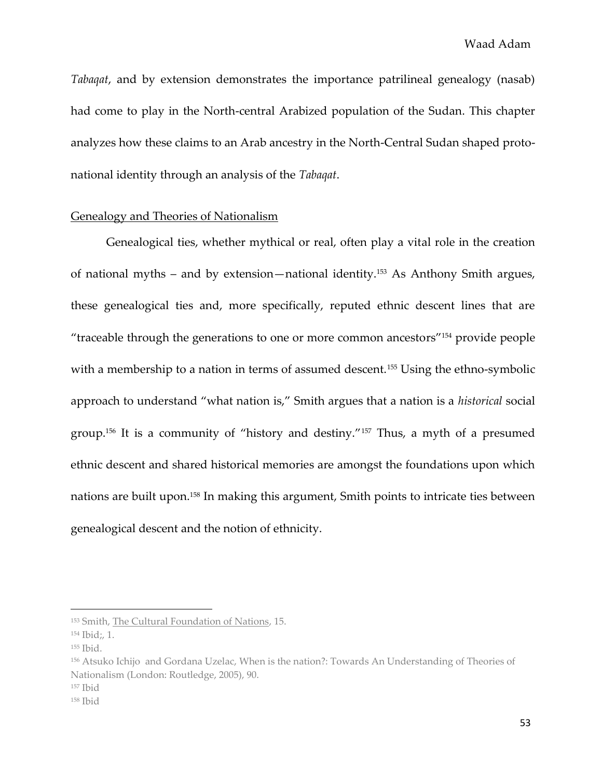*Tabaqat*, and by extension demonstrates the importance patrilineal genealogy (nasab) had come to play in the North-central Arabized population of the Sudan. This chapter analyzes how these claims to an Arab ancestry in the North-Central Sudan shaped protonational identity through an analysis of the *Tabaqat*.

# Genealogy and Theories of Nationalism

Genealogical ties, whether mythical or real, often play a vital role in the creation of national myths – and by extension—national identity.<sup>153</sup> As Anthony Smith argues, these genealogical ties and, more specifically, reputed ethnic descent lines that are "traceable through the generations to one or more common ancestors"<sup>154</sup> provide people with a membership to a nation in terms of assumed descent.<sup>155</sup> Using the ethno-symbolic approach to understand "what nation is," Smith argues that a nation is a *historical* social group.<sup>156</sup> It is a community of "history and destiny."<sup>157</sup> Thus, a myth of a presumed ethnic descent and shared historical memories are amongst the foundations upon which nations are built upon.<sup>158</sup> In making this argument, Smith points to intricate ties between genealogical descent and the notion of ethnicity.

<sup>153</sup> Smith, The Cultural Foundation of Nations, 15.

<sup>154</sup> Ibid;, 1.

<sup>155</sup> Ibid.

<sup>156</sup> Atsuko Ichijo and Gordana Uzelac, When is the nation?: Towards An Understanding of Theories of Nationalism (London: Routledge, 2005), 90.

<sup>157</sup> Ibid

<sup>158</sup> Ibid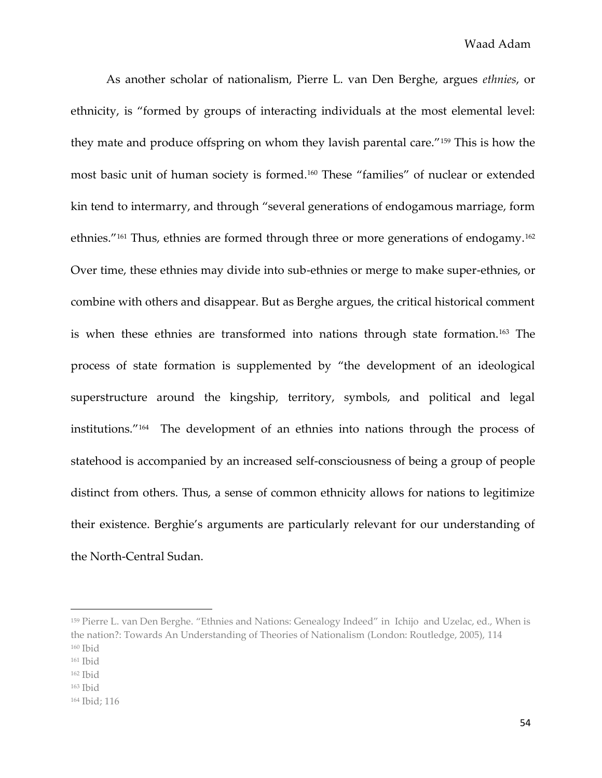As another scholar of nationalism, Pierre L. van Den Berghe, argues *ethnies*, or ethnicity, is "formed by groups of interacting individuals at the most elemental level: they mate and produce offspring on whom they lavish parental care."<sup>159</sup> This is how the most basic unit of human society is formed.<sup>160</sup> These "families" of nuclear or extended kin tend to intermarry, and through "several generations of endogamous marriage, form ethnies."<sup>161</sup> Thus, ethnies are formed through three or more generations of endogamy.<sup>162</sup> Over time, these ethnies may divide into sub-ethnies or merge to make super-ethnies, or combine with others and disappear. But as Berghe argues, the critical historical comment is when these ethnies are transformed into nations through state formation.<sup>163</sup> The process of state formation is supplemented by "the development of an ideological superstructure around the kingship, territory, symbols, and political and legal institutions."<sup>164</sup> The development of an ethnies into nations through the process of statehood is accompanied by an increased self-consciousness of being a group of people distinct from others. Thus, a sense of common ethnicity allows for nations to legitimize their existence. Berghie's arguments are particularly relevant for our understanding of the North-Central Sudan.

<sup>&</sup>lt;sup>159</sup> Pierre L. van Den Berghe. "Ethnies and Nations: Genealogy Indeed" in Ichijo and Uzelac, ed., When is the nation?: Towards An Understanding of Theories of Nationalism (London: Routledge, 2005), 114 <sup>160</sup> Ibid

<sup>161</sup> Ibid

 $162$  Ibid

<sup>163</sup> Ibid

<sup>164</sup> Ibid; 116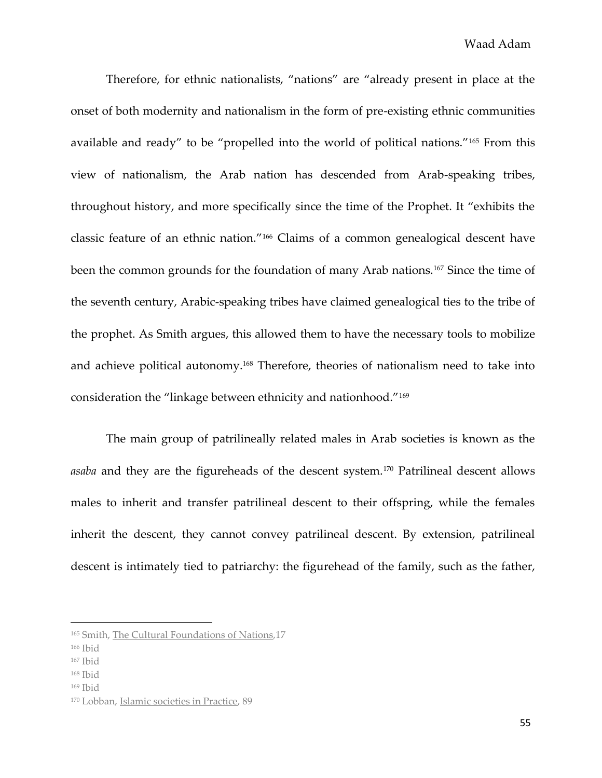Therefore, for ethnic nationalists, "nations" are "already present in place at the onset of both modernity and nationalism in the form of pre-existing ethnic communities available and ready" to be "propelled into the world of political nations."<sup>165</sup> From this view of nationalism, the Arab nation has descended from Arab-speaking tribes, throughout history, and more specifically since the time of the Prophet. It "exhibits the classic feature of an ethnic nation."<sup>166</sup> Claims of a common genealogical descent have been the common grounds for the foundation of many Arab nations.<sup>167</sup> Since the time of the seventh century, Arabic-speaking tribes have claimed genealogical ties to the tribe of the prophet. As Smith argues, this allowed them to have the necessary tools to mobilize and achieve political autonomy.<sup>168</sup> Therefore, theories of nationalism need to take into consideration the "linkage between ethnicity and nationhood."<sup>169</sup>

The main group of patrilineally related males in Arab societies is known as the *asaba* and they are the figureheads of the descent system.<sup>170</sup> Patrilineal descent allows males to inherit and transfer patrilineal descent to their offspring, while the females inherit the descent, they cannot convey patrilineal descent. By extension, patrilineal descent is intimately tied to patriarchy: the figurehead of the family, such as the father,

<sup>165</sup> Smith, The Cultural Foundations of Nations,17

<sup>166</sup> Ibid

<sup>167</sup> Ibid

<sup>168</sup> Ibid

<sup>169</sup> Ibid

<sup>170</sup> Lobban, Islamic societies in Practice, 89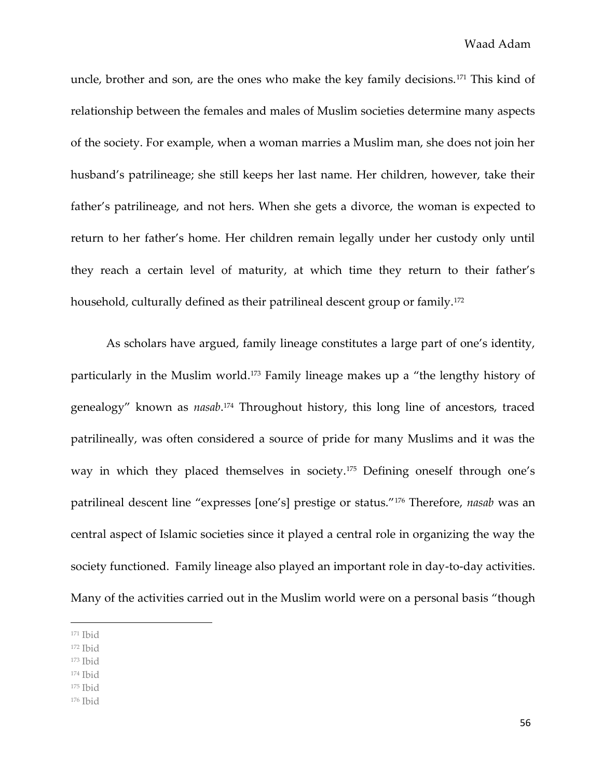uncle, brother and son, are the ones who make the key family decisions.<sup>171</sup> This kind of relationship between the females and males of Muslim societies determine many aspects of the society. For example, when a woman marries a Muslim man, she does not join her husband's patrilineage; she still keeps her last name. Her children, however, take their father's patrilineage, and not hers. When she gets a divorce, the woman is expected to return to her father's home. Her children remain legally under her custody only until they reach a certain level of maturity, at which time they return to their father's household, culturally defined as their patrilineal descent group or family.<sup>172</sup>

As scholars have argued, family lineage constitutes a large part of one's identity, particularly in the Muslim world.<sup>173</sup> Family lineage makes up a "the lengthy history of genealogy" known as *nasab*. <sup>174</sup> Throughout history, this long line of ancestors, traced patrilineally, was often considered a source of pride for many Muslims and it was the way in which they placed themselves in society.<sup>175</sup> Defining oneself through one's patrilineal descent line "expresses [one's] prestige or status."<sup>176</sup> Therefore, *nasab* was an central aspect of Islamic societies since it played a central role in organizing the way the society functioned. Family lineage also played an important role in day-to-day activities. Many of the activities carried out in the Muslim world were on a personal basis "though

 $\overline{\phantom{a}}$ 

- <sup>172</sup> Ibid
- <sup>173</sup> Ibid
- $174$  Ibid

<sup>176</sup> Ibid

<sup>171</sup> Ibid

<sup>175</sup> Ibid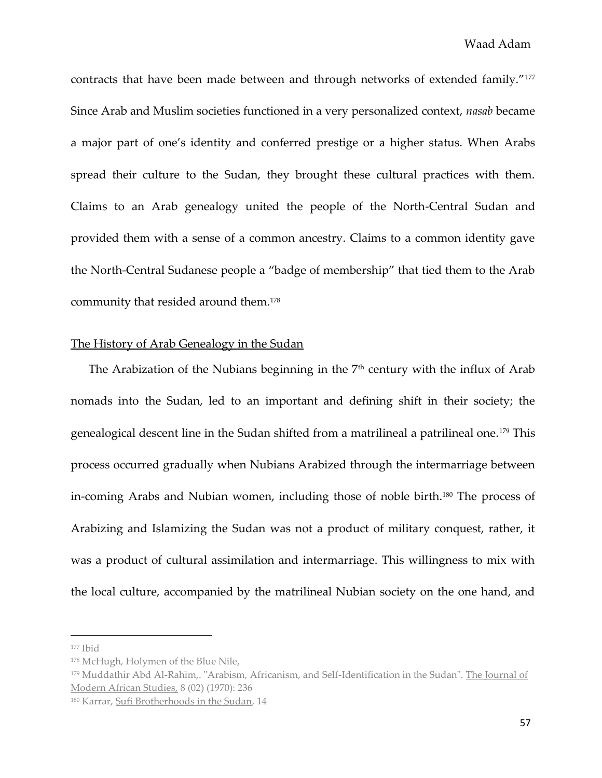contracts that have been made between and through networks of extended family."<sup>177</sup> Since Arab and Muslim societies functioned in a very personalized context, *nasab* became a major part of one's identity and conferred prestige or a higher status. When Arabs spread their culture to the Sudan, they brought these cultural practices with them. Claims to an Arab genealogy united the people of the North-Central Sudan and provided them with a sense of a common ancestry. Claims to a common identity gave the North-Central Sudanese people a "badge of membership" that tied them to the Arab community that resided around them.<sup>178</sup>

# The History of Arab Genealogy in the Sudan

The Arabization of the Nubians beginning in the  $7<sup>th</sup>$  century with the influx of Arab nomads into the Sudan, led to an important and defining shift in their society; the genealogical descent line in the Sudan shifted from a matrilineal a patrilineal one.<sup>179</sup> This process occurred gradually when Nubians Arabized through the intermarriage between in-coming Arabs and Nubian women, including those of noble birth.<sup>180</sup> The process of Arabizing and Islamizing the Sudan was not a product of military conquest, rather, it was a product of cultural assimilation and intermarriage. This willingness to mix with the local culture, accompanied by the matrilineal Nubian society on the one hand, and

 $177$  Ibid

<sup>178</sup> McHugh, Holymen of the Blue Nile,

<sup>179</sup> Muddathir Abd Al-Rahīm,. "Arabism, Africanism, and Self-Identification in the Sudan". The Journal of Modern African Studies, 8 (02) (1970): 236

<sup>180</sup> Karrar, Sufi Brotherhoods in the Sudan, 14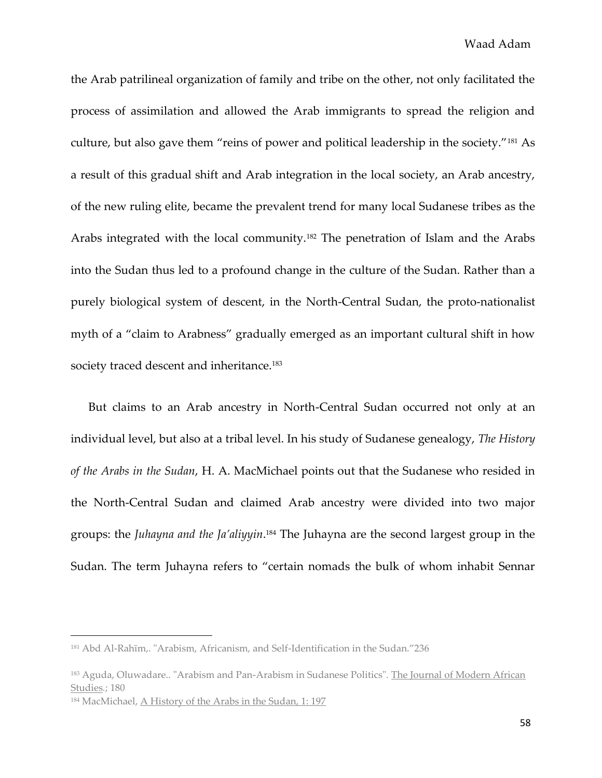the Arab patrilineal organization of family and tribe on the other, not only facilitated the process of assimilation and allowed the Arab immigrants to spread the religion and culture, but also gave them "reins of power and political leadership in the society."<sup>181</sup> As a result of this gradual shift and Arab integration in the local society, an Arab ancestry, of the new ruling elite, became the prevalent trend for many local Sudanese tribes as the Arabs integrated with the local community.<sup>182</sup> The penetration of Islam and the Arabs into the Sudan thus led to a profound change in the culture of the Sudan. Rather than a purely biological system of descent, in the North-Central Sudan, the proto-nationalist myth of a "claim to Arabness" gradually emerged as an important cultural shift in how society traced descent and inheritance.<sup>183</sup>

But claims to an Arab ancestry in North-Central Sudan occurred not only at an individual level, but also at a tribal level. In his study of Sudanese genealogy, *The History of the Arabs in the Sudan*, H. A. MacMichael points out that the Sudanese who resided in the North-Central Sudan and claimed Arab ancestry were divided into two major groups: the *Juhayna and the Ja'aliyyin*.<sup>184</sup> The Juhayna are the second largest group in the Sudan. The term Juhayna refers to "certain nomads the bulk of whom inhabit Sennar

<sup>&</sup>lt;sup>181</sup> Abd Al-Rahīm,. "Arabism, Africanism, and Self-Identification in the Sudan."236

<sup>183</sup> Aguda, Oluwadare.. "Arabism and Pan-Arabism in Sudanese Politics". The Journal of Modern African Studies*.*; 180

<sup>184</sup> MacMichael, A History of the Arabs in the Sudan, 1: 197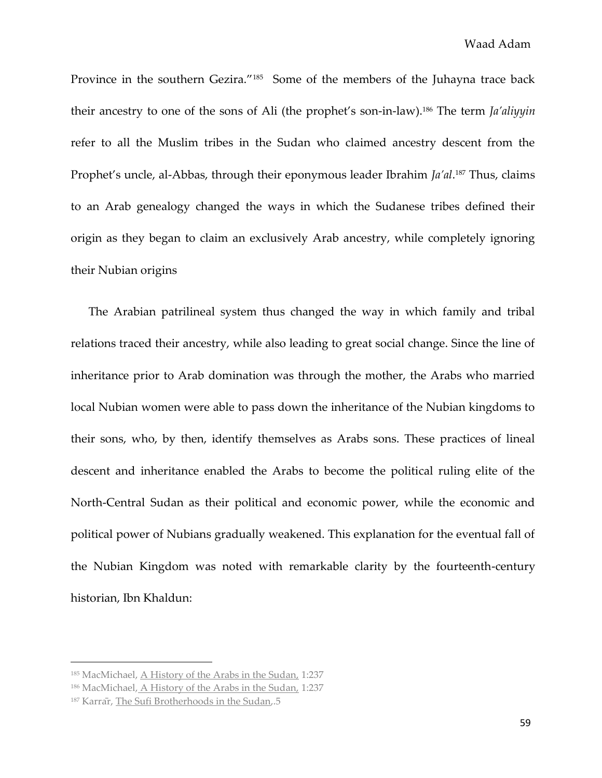Province in the southern Gezira."<sup>185</sup> Some of the members of the Juhayna trace back their ancestry to one of the sons of Ali (the prophet's son-in-law).<sup>186</sup> The term *Ja'aliyyin* refer to all the Muslim tribes in the Sudan who claimed ancestry descent from the Prophet's uncle, al-Abbas, through their eponymous leader Ibrahim *Ja'al*. <sup>187</sup> Thus, claims to an Arab genealogy changed the ways in which the Sudanese tribes defined their origin as they began to claim an exclusively Arab ancestry, while completely ignoring their Nubian origins

The Arabian patrilineal system thus changed the way in which family and tribal relations traced their ancestry, while also leading to great social change. Since the line of inheritance prior to Arab domination was through the mother, the Arabs who married local Nubian women were able to pass down the inheritance of the Nubian kingdoms to their sons, who, by then, identify themselves as Arabs sons. These practices of lineal descent and inheritance enabled the Arabs to become the political ruling elite of the North-Central Sudan as their political and economic power, while the economic and political power of Nubians gradually weakened. This explanation for the eventual fall of the Nubian Kingdom was noted with remarkable clarity by the fourteenth-century historian, Ibn Khaldun:

<sup>185</sup> MacMichael, A History of the Arabs in the Sudan, 1:237

<sup>186</sup> MacMichael, A History of the Arabs in the Sudan, 1:237

<sup>&</sup>lt;sup>187</sup> Karrar, The Sufi Brotherhoods in the Sudan,.5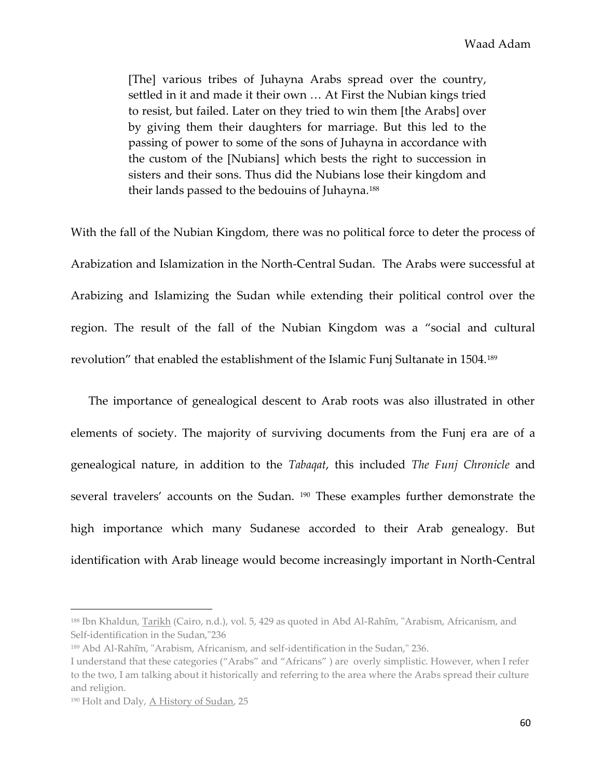[The] various tribes of Juhayna Arabs spread over the country, settled in it and made it their own … At First the Nubian kings tried to resist, but failed. Later on they tried to win them [the Arabs] over by giving them their daughters for marriage. But this led to the passing of power to some of the sons of Juhayna in accordance with the custom of the [Nubians] which bests the right to succession in sisters and their sons. Thus did the Nubians lose their kingdom and their lands passed to the bedouins of Juhayna.<sup>188</sup>

With the fall of the Nubian Kingdom, there was no political force to deter the process of Arabization and Islamization in the North-Central Sudan. The Arabs were successful at Arabizing and Islamizing the Sudan while extending their political control over the region. The result of the fall of the Nubian Kingdom was a "social and cultural revolution" that enabled the establishment of the Islamic Funj Sultanate in 1504.<sup>189</sup>

The importance of genealogical descent to Arab roots was also illustrated in other elements of society. The majority of surviving documents from the Funj era are of a genealogical nature, in addition to the *Tabaqat*, this included *The Funj Chronicle* and several travelers' accounts on the Sudan. <sup>190</sup> These examples further demonstrate the high importance which many Sudanese accorded to their Arab genealogy. But identification with Arab lineage would become increasingly important in North-Central

<sup>188</sup> Ibn Khaldun, Tarikh (Cairo, n.d.), vol. 5, 429 as quoted in Abd Al-Rahim, "Arabism, Africanism, and Self-identification in the Sudan,"236

<sup>189</sup> Abd Al-Rahim, "Arabism, Africanism, and self-identification in the Sudan," 236.

I understand that these categories ("Arabs" and "Africans" ) are overly simplistic. However, when I refer to the two, I am talking about it historically and referring to the area where the Arabs spread their culture and religion.

<sup>190</sup> Holt and Daly, A History of Sudan, 25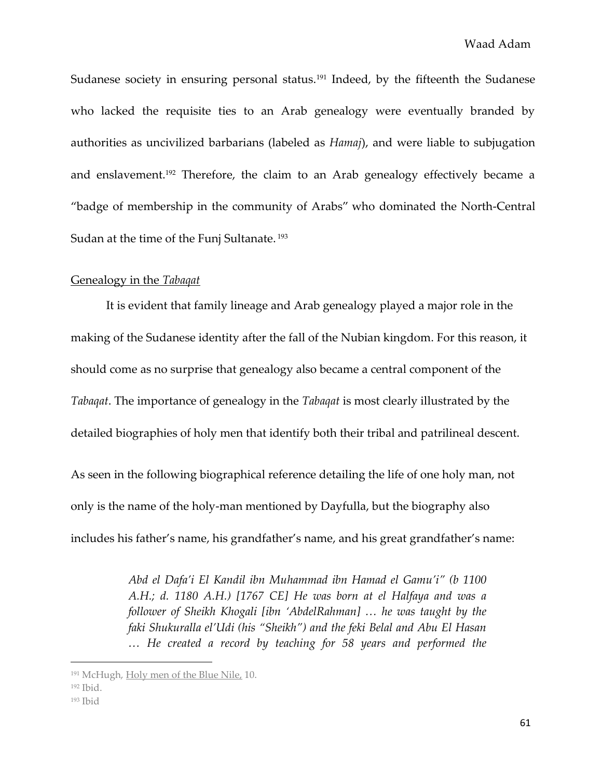Sudanese society in ensuring personal status.<sup>191</sup> Indeed, by the fifteenth the Sudanese who lacked the requisite ties to an Arab genealogy were eventually branded by authorities as uncivilized barbarians (labeled as *Hamaj*), and were liable to subjugation and enslavement.<sup>192</sup> Therefore, the claim to an Arab genealogy effectively became a "badge of membership in the community of Arabs" who dominated the North-Central Sudan at the time of the Funj Sultanate.<sup>193</sup>

#### Genealogy in the *Tabaqat*

It is evident that family lineage and Arab genealogy played a major role in the making of the Sudanese identity after the fall of the Nubian kingdom. For this reason, it should come as no surprise that genealogy also became a central component of the *Tabaqat*. The importance of genealogy in the *Tabaqat* is most clearly illustrated by the detailed biographies of holy men that identify both their tribal and patrilineal descent.

As seen in the following biographical reference detailing the life of one holy man, not only is the name of the holy-man mentioned by Dayfulla, but the biography also includes his father's name, his grandfather's name, and his great grandfather's name:

> *Abd el Dafa'i El Kandil ibn Muhammad ibn Hamad el Gamu'i" (b 1100 A.H.; d. 1180 A.H.) [1767 CE] He was born at el Halfaya and was a follower of Sheikh Khogali [ibn 'AbdelRahman] … he was taught by the faki Shukuralla el'Udi (his "Sheikh") and the feki Belal and Abu El Hasan … He created a record by teaching for 58 years and performed the*

<sup>191</sup> McHugh, Holy men of the Blue Nile, 10.

<sup>192</sup> Ibid.

 $193$  Ibid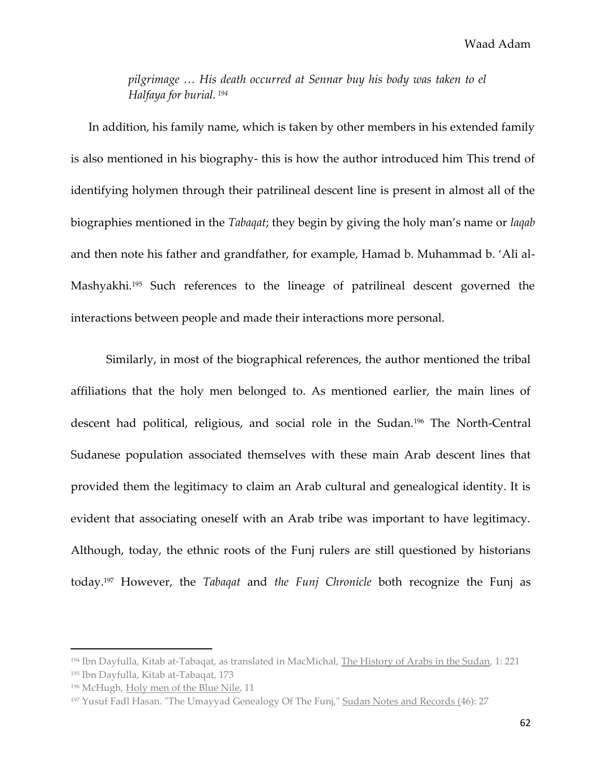Waad Adam

*pilgrimage … His death occurred at Sennar buy his body was taken to el Halfaya for burial. <sup>194</sup>*

In addition, his family name, which is taken by other members in his extended family is also mentioned in his biography- this is how the author introduced him This trend of identifying holymen through their patrilineal descent line is present in almost all of the biographies mentioned in the *Tabaqat*; they begin by giving the holy man's name or *laqab*  and then note his father and grandfather, for example, Hamad b. Muhammad b. 'Ali al-Mashyakhi.<sup>195</sup> Such references to the lineage of patrilineal descent governed the interactions between people and made their interactions more personal.

Similarly, in most of the biographical references, the author mentioned the tribal affiliations that the holy men belonged to. As mentioned earlier, the main lines of descent had political, religious, and social role in the Sudan.<sup>196</sup> The North-Central Sudanese population associated themselves with these main Arab descent lines that provided them the legitimacy to claim an Arab cultural and genealogical identity. It is evident that associating oneself with an Arab tribe was important to have legitimacy. Although, today, the ethnic roots of the Funj rulers are still questioned by historians today.<sup>197</sup> However, the *Tabaqat* and *the Funj Chronicle* both recognize the Funj as

<sup>194</sup> Ibn Dayfulla, Kitab at-Tabaqat, as translated in MacMichal, The History of Arabs in the Sudan, 1: 221 <sup>195</sup> Ibn Dayfulla, Kitab at-Tabaqat, 173

<sup>196</sup> McHugh, Holy men of the Blue Nile, 11

<sup>&</sup>lt;sup>197</sup> Yusuf Fadl Hasan. "The Umayyad Genealogy Of The Funj," Sudan Notes and Records (46): 27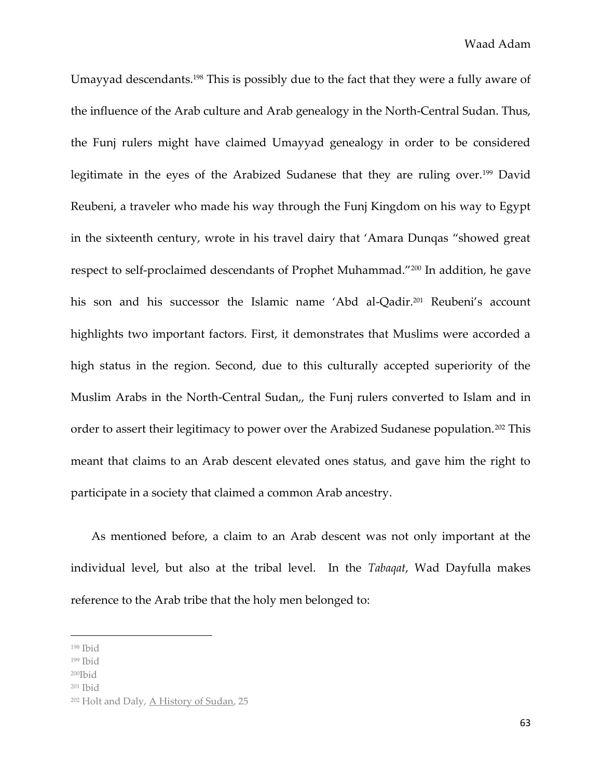Umayyad descendants.<sup>198</sup> This is possibly due to the fact that they were a fully aware of the influence of the Arab culture and Arab genealogy in the North-Central Sudan. Thus, the Funj rulers might have claimed Umayyad genealogy in order to be considered legitimate in the eyes of the Arabized Sudanese that they are ruling over.<sup>199</sup> David Reubeni, a traveler who made his way through the Funj Kingdom on his way to Egypt in the sixteenth century, wrote in his travel dairy that 'Amara Dunqas "showed great respect to self-proclaimed descendants of Prophet Muhammad."<sup>200</sup> In addition, he gave his son and his successor the Islamic name 'Abd al-Qadir.<sup>201</sup> Reubeni's account highlights two important factors. First, it demonstrates that Muslims were accorded a high status in the region. Second, due to this culturally accepted superiority of the Muslim Arabs in the North-Central Sudan,, the Funj rulers converted to Islam and in order to assert their legitimacy to power over the Arabized Sudanese population.<sup>202</sup> This meant that claims to an Arab descent elevated ones status, and gave him the right to participate in a society that claimed a common Arab ancestry.

As mentioned before, a claim to an Arab descent was not only important at the individual level, but also at the tribal level. In the *Tabaqat*, Wad Dayfulla makes reference to the Arab tribe that the holy men belonged to:

 $\overline{\phantom{a}}$ 

 $200$ Ibid

<sup>198</sup> Ibid

<sup>199</sup> Ibid

<sup>201</sup> Ibid

<sup>202</sup> Holt and Daly, A History of Sudan, 25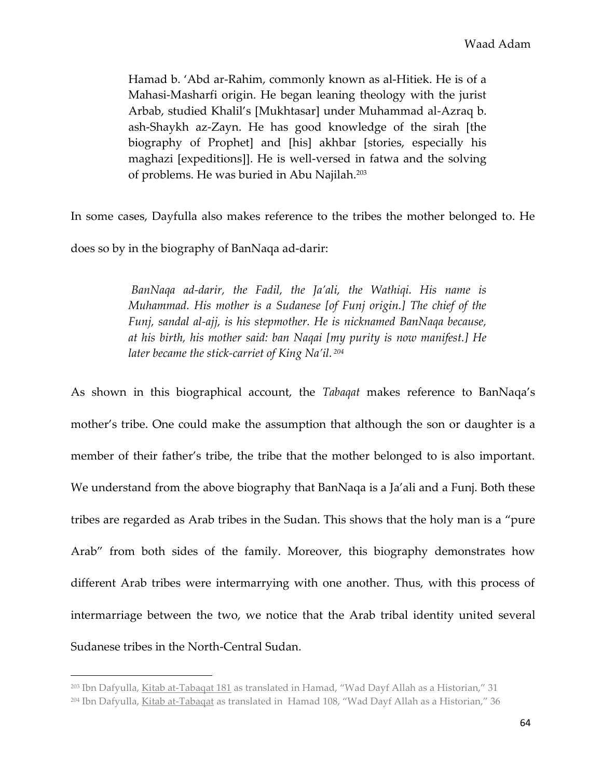Hamad b. 'Abd ar-Rahim, commonly known as al-Hitiek. He is of a Mahasi-Masharfi origin. He began leaning theology with the jurist Arbab, studied Khalil's [Mukhtasar] under Muhammad al-Azraq b. ash-Shaykh az-Zayn. He has good knowledge of the sirah [the biography of Prophet] and [his] akhbar [stories, especially his maghazi [expeditions]]. He is well-versed in fatwa and the solving of problems. He was buried in Abu Najilah.<sup>203</sup>

In some cases, Dayfulla also makes reference to the tribes the mother belonged to. He

does so by in the biography of BanNaqa ad-darir:

l

*BanNaqa ad-darir, the Fadil, the Ja'ali, the Wathiqi. His name is Muhammad. His mother is a Sudanese [of Funj origin.] The chief of the Funj, sandal al-ajj, is his stepmother. He is nicknamed BanNaqa because, at his birth, his mother said: ban Naqai [my purity is now manifest.] He later became the stick-carriet of King Na'il. <sup>204</sup>*

As shown in this biographical account, the *Tabaqat* makes reference to BanNaqa's mother's tribe. One could make the assumption that although the son or daughter is a member of their father's tribe, the tribe that the mother belonged to is also important. We understand from the above biography that BanNaqa is a Ja'ali and a Funj. Both these tribes are regarded as Arab tribes in the Sudan. This shows that the holy man is a "pure Arab" from both sides of the family. Moreover, this biography demonstrates how different Arab tribes were intermarrying with one another. Thus, with this process of intermarriage between the two, we notice that the Arab tribal identity united several Sudanese tribes in the North-Central Sudan.

<sup>&</sup>lt;sup>203</sup> Ibn Dafyulla, Kitab at-Tabaqat 181 as translated in Hamad, "Wad Dayf Allah as a Historian," 31

 $204$  Ibn Dafyulla, Kitab at-Tabagat as translated in Hamad 108, "Wad Dayf Allah as a Historian," 36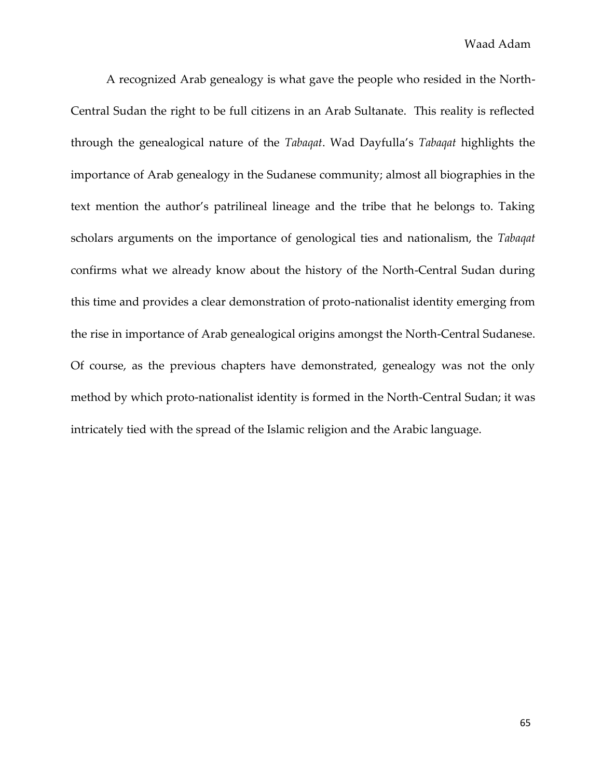A recognized Arab genealogy is what gave the people who resided in the North-Central Sudan the right to be full citizens in an Arab Sultanate. This reality is reflected through the genealogical nature of the *Tabaqat*. Wad Dayfulla's *Tabaqat* highlights the importance of Arab genealogy in the Sudanese community; almost all biographies in the text mention the author's patrilineal lineage and the tribe that he belongs to. Taking scholars arguments on the importance of genological ties and nationalism, the *Tabaqat*  confirms what we already know about the history of the North-Central Sudan during this time and provides a clear demonstration of proto-nationalist identity emerging from the rise in importance of Arab genealogical origins amongst the North-Central Sudanese. Of course, as the previous chapters have demonstrated, genealogy was not the only method by which proto-nationalist identity is formed in the North-Central Sudan; it was intricately tied with the spread of the Islamic religion and the Arabic language.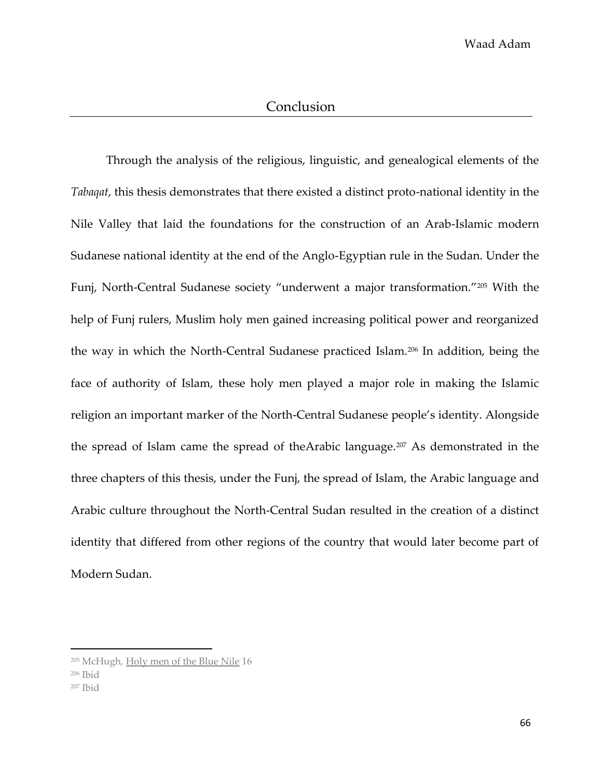Through the analysis of the religious, linguistic, and genealogical elements of the *Tabaqat*, this thesis demonstrates that there existed a distinct proto-national identity in the Nile Valley that laid the foundations for the construction of an Arab-Islamic modern Sudanese national identity at the end of the Anglo-Egyptian rule in the Sudan. Under the Funj, North-Central Sudanese society "underwent a major transformation."<sup>205</sup> With the help of Funj rulers, Muslim holy men gained increasing political power and reorganized the way in which the North-Central Sudanese practiced Islam.<sup>206</sup> In addition, being the face of authority of Islam, these holy men played a major role in making the Islamic religion an important marker of the North-Central Sudanese people's identity. Alongside the spread of Islam came the spread of theArabic language.<sup>207</sup> As demonstrated in the three chapters of this thesis, under the Funj, the spread of Islam, the Arabic language and Arabic culture throughout the North-Central Sudan resulted in the creation of a distinct identity that differed from other regions of the country that would later become part of Modern Sudan.

<sup>205</sup> McHugh, Holy men of the Blue Nile 16

<sup>206</sup> Ibid

<sup>207</sup> Ibid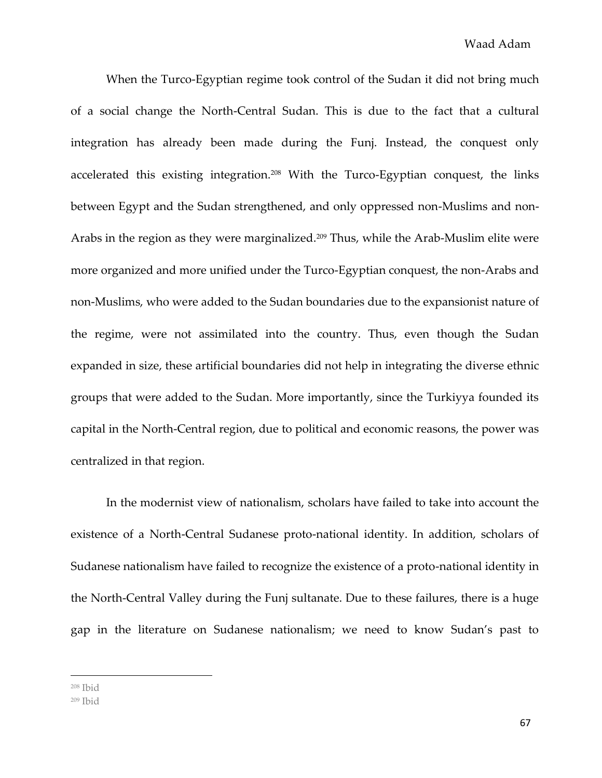When the Turco-Egyptian regime took control of the Sudan it did not bring much of a social change the North-Central Sudan. This is due to the fact that a cultural integration has already been made during the Funj. Instead, the conquest only accelerated this existing integration.<sup>208</sup> With the Turco-Egyptian conquest, the links between Egypt and the Sudan strengthened, and only oppressed non-Muslims and non-Arabs in the region as they were marginalized.<sup>209</sup> Thus, while the Arab-Muslim elite were more organized and more unified under the Turco-Egyptian conquest, the non-Arabs and non-Muslims, who were added to the Sudan boundaries due to the expansionist nature of the regime, were not assimilated into the country. Thus, even though the Sudan expanded in size, these artificial boundaries did not help in integrating the diverse ethnic groups that were added to the Sudan. More importantly, since the Turkiyya founded its capital in the North-Central region, due to political and economic reasons, the power was centralized in that region.

In the modernist view of nationalism, scholars have failed to take into account the existence of a North-Central Sudanese proto-national identity. In addition, scholars of Sudanese nationalism have failed to recognize the existence of a proto-national identity in the North-Central Valley during the Funj sultanate. Due to these failures, there is a huge gap in the literature on Sudanese nationalism; we need to know Sudan's past to

<sup>208</sup> Ibid

<sup>209</sup> Ibid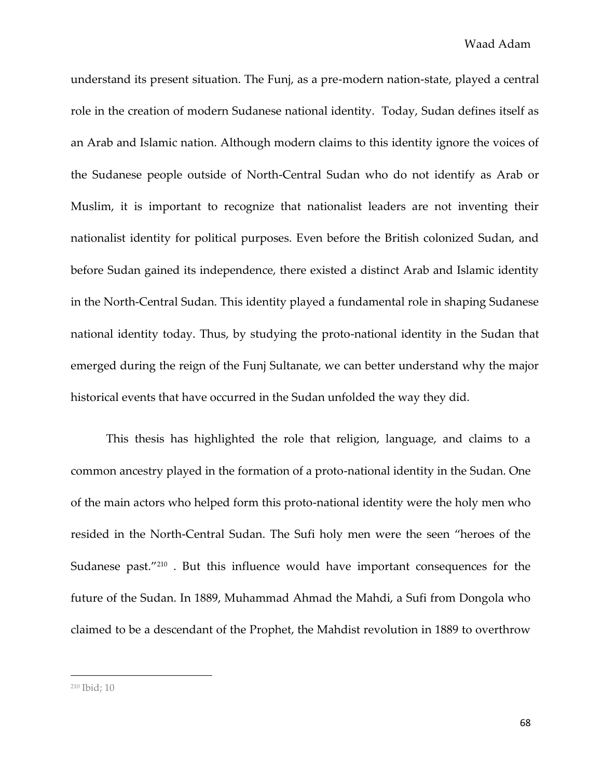understand its present situation. The Funj, as a pre-modern nation-state, played a central role in the creation of modern Sudanese national identity. Today, Sudan defines itself as an Arab and Islamic nation. Although modern claims to this identity ignore the voices of the Sudanese people outside of North-Central Sudan who do not identify as Arab or Muslim, it is important to recognize that nationalist leaders are not inventing their nationalist identity for political purposes. Even before the British colonized Sudan, and before Sudan gained its independence, there existed a distinct Arab and Islamic identity in the North-Central Sudan. This identity played a fundamental role in shaping Sudanese national identity today. Thus, by studying the proto-national identity in the Sudan that emerged during the reign of the Funj Sultanate, we can better understand why the major historical events that have occurred in the Sudan unfolded the way they did.

This thesis has highlighted the role that religion, language, and claims to a common ancestry played in the formation of a proto-national identity in the Sudan. One of the main actors who helped form this proto-national identity were the holy men who resided in the North-Central Sudan. The Sufi holy men were the seen "heroes of the Sudanese past."<sup>210</sup> . But this influence would have important consequences for the future of the Sudan. In 1889, Muhammad Ahmad the Mahdi, a Sufi from Dongola who claimed to be a descendant of the Prophet, the Mahdist revolution in 1889 to overthrow

<sup>210</sup> Ibid; 10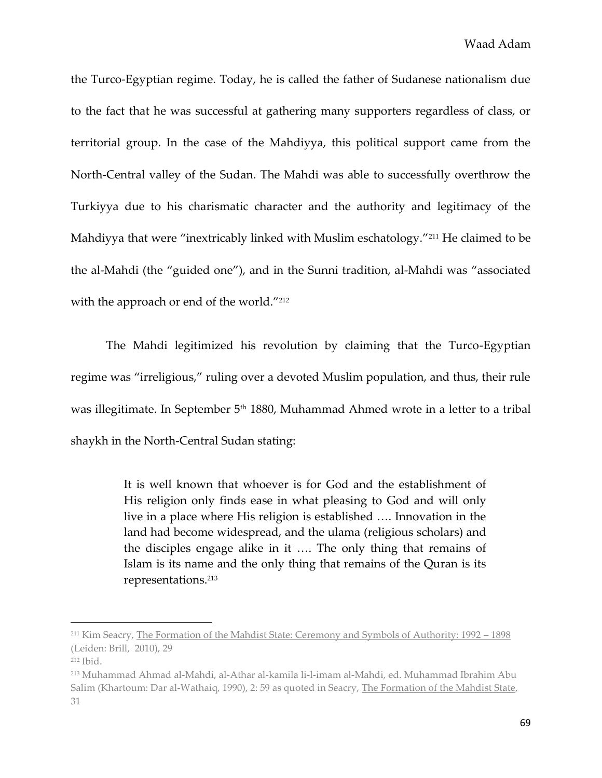the Turco-Egyptian regime. Today, he is called the father of Sudanese nationalism due to the fact that he was successful at gathering many supporters regardless of class, or territorial group. In the case of the Mahdiyya, this political support came from the North-Central valley of the Sudan. The Mahdi was able to successfully overthrow the Turkiyya due to his charismatic character and the authority and legitimacy of the Mahdiyya that were "inextricably linked with Muslim eschatology."<sup>211</sup> He claimed to be the al-Mahdi (the "guided one"), and in the Sunni tradition, al-Mahdi was "associated with the approach or end of the world."<sup>212</sup>

The Mahdi legitimized his revolution by claiming that the Turco-Egyptian regime was "irreligious," ruling over a devoted Muslim population, and thus, their rule was illegitimate. In September 5<sup>th</sup> 1880, Muhammad Ahmed wrote in a letter to a tribal shaykh in the North-Central Sudan stating:

> It is well known that whoever is for God and the establishment of His religion only finds ease in what pleasing to God and will only live in a place where His religion is established …. Innovation in the land had become widespread, and the ulama (religious scholars) and the disciples engage alike in it …. The only thing that remains of Islam is its name and the only thing that remains of the Quran is its representations.<sup>213</sup>

<sup>211</sup> Kim Seacry, The Formation of the Mahdist State: Ceremony and Symbols of Authority: 1992 – 1898 (Leiden: Brill, 2010), 29

<sup>212</sup> Ibid.

<sup>213</sup> Muhammad Ahmad al-Mahdi, al-Athar al-kamila li-l-imam al-Mahdi, ed. Muhammad Ibrahim Abu Salim (Khartoum: Dar al-Wathaiq, 1990), 2: 59 as quoted in Seacry, The Formation of the Mahdist State, 31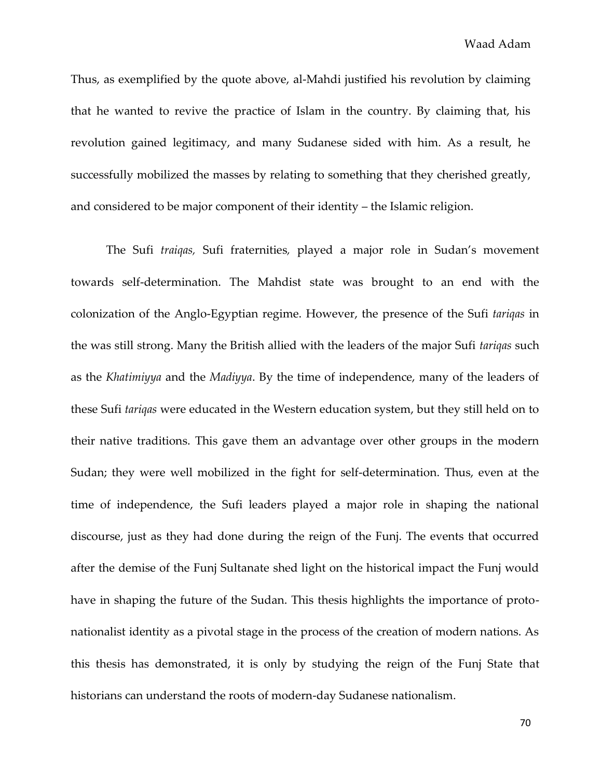Thus, as exemplified by the quote above, al-Mahdi justified his revolution by claiming that he wanted to revive the practice of Islam in the country. By claiming that, his revolution gained legitimacy, and many Sudanese sided with him. As a result, he successfully mobilized the masses by relating to something that they cherished greatly, and considered to be major component of their identity – the Islamic religion.

The Sufi *traiqas,* Sufi fraternities*,* played a major role in Sudan's movement towards self-determination. The Mahdist state was brought to an end with the colonization of the Anglo-Egyptian regime. However, the presence of the Sufi *tariqas* in the was still strong. Many the British allied with the leaders of the major Sufi *tariqas* such as the *Khatimiyya* and the *Madiyya*. By the time of independence, many of the leaders of these Sufi *tariqas* were educated in the Western education system, but they still held on to their native traditions. This gave them an advantage over other groups in the modern Sudan; they were well mobilized in the fight for self-determination. Thus, even at the time of independence, the Sufi leaders played a major role in shaping the national discourse, just as they had done during the reign of the Funj. The events that occurred after the demise of the Funj Sultanate shed light on the historical impact the Funj would have in shaping the future of the Sudan. This thesis highlights the importance of protonationalist identity as a pivotal stage in the process of the creation of modern nations. As this thesis has demonstrated, it is only by studying the reign of the Funj State that historians can understand the roots of modern-day Sudanese nationalism.

70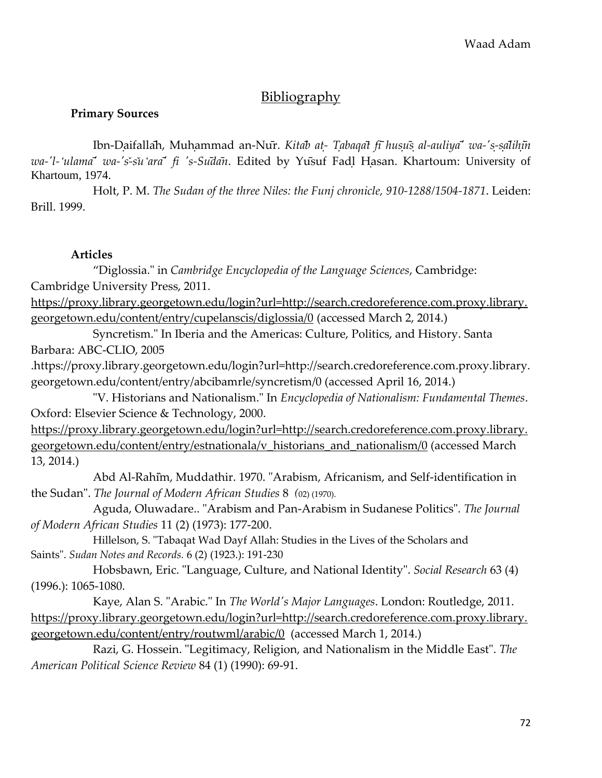## Bibliography

## **Primary Sources**

Ibn-Daifallah, Muhammad an-Nur. Kitab at- Tabaqat fi husus al-auliya' wa-'s-salihin *wa-'l-ʻulama ' wa-'s -s uʻara ' fi 's-Su da n*. Edited by Yu suf Fad l H asan. Khartoum: University of Khartoum, 1974.

Holt, P. M. *The Sudan of the three Niles: the Funj chronicle, 910-1288/1504-1871*. Leiden: Brill. 1999.

## **Articles**

"Diglossia." in *Cambridge Encyclopedia of the Language Sciences*, Cambridge: Cambridge University Press, 2011. [https://proxy.library.georgetown.edu/login?url=http://search.credoreference.com.proxy.library.](https://proxy.library.georgetown.edu/login?url=http://search.credoreference.com.proxy.library.georgetown.edu/content/entry/cupelanscis/diglossia/0)

[georgetown.edu/content/entry/cupelanscis/diglossia/0](https://proxy.library.georgetown.edu/login?url=http://search.credoreference.com.proxy.library.georgetown.edu/content/entry/cupelanscis/diglossia/0) (accessed March 2, 2014.)

Syncretism." In Iberia and the Americas: Culture, Politics, and History. Santa Barbara: ABC-CLIO, 2005

.https://proxy.library.georgetown.edu/login?url=http://search.credoreference.com.proxy.library. georgetown.edu/content/entry/abcibamrle/syncretism/0 (accessed April 16, 2014.)

"V. Historians and Nationalism." In *Encyclopedia of Nationalism: Fundamental Themes*. Oxford: Elsevier Science & Technology, 2000.

[https://proxy.library.georgetown.edu/login?url=http://search.credoreference.com.proxy.library.](https://proxy.library.georgetown.edu/login?url=http://search.credoreference.com.proxy.library.georgetown.edu/content/entry/estnationala/v_historians_and_nationalism/0) [georgetown.edu/content/entry/estnationala/v\\_historians\\_and\\_nationalism/0](https://proxy.library.georgetown.edu/login?url=http://search.credoreference.com.proxy.library.georgetown.edu/content/entry/estnationala/v_historians_and_nationalism/0) (accessed March 13, 2014.)

Abd Al-Rahim, Muddathir. 1970. "Arabism, Africanism, and Self-identification in the Sudan". *The Journal of Modern African Studies* 8 *(*02) (1970).

Aguda, Oluwadare.. "Arabism and Pan-Arabism in Sudanese Politics". *The Journal of Modern African Studies* 11 (2) (1973): 177-200.

Hillelson, S. "Tabaqat Wad Dayf Allah: Studies in the Lives of the Scholars and Saints". *Sudan Notes and Records.* 6 (2) (1923.): 191-230

Hobsbawn, Eric. "Language, Culture, and National Identity". *Social Research* 63 (4) (1996.): 1065-1080.

Kaye, Alan S. "Arabic." In *The World's Major Languages*. London: Routledge, 2011. [https://proxy.library.georgetown.edu/login?url=http://search.credoreference.com.proxy.library.](https://proxy.library.georgetown.edu/login?url=http://search.credoreference.com.proxy.library.georgetown.edu/content/entry/routwml/arabic/0) [georgetown.edu/content/entry/routwml/arabic/0](https://proxy.library.georgetown.edu/login?url=http://search.credoreference.com.proxy.library.georgetown.edu/content/entry/routwml/arabic/0) (accessed March 1, 2014.)

Razi, G. Hossein. "Legitimacy, Religion, and Nationalism in the Middle East". *The American Political Science Review* 84 (1) (1990): 69-91.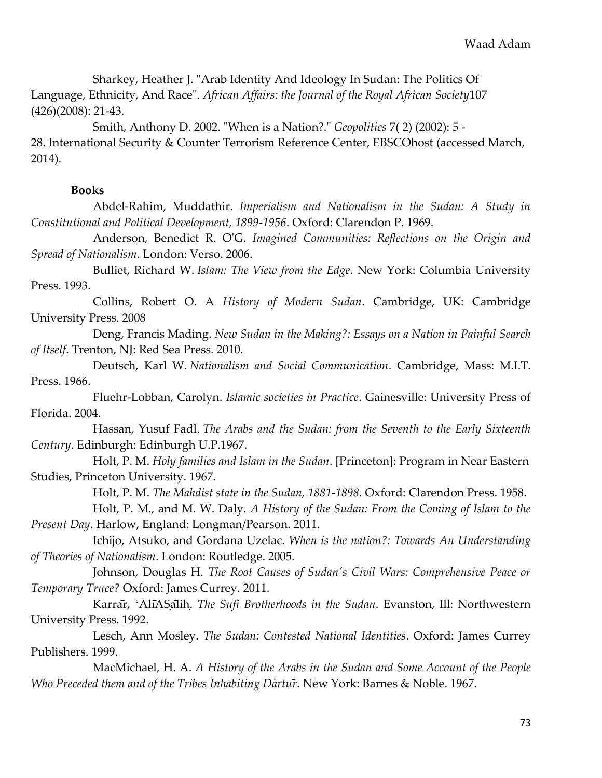Sharkey, Heather J. "Arab Identity And Ideology In Sudan: The Politics Of Language, Ethnicity, And Race". *African Affairs: the Journal of the Royal African Society*107 (426)(2008): 21-43.

Smith, Anthony D. 2002. "When is a Nation?." *Geopolitics* 7( 2) (2002): 5 - 28. International Security & Counter Terrorism Reference Center, EBSCOhost (accessed March, 2014).

## **Books**

Abdel-Rahim, Muddathir. *Imperialism and Nationalism in the Sudan: A Study in Constitutional and Political Development, 1899-1956*. Oxford: Clarendon P. 1969.

Anderson, Benedict R. O'G. *Imagined Communities: Reflections on the Origin and Spread of Nationalism*. London: Verso. 2006.

Bulliet, Richard W. *Islam: The View from the Edge*. New York: Columbia University Press. 1993.

Collins, Robert O. A *History of Modern Sudan*. Cambridge, UK: Cambridge University Press. 2008

Deng, Francis Mading. *New Sudan in the Making?: Essays on a Nation in Painful Search of Itself*. Trenton, NJ: Red Sea Press. 2010.

Deutsch, Karl W. *Nationalism and Social Communication*. Cambridge, Mass: M.I.T. Press. 1966.

Fluehr-Lobban, Carolyn. *Islamic societies in Practice*. Gainesville: University Press of Florida. 2004.

Hassan, Yusuf Fadl. *The Arabs and the Sudan: from the Seventh to the Early Sixteenth Century*. Edinburgh: Edinburgh U.P.1967.

Holt, P. M. *Holy families and Islam in the Sudan*. [Princeton]: Program in Near Eastern Studies, Princeton University. 1967.

Holt, P. M. *The Mahdist state in the Sudan, 1881-1898*. Oxford: Clarendon Press. 1958.

Holt, P. M., and M. W. Daly. *A History of the Sudan: From the Coming of Islam to the Present Day*. Harlow, England: Longman/Pearson. 2011.

Ichijo, Atsuko, and Gordana Uzelac. *When is the nation?: Towards An Understanding of Theories of Nationalism*. London: Routledge. 2005.

Johnson, Douglas H. *The Root Causes of Sudan's Civil Wars: Comprehensive Peace or Temporary Truce?* Oxford: James Currey. 2011.

Karrar, 'AliASalih. *The Sufi Brotherhoods in the Sudan*. Evanston, Ill: Northwestern University Press. 1992.

Lesch, Ann Mosley. *The Sudan: Contested National Identities*. Oxford: James Currey Publishers. 1999.

MacMichael, H. A. *A History of the Arabs in the Sudan and Some Account of the People Who Preceded them and of the Tribes Inhabiting Dàrtur*<sup>*r*</sup>. New York: Barnes & Noble. 1967.